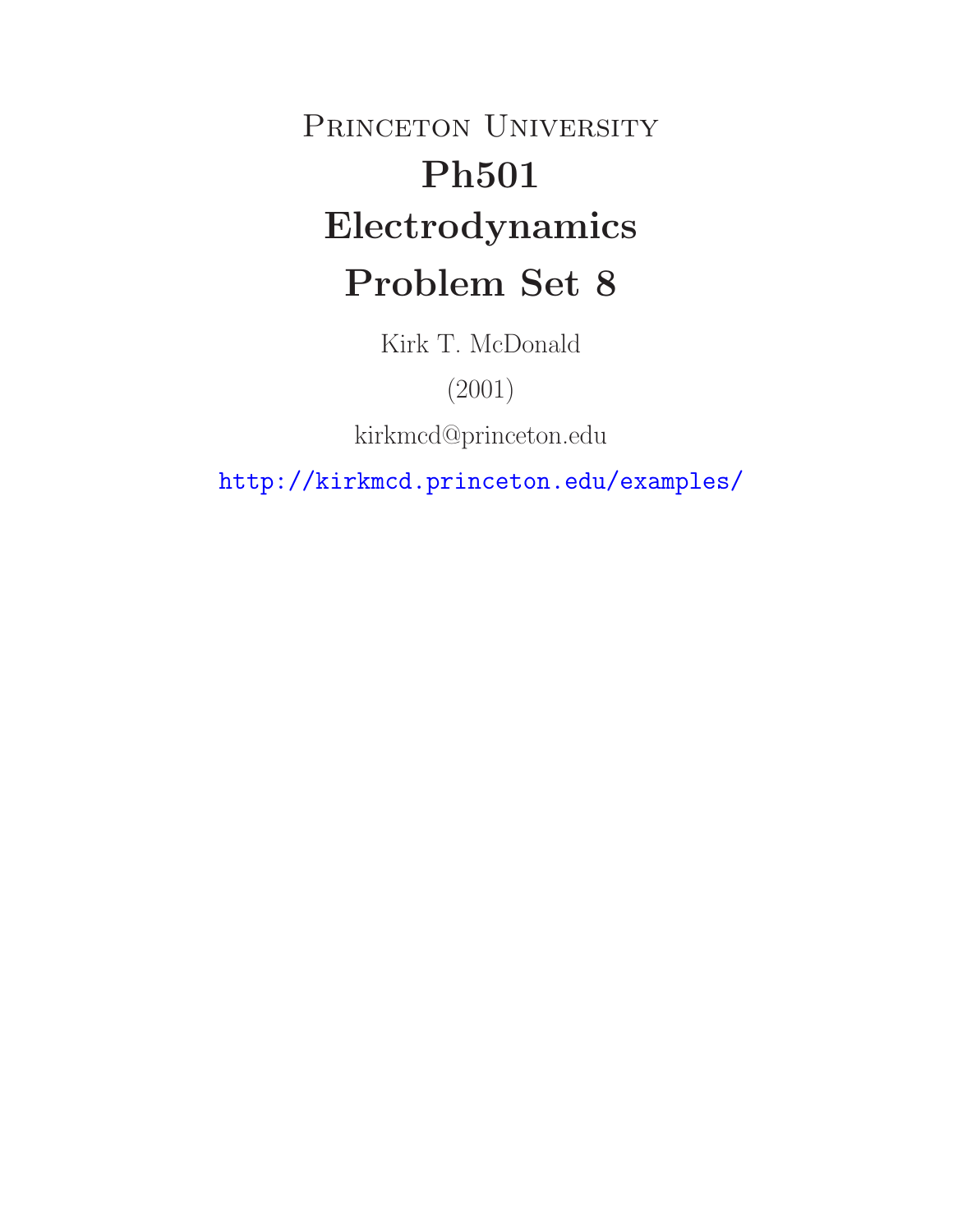# PRINCETON UNIVERSITY **Ph501 Electrodynamics Problem Set 8**

Kirk T. McDonald

(2001)

kirkmcd@princeton.edu

http://kirkmcd.princeton.edu/examples/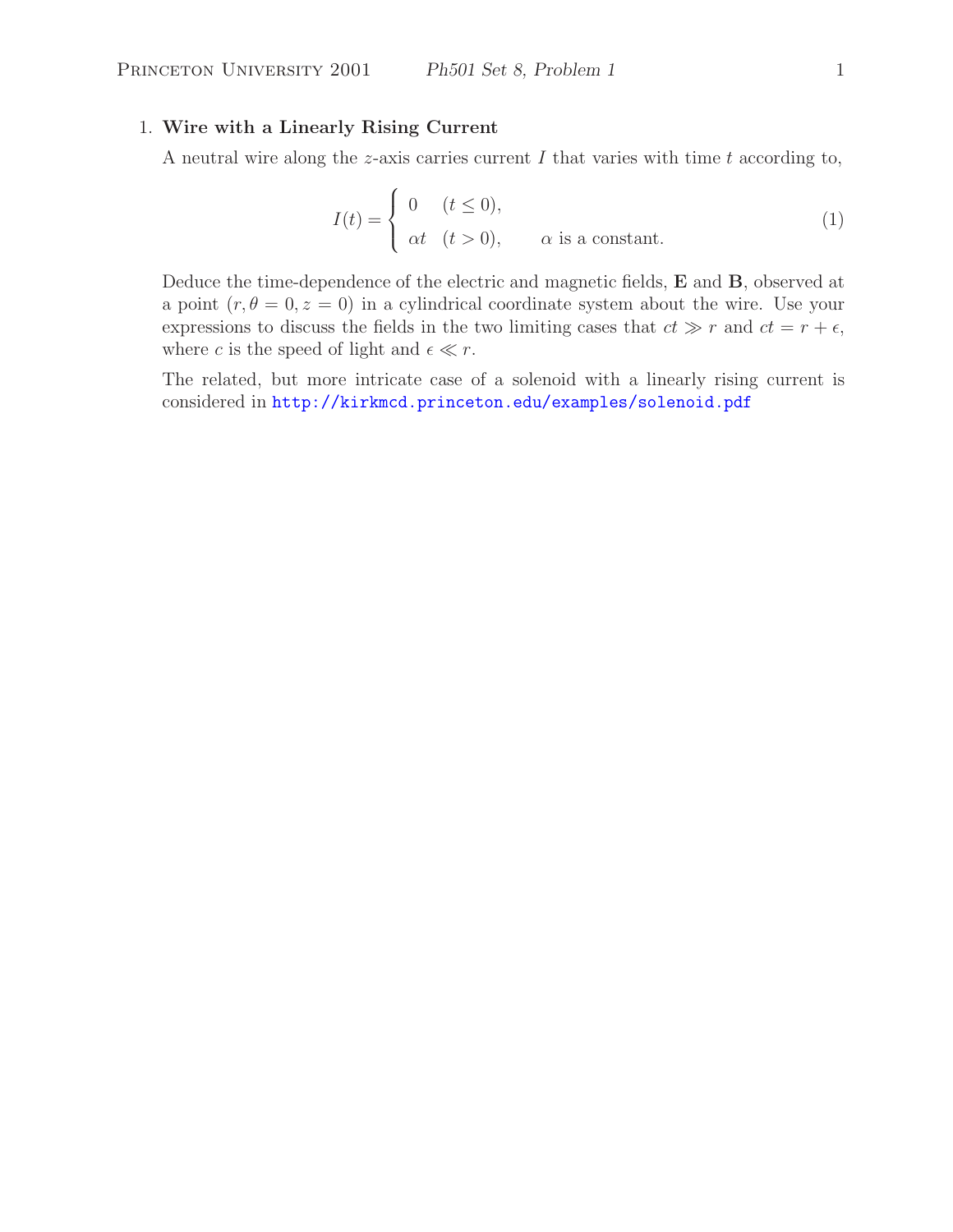## 1. **Wire with a Linearly Rising Current**

A neutral wire along the z-axis carries current  $I$  that varies with time  $t$  according to,

$$
I(t) = \begin{cases} 0 & (t \le 0), \\ \alpha t & (t > 0), \end{cases}
$$
  $\alpha$  is a constant. (1)

Deduce the time-dependence of the electric and magnetic fields, **E** and **B**, observed at a point  $(r, \theta = 0, z = 0)$  in a cylindrical coordinate system about the wire. Use your expressions to discuss the fields in the two limiting cases that  $ct \gg r$  and  $ct = r + \epsilon$ , where c is the speed of light and  $\epsilon \ll r$ .

The related, but more intricate case of a solenoid with a linearly rising current is considered in http://kirkmcd.princeton.edu/examples/solenoid.pdf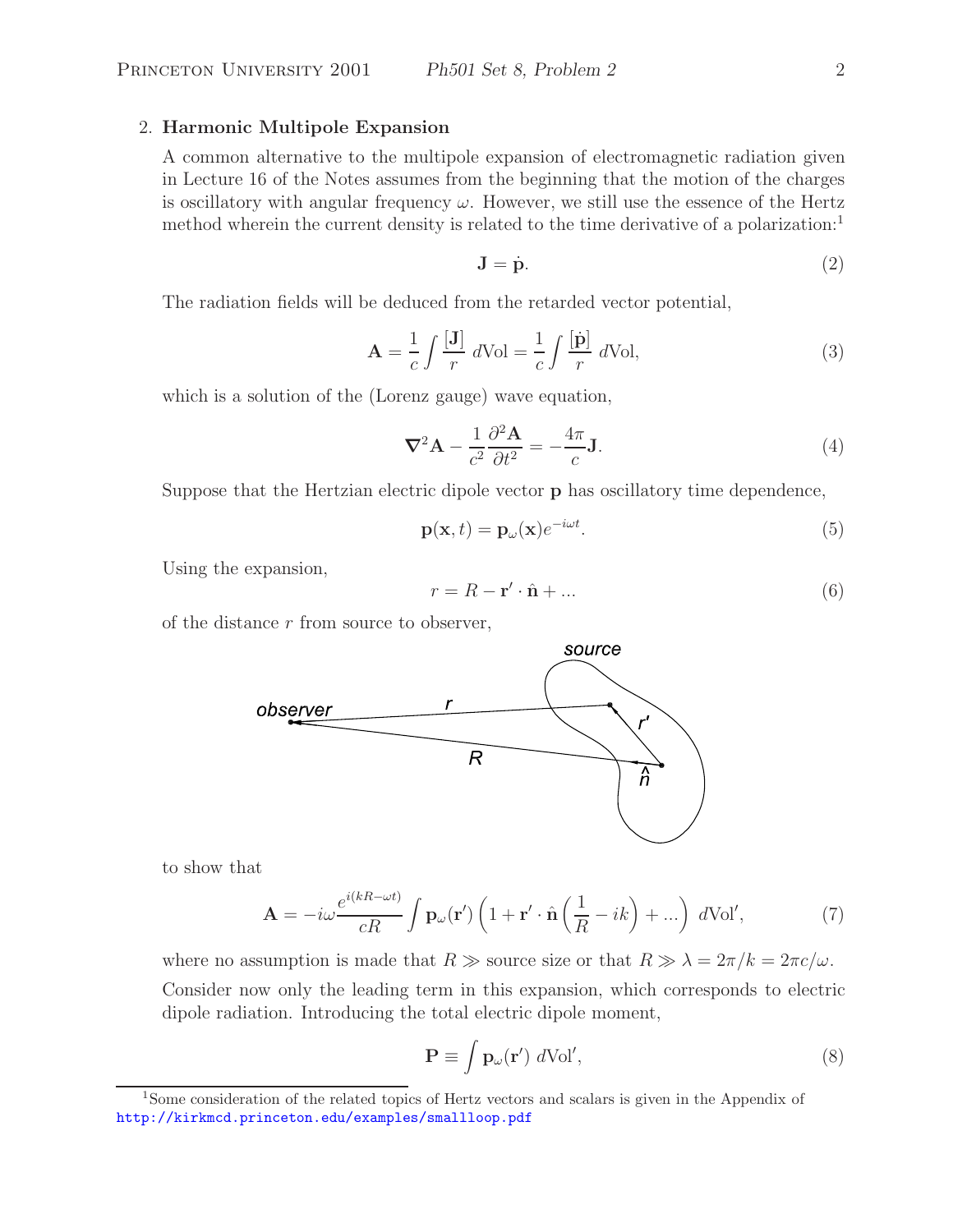## 2. **Harmonic Multipole Expansion**

A common alternative to the multipole expansion of electromagnetic radiation given in Lecture 16 of the Notes assumes from the beginning that the motion of the charges is oscillatory with angular frequency  $\omega$ . However, we still use the essence of the Hertz method wherein the current density is related to the time derivative of a polarization:<sup>1</sup>

$$
\mathbf{J} = \dot{\mathbf{p}}.\tag{2}
$$

The radiation fields will be deduced from the retarded vector potential,

$$
\mathbf{A} = \frac{1}{c} \int \frac{[\mathbf{J}]}{r} d\mathrm{Vol} = \frac{1}{c} \int \frac{[\dot{\mathbf{p}}]}{r} d\mathrm{Vol},\tag{3}
$$

which is a solution of the (Lorenz gauge) wave equation,

$$
\nabla^2 \mathbf{A} - \frac{1}{c^2} \frac{\partial^2 \mathbf{A}}{\partial t^2} = -\frac{4\pi}{c} \mathbf{J}.
$$
 (4)

Suppose that the Hertzian electric dipole vector **p** has oscillatory time dependence,

$$
\mathbf{p}(\mathbf{x},t) = \mathbf{p}_{\omega}(\mathbf{x})e^{-i\omega t}.
$$
 (5)

Using the expansion,

$$
r = R - \mathbf{r}' \cdot \hat{\mathbf{n}} + \dots \tag{6}
$$

of the distance  $r$  from source to observer,



to show that

$$
\mathbf{A} = -i\omega \frac{e^{i(kR - \omega t)}}{cR} \int \mathbf{p}_{\omega}(\mathbf{r}') \left(1 + \mathbf{r}' \cdot \hat{\mathbf{n}} \left(\frac{1}{R} - ik\right) + ...\right) d\text{Vol}',\tag{7}
$$

where no assumption is made that  $R \gg$  source size or that  $R \gg \lambda = 2\pi/k = 2\pi c/\omega$ .

Consider now only the leading term in this expansion, which corresponds to electric dipole radiation. Introducing the total electric dipole moment,

$$
\mathbf{P} \equiv \int \mathbf{p}_{\omega}(\mathbf{r}') \ d\text{Vol}',\tag{8}
$$

<sup>1</sup>Some consideration of the related topics of Hertz vectors and scalars is given in the Appendix of http://kirkmcd.princeton.edu/examples/smallloop.pdf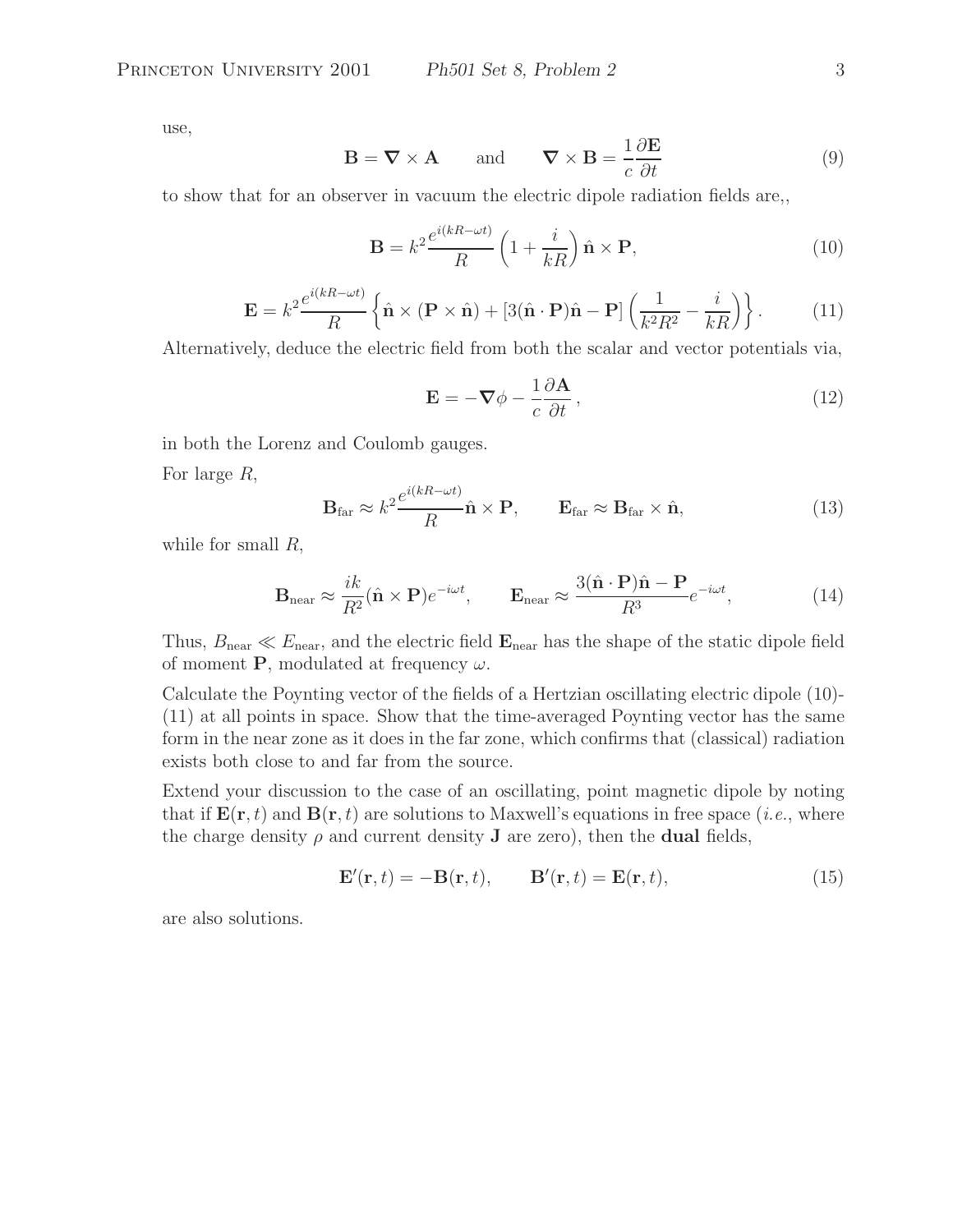use,

$$
\mathbf{B} = \nabla \times \mathbf{A} \quad \text{and} \quad \nabla \times \mathbf{B} = \frac{1}{c} \frac{\partial \mathbf{E}}{\partial t} \tag{9}
$$

to show that for an observer in vacuum the electric dipole radiation fields are,,

$$
\mathbf{B} = k^2 \frac{e^{i(kR - \omega t)}}{R} \left( 1 + \frac{i}{kR} \right) \hat{\mathbf{n}} \times \mathbf{P},\tag{10}
$$

$$
\mathbf{E} = k^2 \frac{e^{i(kR - \omega t)}}{R} \left\{ \hat{\mathbf{n}} \times (\mathbf{P} \times \hat{\mathbf{n}}) + \left[ 3(\hat{\mathbf{n}} \cdot \mathbf{P})\hat{\mathbf{n}} - \mathbf{P} \right] \left( \frac{1}{k^2 R^2} - \frac{i}{kR} \right) \right\}.
$$
 (11)

Alternatively, deduce the electric field from both the scalar and vector potentials via,

$$
\mathbf{E} = -\nabla \phi - \frac{1}{c} \frac{\partial \mathbf{A}}{\partial t},\qquad(12)
$$

in both the Lorenz and Coulomb gauges.

For large R,

$$
\mathbf{B}_{\text{far}} \approx k^2 \frac{e^{i(kR - \omega t)}}{R} \hat{\mathbf{n}} \times \mathbf{P}, \qquad \mathbf{E}_{\text{far}} \approx \mathbf{B}_{\text{far}} \times \hat{\mathbf{n}}, \tag{13}
$$

while for small  $R$ ,

$$
\mathbf{B}_{\text{near}} \approx \frac{ik}{R^2} (\hat{\mathbf{n}} \times \mathbf{P}) e^{-i\omega t}, \qquad \mathbf{E}_{\text{near}} \approx \frac{3(\hat{\mathbf{n}} \cdot \mathbf{P}) \hat{\mathbf{n}} - \mathbf{P}}{R^3} e^{-i\omega t}, \tag{14}
$$

Thus,  $B_{\text{near}} \ll E_{\text{near}}$ , and the electric field  $\mathbf{E}_{\text{near}}$  has the shape of the static dipole field of moment **P**, modulated at frequency  $\omega$ .

Calculate the Poynting vector of the fields of a Hertzian oscillating electric dipole (10)- (11) at all points in space. Show that the time-averaged Poynting vector has the same form in the near zone as it does in the far zone, which confirms that (classical) radiation exists both close to and far from the source.

Extend your discussion to the case of an oscillating, point magnetic dipole by noting that if  $\mathbf{E}(\mathbf{r},t)$  and  $\mathbf{B}(\mathbf{r},t)$  are solutions to Maxwell's equations in free space (*i.e.*, where the charge density  $\rho$  and current density **J** are zero), then the **dual** fields,

$$
\mathbf{E}'(\mathbf{r},t) = -\mathbf{B}(\mathbf{r},t), \qquad \mathbf{B}'(\mathbf{r},t) = \mathbf{E}(\mathbf{r},t), \tag{15}
$$

are also solutions.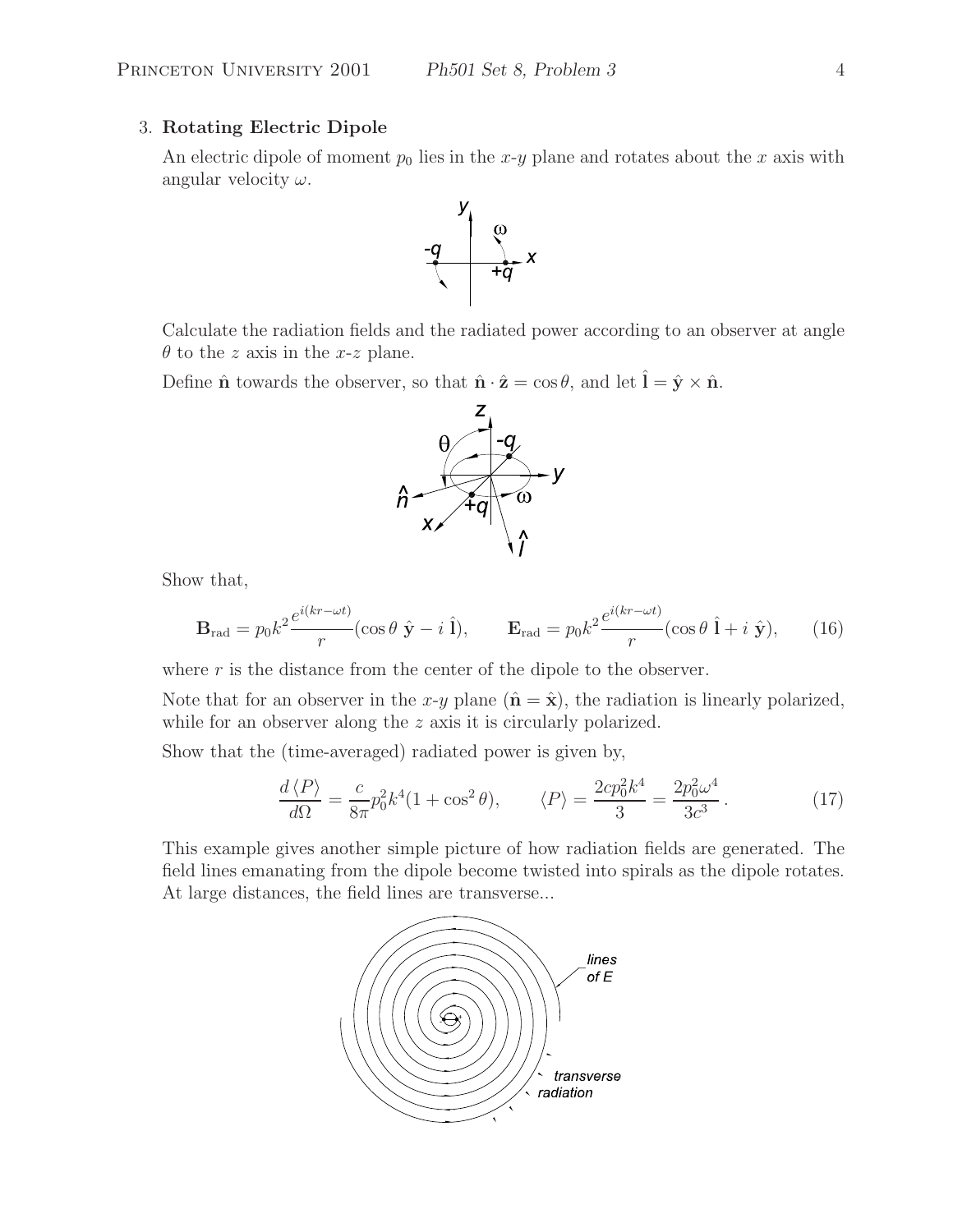# 3. **Rotating Electric Dipole**

An electric dipole of moment  $p_0$  lies in the x-y plane and rotates about the x axis with angular velocity  $\omega$ .



Calculate the radiation fields and the radiated power according to an observer at angle  $\theta$  to the z axis in the x-z plane.

Define  $\hat{\mathbf{n}}$  towards the observer, so that  $\hat{\mathbf{n}} \cdot \hat{\mathbf{z}} = \cos \theta$ , and let  $\mathbf{l} = \hat{\mathbf{y}} \times \hat{\mathbf{n}}$ .



Show that,

$$
\mathbf{B}_{\rm rad} = p_0 k^2 \frac{e^{i(kr - \omega t)}}{r} (\cos \theta \hat{\mathbf{y}} - i \hat{\mathbf{l}}), \qquad \mathbf{E}_{\rm rad} = p_0 k^2 \frac{e^{i(kr - \omega t)}}{r} (\cos \theta \hat{\mathbf{l}} + i \hat{\mathbf{y}}), \qquad (16)
$$

where  $r$  is the distance from the center of the dipole to the observer.

Note that for an observer in the x-y plane  $(\hat{\mathbf{n}} = \hat{\mathbf{x}})$ , the radiation is linearly polarized, while for an observer along the z axis it is circularly polarized.

Show that the (time-averaged) radiated power is given by,

$$
\frac{d\langle P \rangle}{d\Omega} = \frac{c}{8\pi} p_0^2 k^4 (1 + \cos^2 \theta), \qquad \langle P \rangle = \frac{2cp_0^2 k^4}{3} = \frac{2p_0^2 \omega^4}{3c^3}.
$$
 (17)

This example gives another simple picture of how radiation fields are generated. The field lines emanating from the dipole become twisted into spirals as the dipole rotates. At large distances, the field lines are transverse...

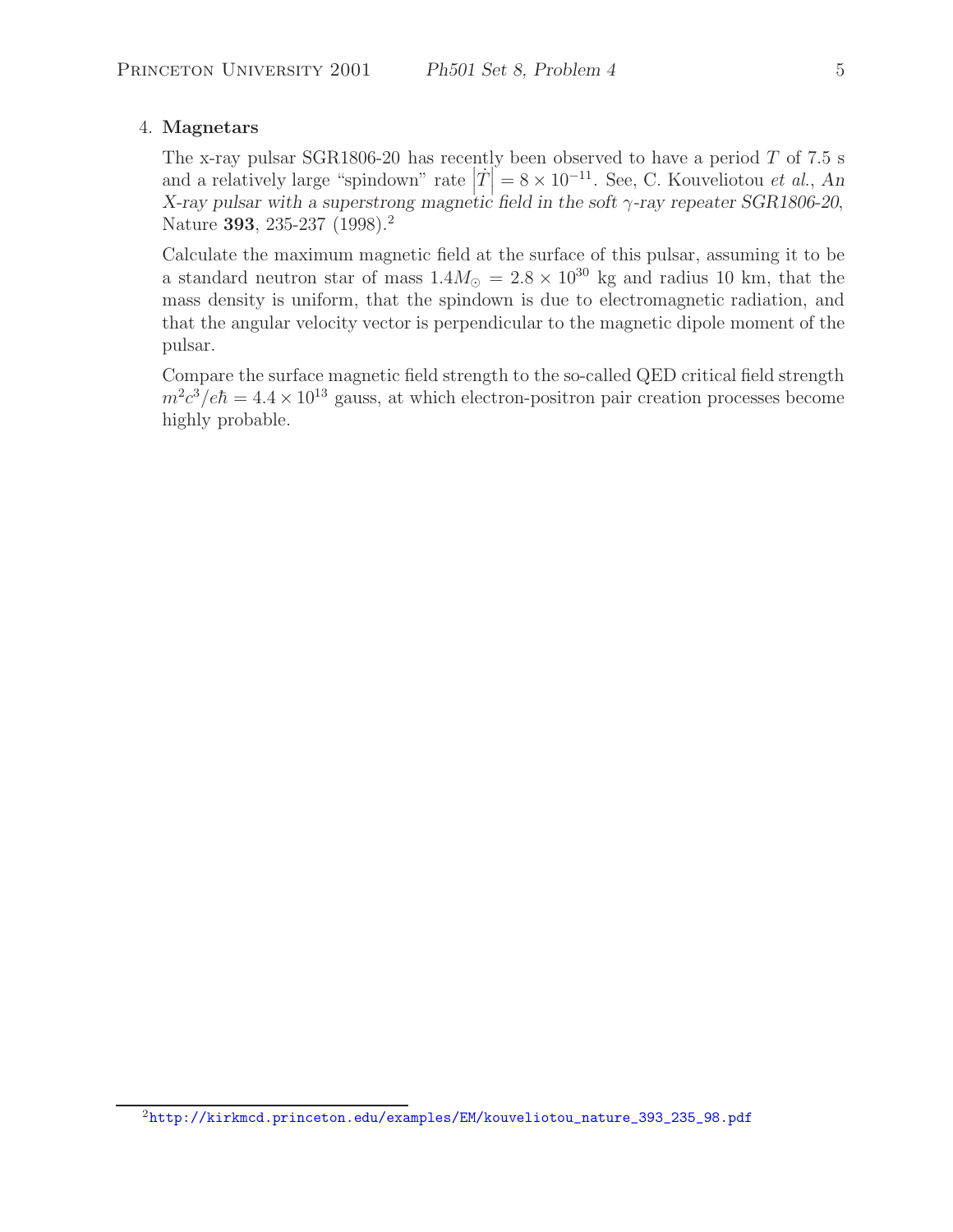# 4. **Magnetars**

The x-ray pulsar SGR1806-20 has recently been observed to have a period  $T$  of 7.5 s and a relatively large "spindown" rate  $|\dot{T}| = 8 \times 10^{-11}$ . See, C. Kouveliotou *et al.*, *An*<br>
Y assembly with a summation we want is field in the off a general process CO 1906.20. *X-ray pulsar with a superstrong magnetic field in the soft* γ*-ray repeater SGR1806-20*, Nature **393**, 235-237 (1998).<sup>2</sup>

Calculate the maximum magnetic field at the surface of this pulsar, assuming it to be a standard neutron star of mass  $1.4M_{\odot} = 2.8 \times 10^{30}$  kg and radius 10 km, that the mass density is uniform, that the spindown is due to electromagnetic radiation, and that the angular velocity vector is perpendicular to the magnetic dipole moment of the pulsar.

Compare the surface magnetic field strength to the so-called QED critical field strength  $m^2c^3/e\hbar = 4.4 \times 10^{13}$  gauss, at which electron-positron pair creation processes become highly probable.

<sup>2</sup>http://kirkmcd.princeton.edu/examples/EM/kouveliotou\_nature\_393\_235\_98.pdf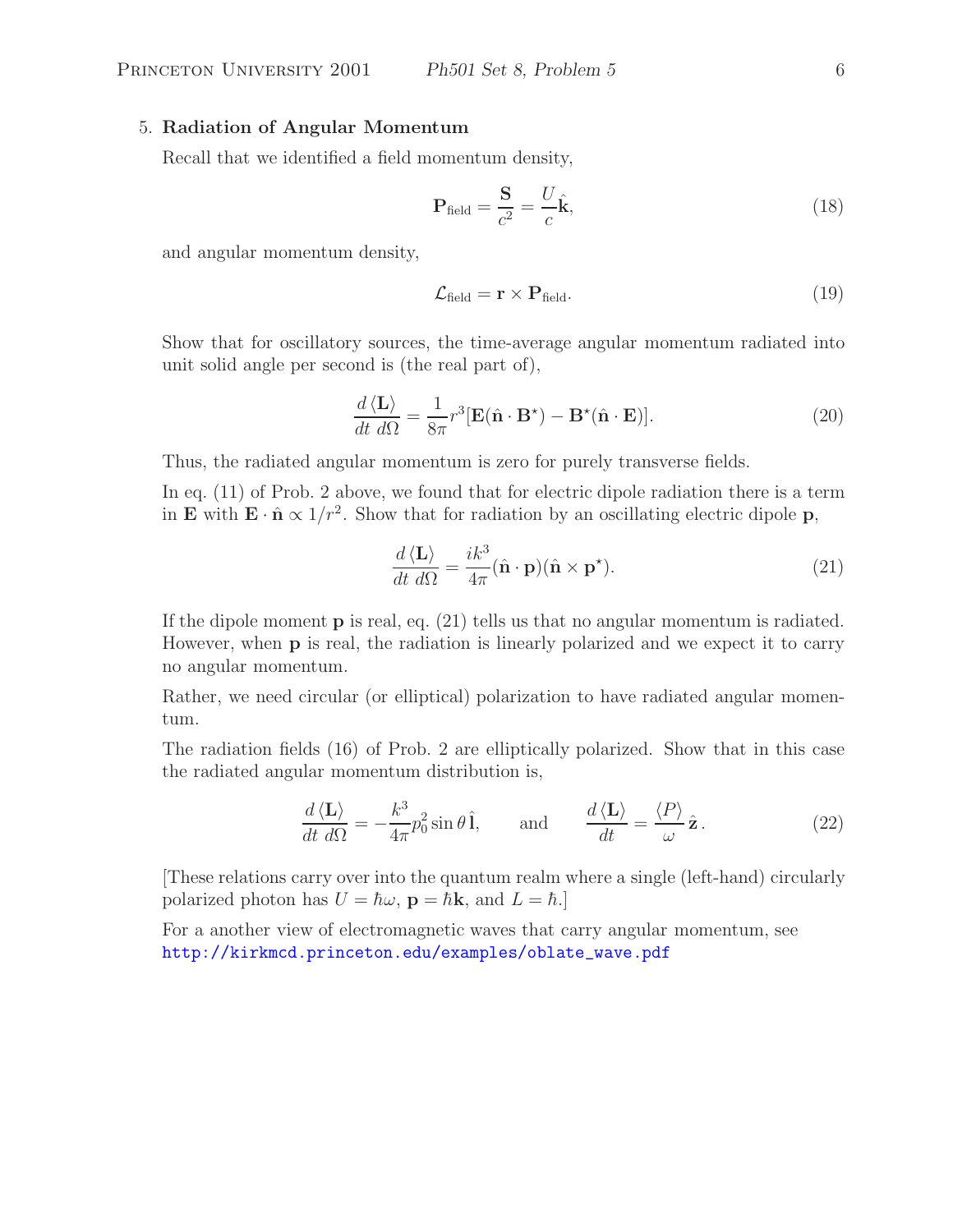# 5. **Radiation of Angular Momentum**

Recall that we identified a field momentum density,

$$
\mathbf{P}_{\text{field}} = \frac{\mathbf{S}}{c^2} = \frac{U}{c}\hat{\mathbf{k}},\tag{18}
$$

and angular momentum density,

$$
\mathcal{L}_{\text{field}} = \mathbf{r} \times \mathbf{P}_{\text{field}}.\tag{19}
$$

Show that for oscillatory sources, the time-average angular momentum radiated into unit solid angle per second is (the real part of),

$$
\frac{d\langle \mathbf{L} \rangle}{dt \, d\Omega} = \frac{1}{8\pi} r^3 [\mathbf{E}(\hat{\mathbf{n}} \cdot \mathbf{B}^*) - \mathbf{B}^*(\hat{\mathbf{n}} \cdot \mathbf{E})]. \tag{20}
$$

Thus, the radiated angular momentum is zero for purely transverse fields.

In eq. (11) of Prob. 2 above, we found that for electric dipole radiation there is a term in **E** with  $\mathbf{E} \cdot \hat{\mathbf{n}} \propto 1/r^2$ . Show that for radiation by an oscillating electric dipole **p**,

$$
\frac{d\left\langle \mathbf{L} \right\rangle}{dt \, d\Omega} = \frac{ik^3}{4\pi} (\hat{\mathbf{n}} \cdot \mathbf{p}) (\hat{\mathbf{n}} \times \mathbf{p}^*).
$$
\n(21)

If the dipole moment **p** is real, eq. (21) tells us that no angular momentum is radiated. However, when **p** is real, the radiation is linearly polarized and we expect it to carry no angular momentum.

Rather, we need circular (or elliptical) polarization to have radiated angular momentum.

The radiation fields (16) of Prob. 2 are elliptically polarized. Show that in this case the radiated angular momentum distribution is,

$$
\frac{d\langle \mathbf{L} \rangle}{dt \, d\Omega} = -\frac{k^3}{4\pi} p_0^2 \sin \theta \, \hat{\mathbf{l}}, \qquad \text{and} \qquad \frac{d\langle \mathbf{L} \rangle}{dt} = \frac{\langle P \rangle}{\omega} \, \hat{\mathbf{z}} \,.
$$
 (22)

[These relations carry over into the quantum realm where a single (left-hand) circularly polarized photon has  $U = \hbar \omega$ ,  $\mathbf{p} = \hbar \mathbf{k}$ , and  $L = \hbar$ .]

For a another view of electromagnetic waves that carry angular momentum, see http://kirkmcd.princeton.edu/examples/oblate\_wave.pdf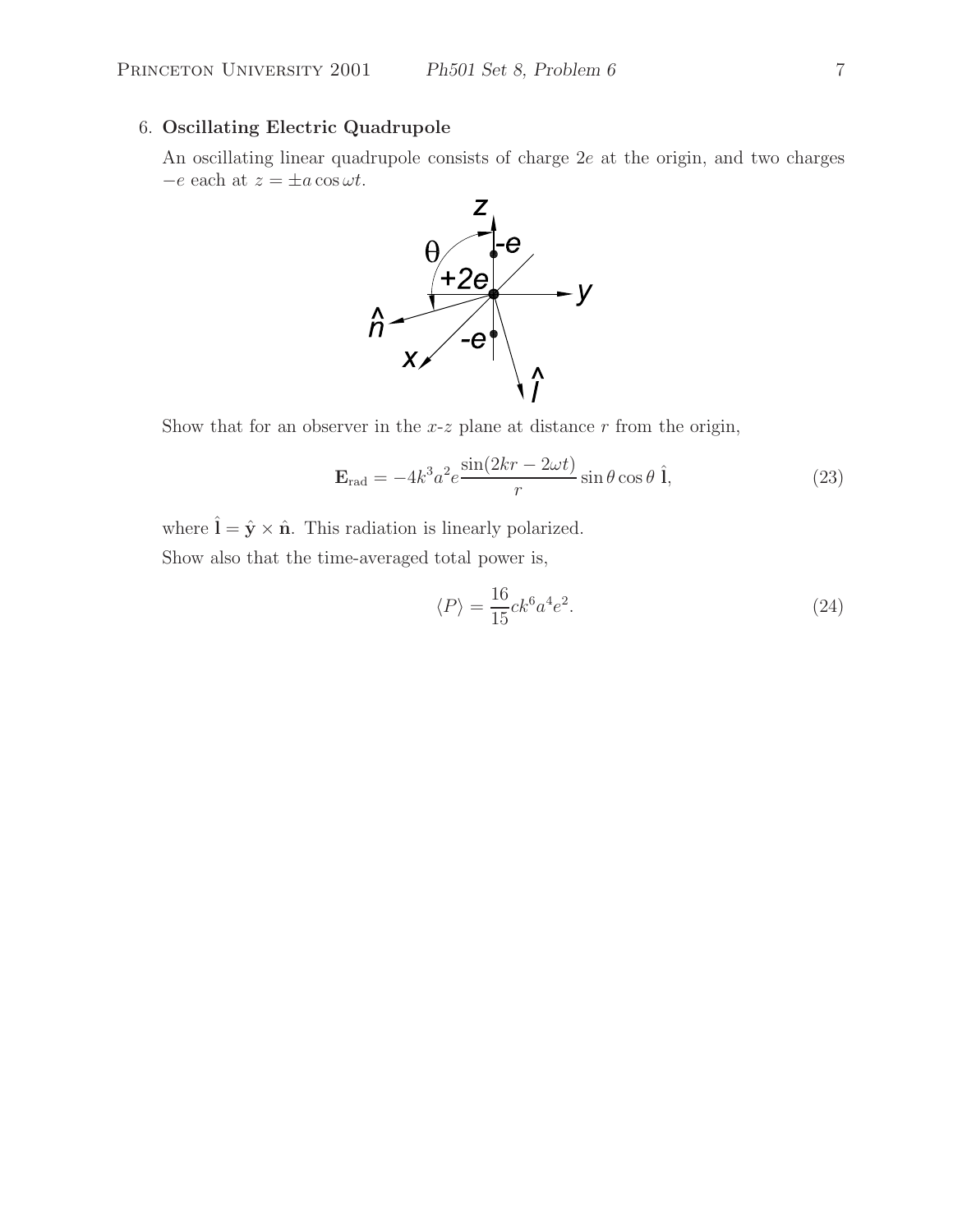# 6. **Oscillating Electric Quadrupole**

An oscillating linear quadrupole consists of charge 2e at the origin, and two charges  $-e$  each at  $z = \pm a \cos \omega t$ .



Show that for an observer in the  $x-z$  plane at distance  $r$  from the origin,

$$
\mathbf{E}_{\rm rad} = -4k^3 a^2 e \frac{\sin(2kr - 2\omega t)}{r} \sin \theta \cos \theta \hat{\mathbf{l}},\tag{23}
$$

where  $\hat{\mathbf{l}} = \hat{\mathbf{y}} \times \hat{\mathbf{n}}$ . This radiation is linearly polarized.

Show also that the time-averaged total power is,

$$
\langle P \rangle = \frac{16}{15} c k^6 a^4 e^2. \tag{24}
$$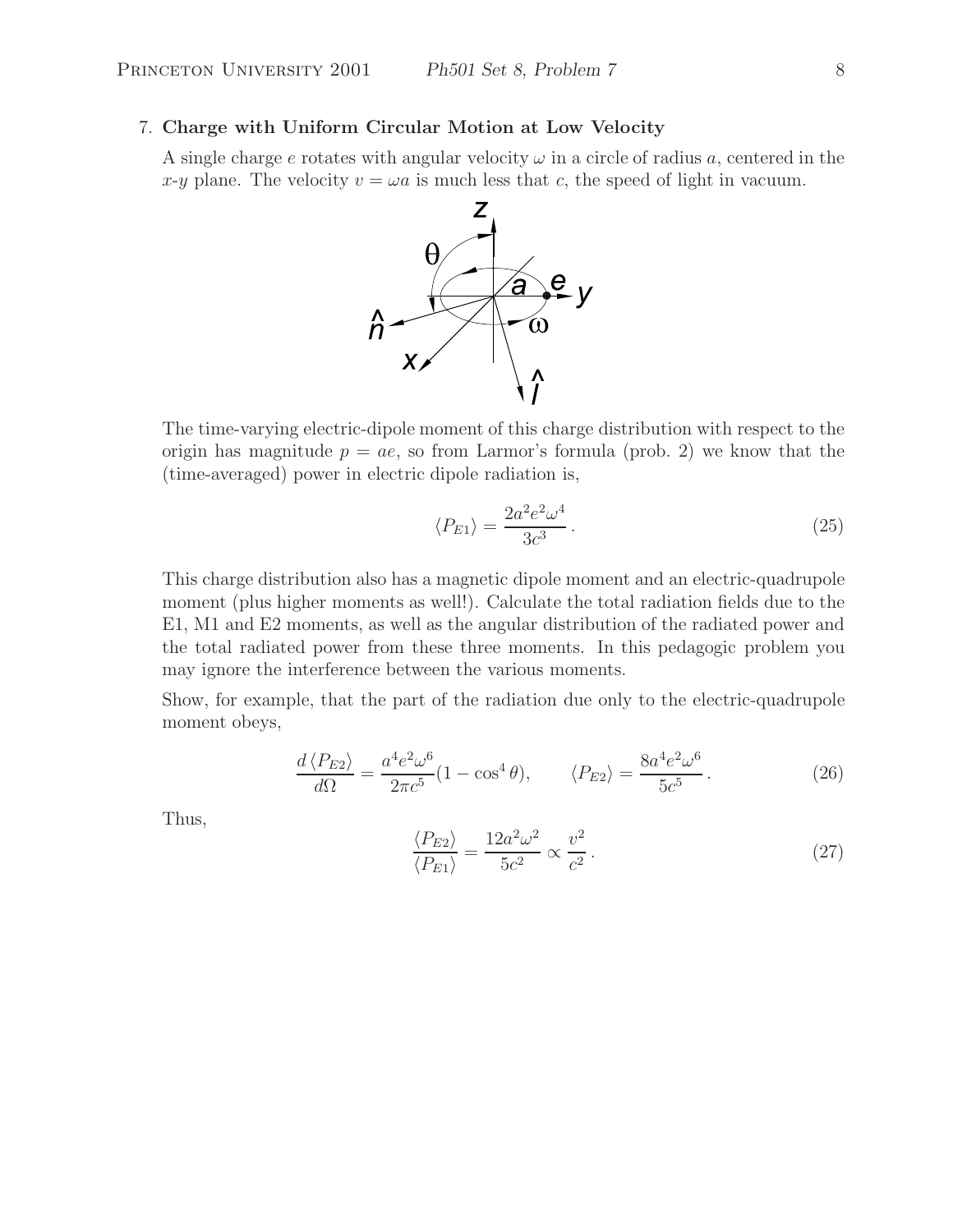# 7. **Charge with Uniform Circular Motion at Low Velocity**

A single charge e rotates with angular velocity  $\omega$  in a circle of radius a, centered in the x-y plane. The velocity  $v = \omega a$  is much less that c, the speed of light in vacuum.



The time-varying electric-dipole moment of this charge distribution with respect to the origin has magnitude  $p = ae$ , so from Larmor's formula (prob. 2) we know that the (time-averaged) power in electric dipole radiation is,

$$
\langle P_{E1} \rangle = \frac{2a^2 e^2 \omega^4}{3c^3} \,. \tag{25}
$$

This charge distribution also has a magnetic dipole moment and an electric-quadrupole moment (plus higher moments as well!). Calculate the total radiation fields due to the E1, M1 and E2 moments, as well as the angular distribution of the radiated power and the total radiated power from these three moments. In this pedagogic problem you may ignore the interference between the various moments.

Show, for example, that the part of the radiation due only to the electric-quadrupole moment obeys,

$$
\frac{d\langle P_{E2}\rangle}{d\Omega} = \frac{a^4 e^2 \omega^6}{2\pi c^5} (1 - \cos^4 \theta), \qquad \langle P_{E2}\rangle = \frac{8a^4 e^2 \omega^6}{5c^5}.
$$
 (26)

Thus,

$$
\frac{\langle P_{E2} \rangle}{\langle P_{E1} \rangle} = \frac{12a^2\omega^2}{5c^2} \propto \frac{v^2}{c^2} \,. \tag{27}
$$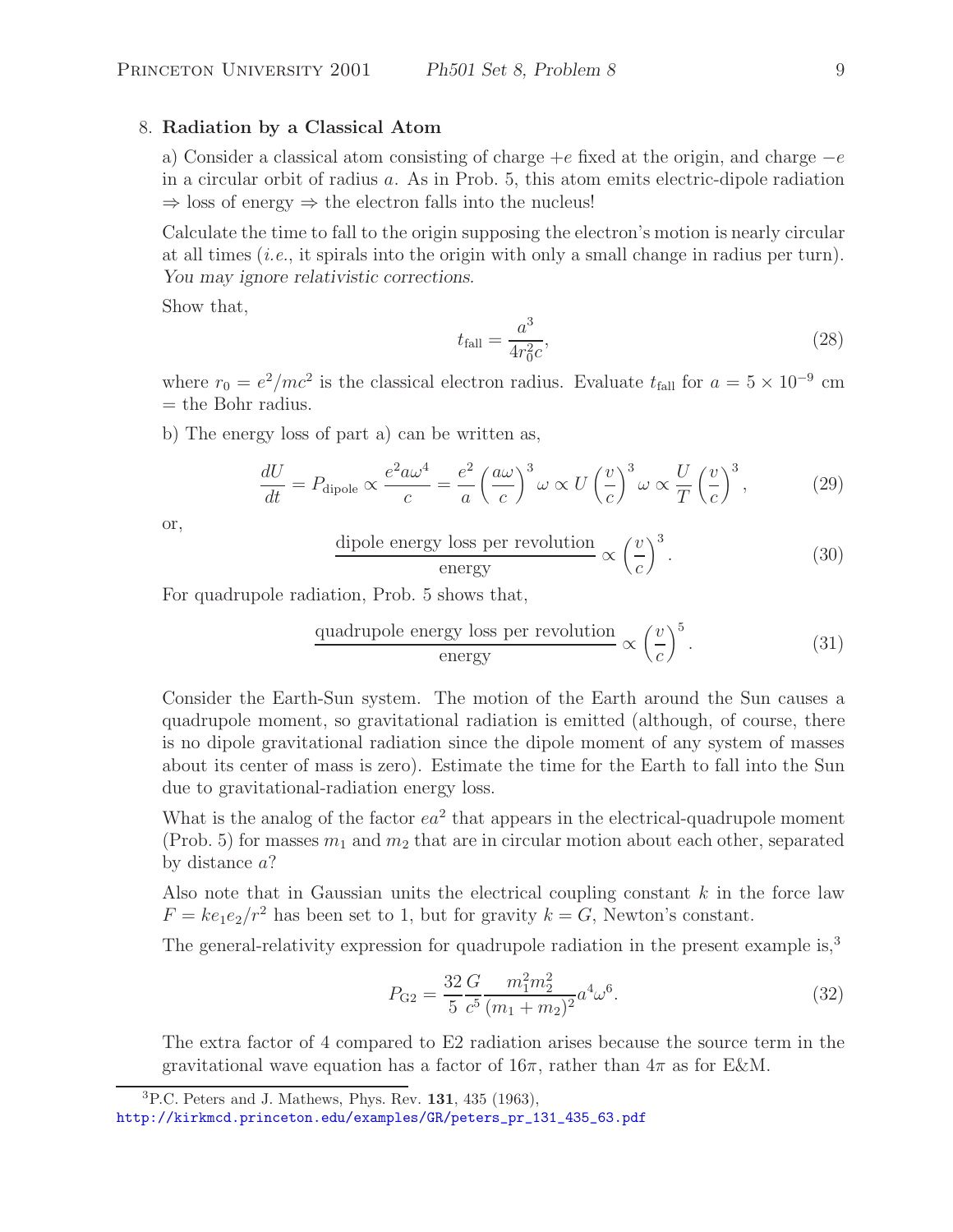#### 8. **Radiation by a Classical Atom**

a) Consider a classical atom consisting of charge  $+e$  fixed at the origin, and charge  $-e$ in a circular orbit of radius a. As in Prob. 5, this atom emits electric-dipole radiation  $\Rightarrow$  loss of energy  $\Rightarrow$  the electron falls into the nucleus!

Calculate the time to fall to the origin supposing the electron's motion is nearly circular at all times (*i.e.*, it spirals into the origin with only a small change in radius per turn). *You may ignore relativistic corrections.*

Show that,

$$
t_{\text{fall}} = \frac{a^3}{4r_0^2 c},\tag{28}
$$

where  $r_0 = e^2/mc^2$  is the classical electron radius. Evaluate  $t_{fall}$  for  $a = 5 \times 10^{-9}$  cm = the Bohr radius.

b) The energy loss of part a) can be written as,

$$
\frac{dU}{dt} = P_{\text{dipole}} \propto \frac{e^2 a \omega^4}{c} = \frac{e^2}{a} \left(\frac{a\omega}{c}\right)^3 \omega \propto U \left(\frac{v}{c}\right)^3 \omega \propto \frac{U}{T} \left(\frac{v}{c}\right)^3,\tag{29}
$$

or,

dipole energy loss per revolution 
$$
\propto \left(\frac{v}{c}\right)^3
$$
. (30)

For quadrupole radiation, Prob. 5 shows that,

quadrupole energy loss per revolution 
$$
\propto \left(\frac{v}{c}\right)^5
$$
. (31)

Consider the Earth-Sun system. The motion of the Earth around the Sun causes a quadrupole moment, so gravitational radiation is emitted (although, of course, there is no dipole gravitational radiation since the dipole moment of any system of masses about its center of mass is zero). Estimate the time for the Earth to fall into the Sun due to gravitational-radiation energy loss.

What is the analog of the factor  $ea^2$  that appears in the electrical-quadrupole moment (Prob. 5) for masses  $m_1$  and  $m_2$  that are in circular motion about each other, separated by distance a?

Also note that in Gaussian units the electrical coupling constant  $k$  in the force law  $F = ke_1e_2/r^2$  has been set to 1, but for gravity  $k = G$ , Newton's constant.

The general-relativity expression for quadrupole radiation in the present example is,<sup>3</sup>

$$
P_{\rm G2} = \frac{32}{5} \frac{G}{c^5} \frac{m_1^2 m_2^2}{(m_1 + m_2)^2} a^4 \omega^6.
$$
 (32)

The extra factor of 4 compared to E2 radiation arises because the source term in the gravitational wave equation has a factor of  $16\pi$ , rather than  $4\pi$  as for E&M.

<sup>3</sup>P.C. Peters and J. Mathews, Phys. Rev. **131**, 435 (1963),

http://kirkmcd.princeton.edu/examples/GR/peters\_pr\_131\_435\_63.pdf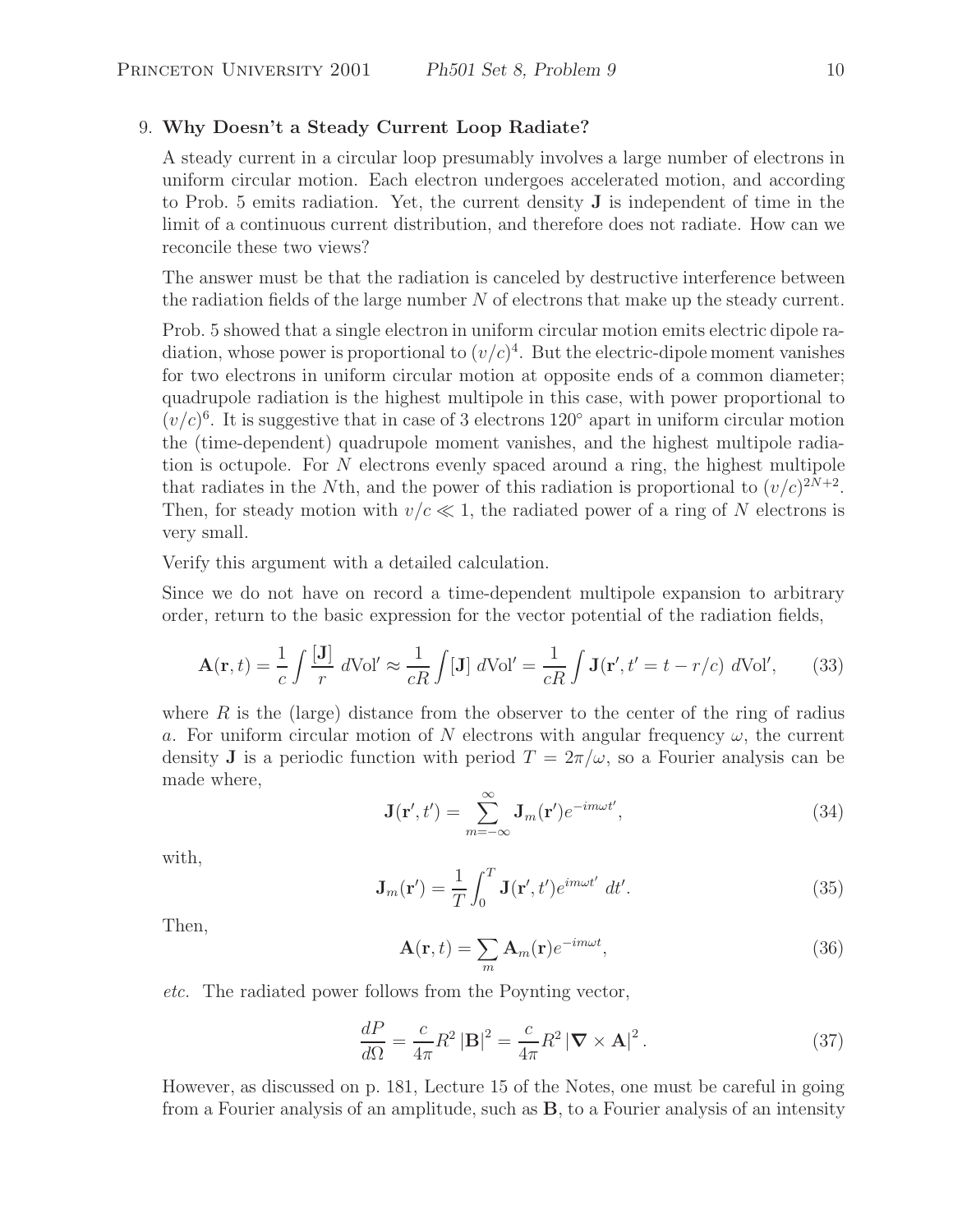#### 9. **Why Doesn't a Steady Current Loop Radiate?**

A steady current in a circular loop presumably involves a large number of electrons in uniform circular motion. Each electron undergoes accelerated motion, and according to Prob. 5 emits radiation. Yet, the current density **J** is independent of time in the limit of a continuous current distribution, and therefore does not radiate. How can we reconcile these two views?

The answer must be that the radiation is canceled by destructive interference between the radiation fields of the large number  $N$  of electrons that make up the steady current.

Prob. 5 showed that a single electron in uniform circular motion emits electric dipole radiation, whose power is proportional to  $(v/c)^4$ . But the electric-dipole moment vanishes for two electrons in uniform circular motion at opposite ends of a common diameter; quadrupole radiation is the highest multipole in this case, with power proportional to  $(v/c)^6$ . It is suggestive that in case of 3 electrons 120 $\degree$  apart in uniform circular motion the (time-dependent) quadrupole moment vanishes, and the highest multipole radiation is octupole. For N electrons evenly spaced around a ring, the highest multipole that radiates in the Nth, and the power of this radiation is proportional to  $(v/c)^{2N+2}$ . Then, for steady motion with  $v/c \ll 1$ , the radiated power of a ring of N electrons is very small.

Verify this argument with a detailed calculation.

Since we do not have on record a time-dependent multipole expansion to arbitrary order, return to the basic expression for the vector potential of the radiation fields,

$$
\mathbf{A}(\mathbf{r},t) = \frac{1}{c} \int \frac{[\mathbf{J}]}{r} d\mathrm{Vol}' \approx \frac{1}{cR} \int [\mathbf{J}] d\mathrm{Vol}' = \frac{1}{cR} \int \mathbf{J}(\mathbf{r}',t'=t-r/c) d\mathrm{Vol}',\tag{33}
$$

where  $R$  is the (large) distance from the observer to the center of the ring of radius a. For uniform circular motion of N electrons with angular frequency  $\omega$ , the current density **J** is a periodic function with period  $T = 2\pi/\omega$ , so a Fourier analysis can be made where,

$$
\mathbf{J}(\mathbf{r}',t') = \sum_{m=-\infty}^{\infty} \mathbf{J}_m(\mathbf{r}')e^{-im\omega t'},\tag{34}
$$

with,

$$
\mathbf{J}_m(\mathbf{r}') = \frac{1}{T} \int_0^T \mathbf{J}(\mathbf{r}', t') e^{im\omega t'} dt'.
$$
 (35)

Then,

$$
\mathbf{A}(\mathbf{r},t) = \sum_{m} \mathbf{A}_{m}(\mathbf{r}) e^{-im\omega t},
$$
\n(36)

*etc.* The radiated power follows from the Poynting vector,

$$
\frac{dP}{d\Omega} = \frac{c}{4\pi} R^2 |\mathbf{B}|^2 = \frac{c}{4\pi} R^2 |\nabla \times \mathbf{A}|^2.
$$
 (37)

However, as discussed on p. 181, Lecture 15 of the Notes, one must be careful in going from a Fourier analysis of an amplitude, such as **B**, to a Fourier analysis of an intensity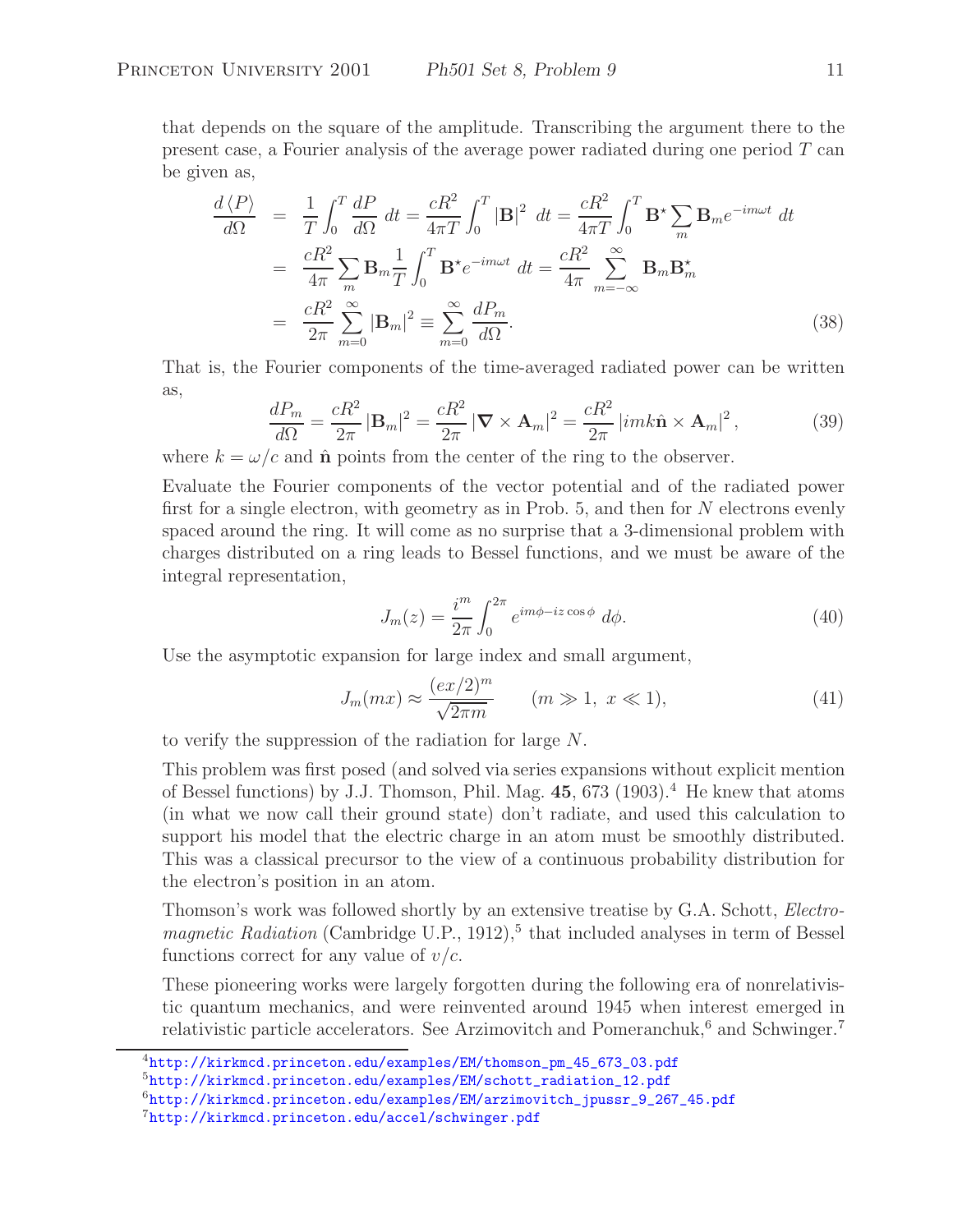that depends on the square of the amplitude. Transcribing the argument there to the present case, a Fourier analysis of the average power radiated during one period  $T$  can be given as,

$$
\frac{d\langle P \rangle}{d\Omega} = \frac{1}{T} \int_0^T \frac{dP}{d\Omega} dt = \frac{cR^2}{4\pi T} \int_0^T |\mathbf{B}|^2 dt = \frac{cR^2}{4\pi T} \int_0^T \mathbf{B}^* \sum_m \mathbf{B}_m e^{-im\omega t} dt
$$

$$
= \frac{cR^2}{4\pi} \sum_m \mathbf{B}_m \frac{1}{T} \int_0^T \mathbf{B}^* e^{-im\omega t} dt = \frac{cR^2}{4\pi} \sum_{m=-\infty}^{\infty} \mathbf{B}_m \mathbf{B}_m^*
$$

$$
= \frac{cR^2}{2\pi} \sum_{m=0}^{\infty} |\mathbf{B}_m|^2 \equiv \sum_{m=0}^{\infty} \frac{dP_m}{d\Omega}.
$$
(38)

That is, the Fourier components of the time-averaged radiated power can be written as,

$$
\frac{dP_m}{d\Omega} = \frac{cR^2}{2\pi} \left| \mathbf{B}_m \right|^2 = \frac{cR^2}{2\pi} \left| \nabla \times \mathbf{A}_m \right|^2 = \frac{cR^2}{2\pi} \left| imk\hat{\mathbf{n}} \times \mathbf{A}_m \right|^2, \tag{39}
$$

where  $k = \omega/c$  and  $\hat{\bf{n}}$  points from the center of the ring to the observer.

Evaluate the Fourier components of the vector potential and of the radiated power first for a single electron, with geometry as in Prob. 5, and then for  $N$  electrons evenly spaced around the ring. It will come as no surprise that a 3-dimensional problem with charges distributed on a ring leads to Bessel functions, and we must be aware of the integral representation,

$$
J_m(z) = \frac{i^m}{2\pi} \int_0^{2\pi} e^{im\phi - iz\cos\phi} d\phi.
$$
 (40)

Use the asymptotic expansion for large index and small argument,

$$
J_m(mx) \approx \frac{(ex/2)^m}{\sqrt{2\pi m}} \qquad (m \gg 1, \ x \ll 1), \tag{41}
$$

to verify the suppression of the radiation for large N.

This problem was first posed (and solved via series expansions without explicit mention of Bessel functions) by J.J. Thomson, Phil. Mag.  $45, 673$  (1903).<sup>4</sup> He knew that atoms (in what we now call their ground state) don't radiate, and used this calculation to support his model that the electric charge in an atom must be smoothly distributed. This was a classical precursor to the view of a continuous probability distribution for the electron's position in an atom.

Thomson's work was followed shortly by an extensive treatise by G.A. Schott, *Electro* $magnetic \, Radiation \, (Cambridge \, U.P., 1912),\,5$  that included analyses in term of Bessel functions correct for any value of  $v/c$ .

These pioneering works were largely forgotten during the following era of nonrelativistic quantum mechanics, and were reinvented around 1945 when interest emerged in relativistic particle accelerators. See Arzimovitch and Pomeranchuk,<sup>6</sup> and Schwinger.<sup>7</sup>

<sup>4</sup>http://kirkmcd.princeton.edu/examples/EM/thomson\_pm\_45\_673\_03.pdf

<sup>5</sup>http://kirkmcd.princeton.edu/examples/EM/schott\_radiation\_12.pdf

 $6$ http://kirkmcd.princeton.edu/examples/EM/arzimovitch\_jpussr\_9\_267\_45.pdf

<sup>7</sup>http://kirkmcd.princeton.edu/accel/schwinger.pdf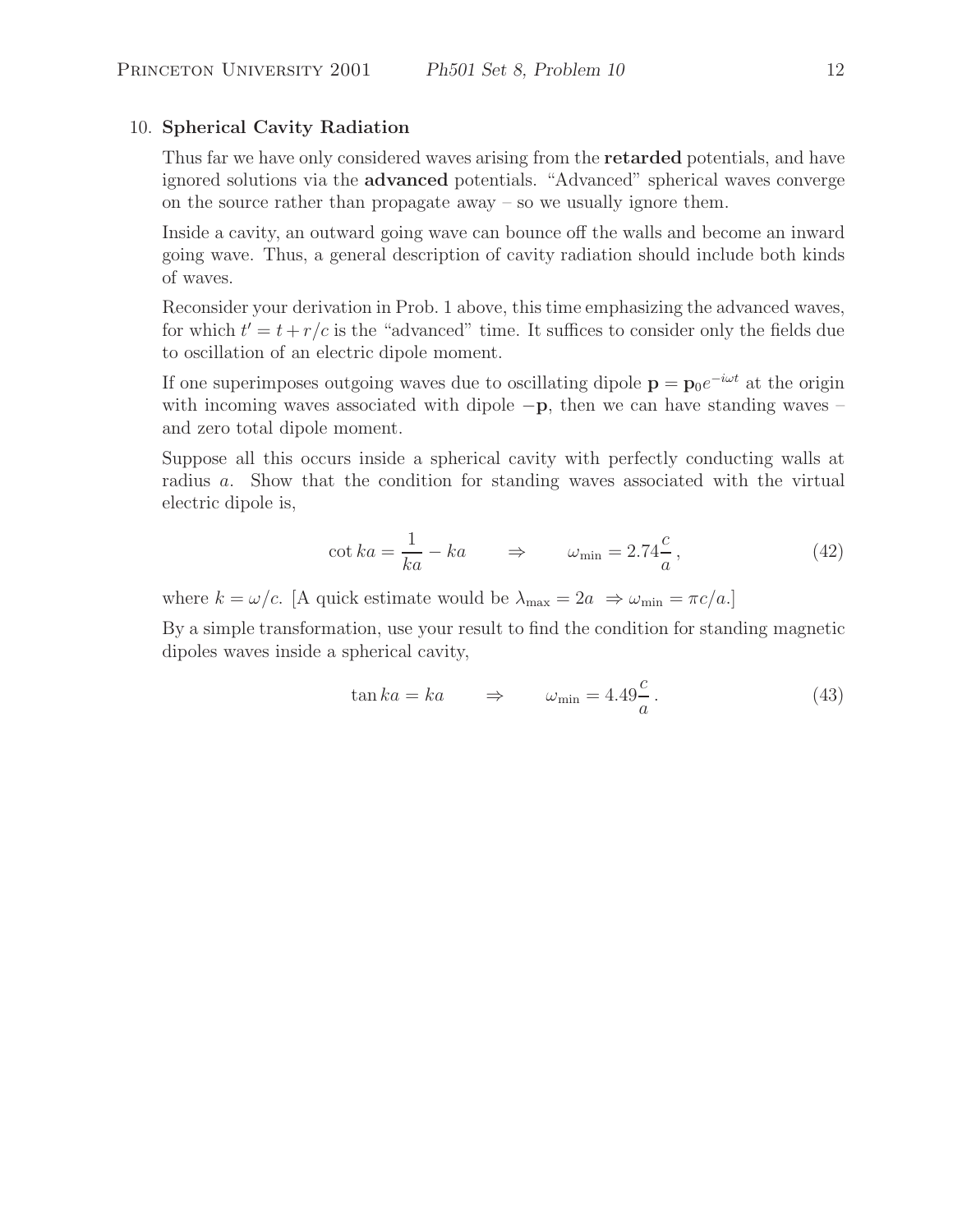## 10. **Spherical Cavity Radiation**

Thus far we have only considered waves arising from the **retarded** potentials, and have ignored solutions via the **advanced** potentials. "Advanced" spherical waves converge on the source rather than propagate away – so we usually ignore them.

Inside a cavity, an outward going wave can bounce off the walls and become an inward going wave. Thus, a general description of cavity radiation should include both kinds of waves.

Reconsider your derivation in Prob. 1 above, this time emphasizing the advanced waves, for which  $t' = t + r/c$  is the "advanced" time. It suffices to consider only the fields due to oscillation of an electric dipole moment.

If one superimposes outgoing waves due to oscillating dipole  $\mathbf{p} = \mathbf{p}_0 e^{-i\omega t}$  at the origin with incoming waves associated with dipole  $-\mathbf{p}$ , then we can have standing waves – and zero total dipole moment.

Suppose all this occurs inside a spherical cavity with perfectly conducting walls at radius a. Show that the condition for standing waves associated with the virtual electric dipole is,

$$
\cot ka = \frac{1}{ka} - ka \qquad \Rightarrow \qquad \omega_{\min} = 2.74 \frac{c}{a},\tag{42}
$$

where  $k = \omega/c$ . [A quick estimate would be  $\lambda_{\text{max}} = 2a \Rightarrow \omega_{\text{min}} = \pi c/a$ .]

By a simple transformation, use your result to find the condition for standing magnetic dipoles waves inside a spherical cavity,

$$
\tan ka = ka \qquad \Rightarrow \qquad \omega_{\min} = 4.49 \frac{c}{a} \,. \tag{43}
$$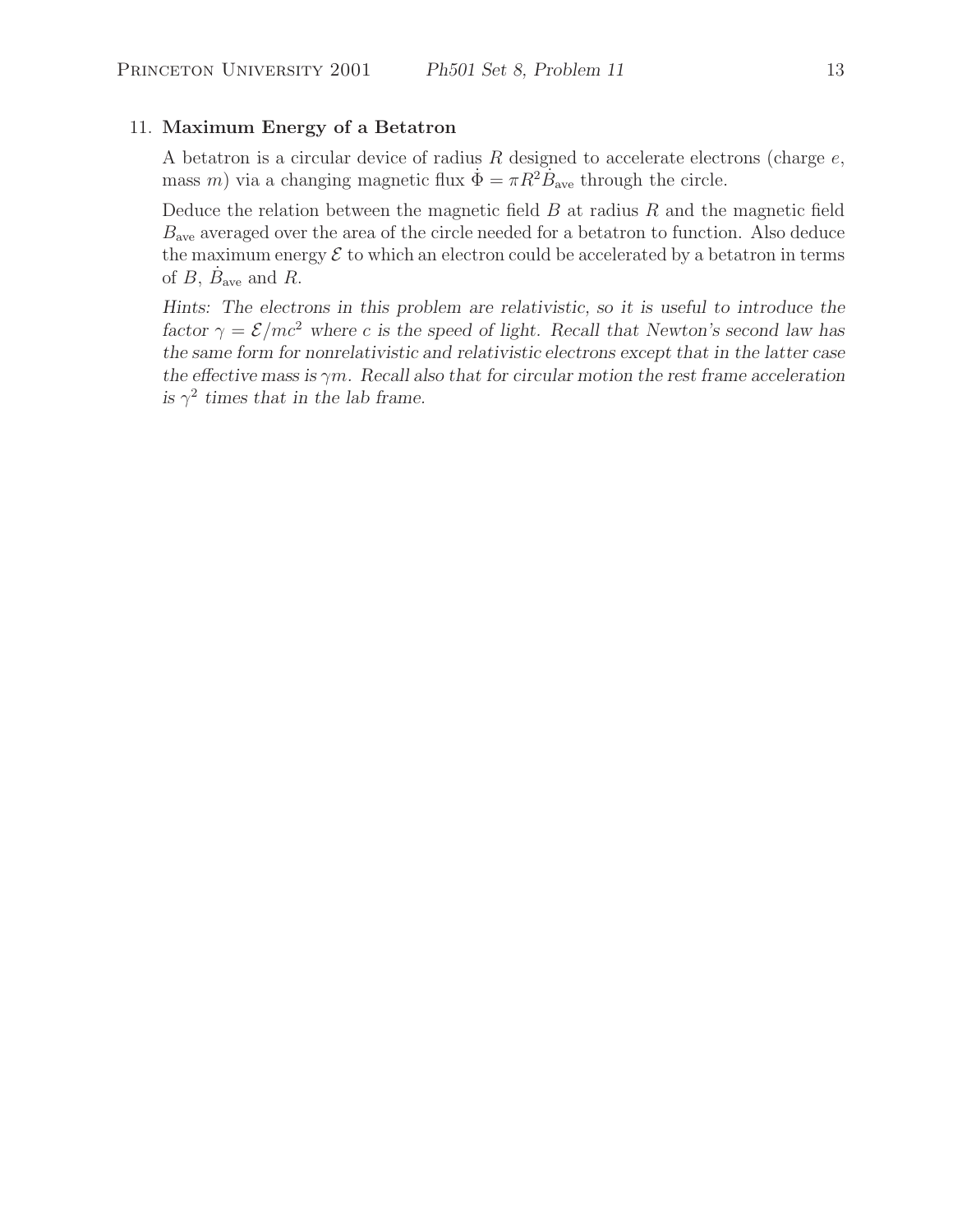# 11. **Maximum Energy of a Betatron**

A betatron is a circular device of radius  $R$  designed to accelerate electrons (charge  $e$ , mass m) via a changing magnetic flux  $\dot{\Phi} = \pi R^2 \dot{B}_{\text{ave}}$  through the circle.

Deduce the relation between the magnetic field  $B$  at radius  $R$  and the magnetic field  $B_{\text{ave}}$  averaged over the area of the circle needed for a betatron to function. Also deduce the maximum energy  $\mathcal E$  to which an electron could be accelerated by a betatron in terms of B,  $\dot{B}_{\text{ave}}$  and R.

*Hints: The electrons in this problem are relativistic, so it is useful to introduce the factor*  $\gamma = \mathcal{E}/mc^2$  *where c is the speed of light. Recall that Newton's second law has the same form for nonrelativistic and relativistic electrons except that in the latter case the effective mass is* γm*. Recall also that for circular motion the rest frame acceleration is*  $\gamma^2$  *times that in the lab frame.*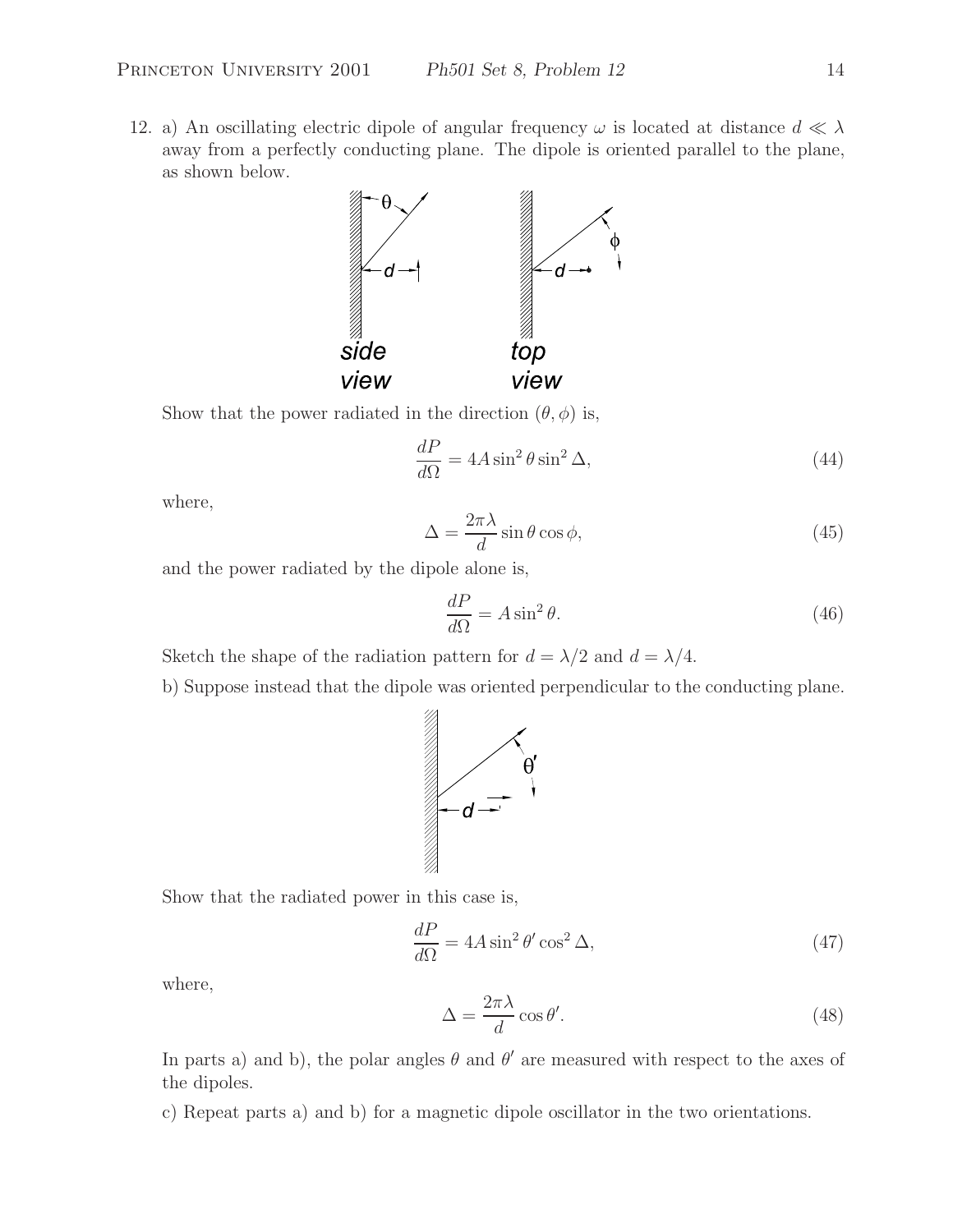12. a) An oscillating electric dipole of angular frequency  $\omega$  is located at distance  $d \ll \lambda$ away from a perfectly conducting plane. The dipole is oriented parallel to the plane, as shown below.



Show that the power radiated in the direction  $(\theta, \phi)$  is,

$$
\frac{dP}{d\Omega} = 4A\sin^2\theta\sin^2\Delta,\tag{44}
$$

where,

$$
\Delta = \frac{2\pi\lambda}{d}\sin\theta\cos\phi,\tag{45}
$$

and the power radiated by the dipole alone is,

$$
\frac{dP}{d\Omega} = A\sin^2\theta. \tag{46}
$$

Sketch the shape of the radiation pattern for  $d = \lambda/2$  and  $d = \lambda/4$ .

b) Suppose instead that the dipole was oriented perpendicular to the conducting plane.



Show that the radiated power in this case is,

$$
\frac{dP}{d\Omega} = 4A\sin^2\theta'\cos^2\Delta,\tag{47}
$$

where,

$$
\Delta = \frac{2\pi\lambda}{d}\cos\theta'.\tag{48}
$$

In parts a) and b), the polar angles  $\theta$  and  $\theta'$  are measured with respect to the axes of the dipoles.

c) Repeat parts a) and b) for a magnetic dipole oscillator in the two orientations.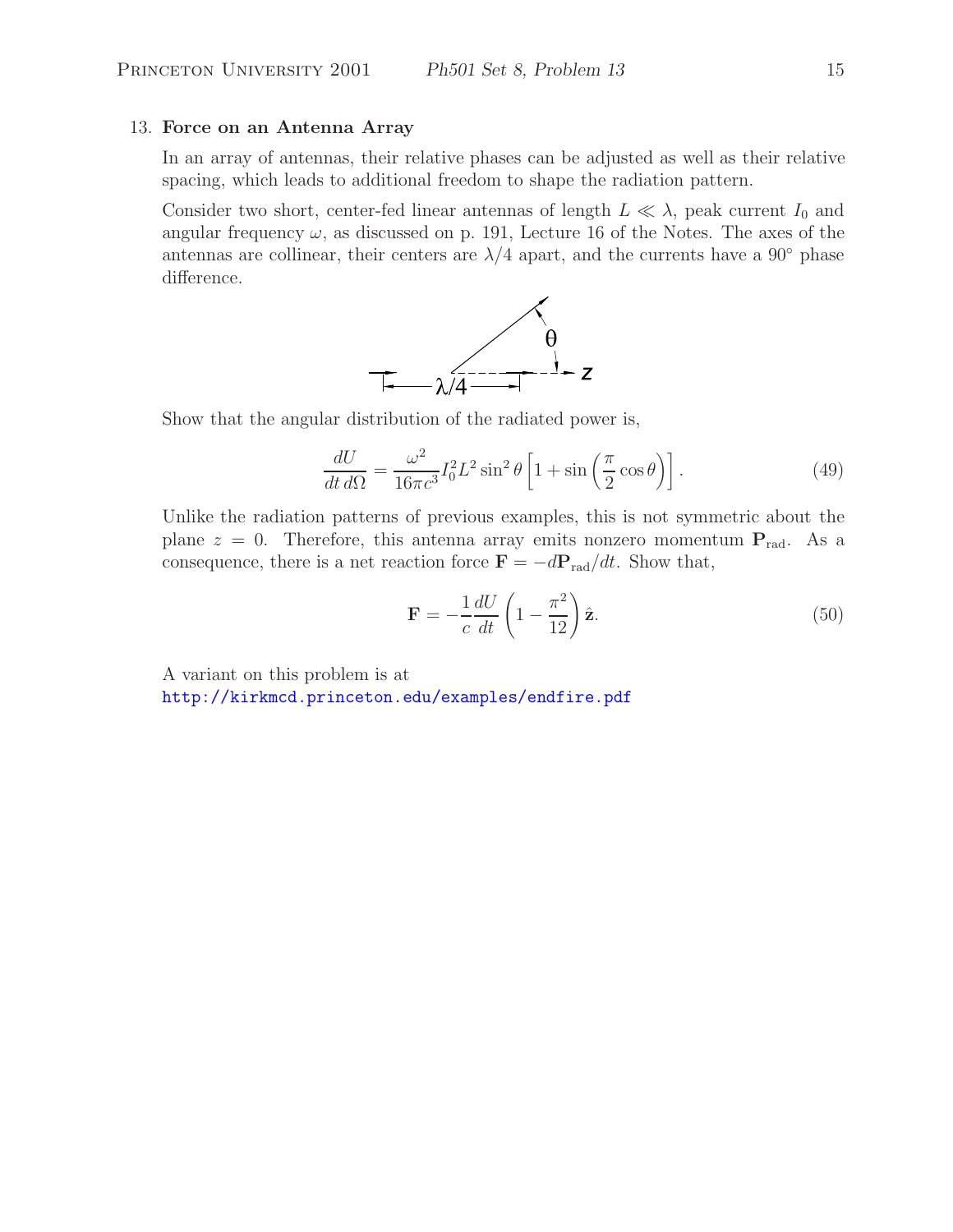#### 13. **Force on an Antenna Array**

In an array of antennas, their relative phases can be adjusted as well as their relative spacing, which leads to additional freedom to shape the radiation pattern.

Consider two short, center-fed linear antennas of length  $L \ll \lambda$ , peak current  $I_0$  and angular frequency  $\omega$ , as discussed on p. 191, Lecture 16 of the Notes. The axes of the antennas are collinear, their centers are  $\lambda/4$  apart, and the currents have a 90 $\degree$  phase difference.



Show that the angular distribution of the radiated power is,

$$
\frac{dU}{dt\,d\Omega} = \frac{\omega^2}{16\pi c^3} I_0^2 L^2 \sin^2\theta \left[1 + \sin\left(\frac{\pi}{2}\cos\theta\right)\right].\tag{49}
$$

Unlike the radiation patterns of previous examples, this is not symmetric about the plane  $z = 0$ . Therefore, this antenna array emits nonzero momentum  $P_{rad}$ . As a consequence, there is a net reaction force  $\mathbf{F} = -d\mathbf{P}_{rad}/dt$ . Show that,

$$
\mathbf{F} = -\frac{1}{c} \frac{dU}{dt} \left( 1 - \frac{\pi^2}{12} \right) \hat{\mathbf{z}}.
$$
 (50)

A variant on this problem is at

http://kirkmcd.princeton.edu/examples/endfire.pdf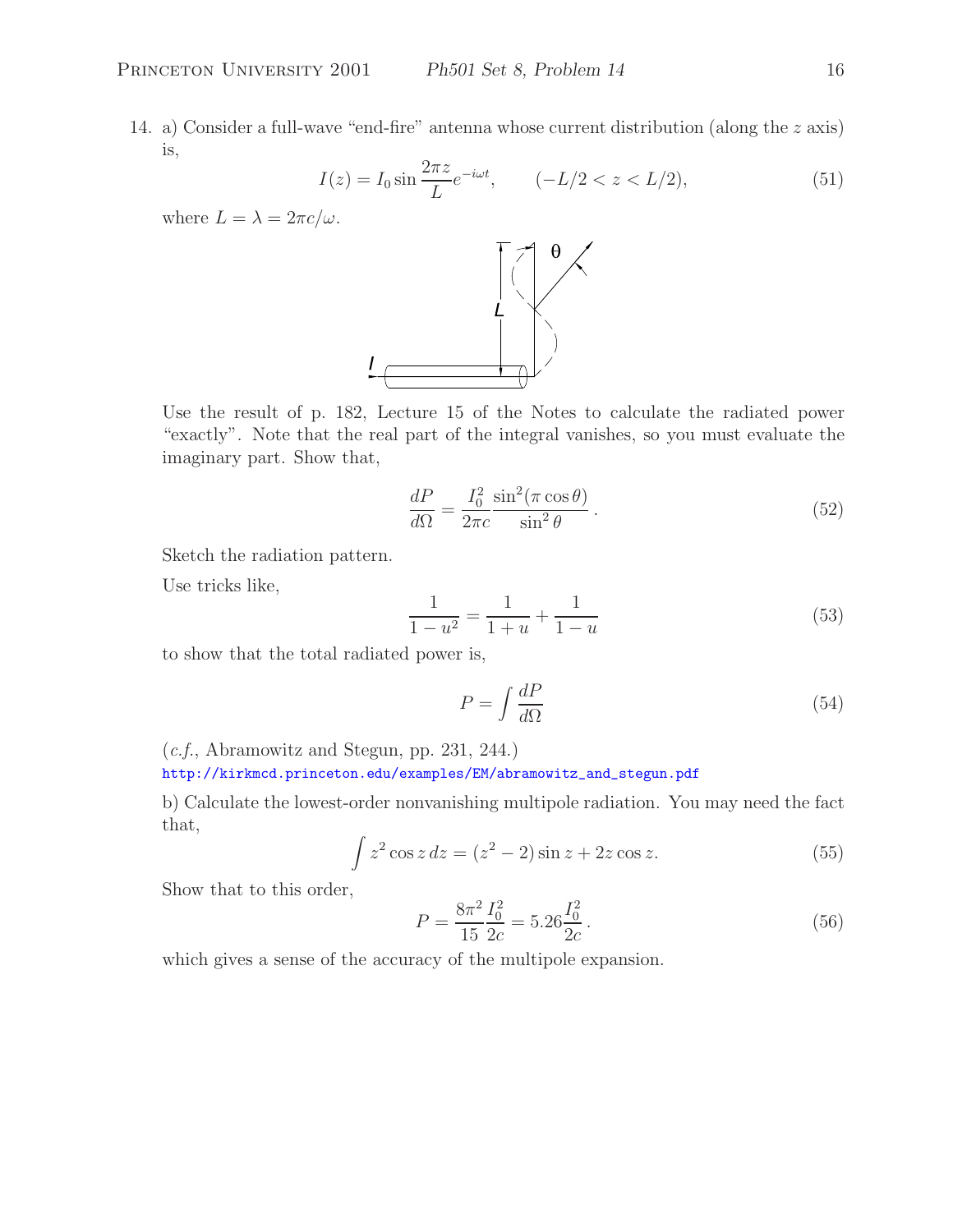14. a) Consider a full-wave "end-fire" antenna whose current distribution (along the z axis) is,

$$
I(z) = I_0 \sin \frac{2\pi z}{L} e^{-i\omega t}, \qquad (-L/2 < z < L/2), \tag{51}
$$

where  $L = \lambda = 2\pi c/\omega$ .



Use the result of p. 182, Lecture 15 of the Notes to calculate the radiated power "exactly". Note that the real part of the integral vanishes, so you must evaluate the imaginary part. Show that,

$$
\frac{dP}{d\Omega} = \frac{I_0^2}{2\pi c} \frac{\sin^2(\pi \cos \theta)}{\sin^2 \theta}.
$$
\n(52)

Sketch the radiation pattern.

Use tricks like,

$$
\frac{1}{1-u^2} = \frac{1}{1+u} + \frac{1}{1-u}
$$
(53)

to show that the total radiated power is,

$$
P = \int \frac{dP}{d\Omega} \tag{54}
$$

(*c.f.*, Abramowitz and Stegun, pp. 231, 244.)

http://kirkmcd.princeton.edu/examples/EM/abramowitz\_and\_stegun.pdf

b) Calculate the lowest-order nonvanishing multipole radiation. You may need the fact that,

$$
\int z^2 \cos z \, dz = (z^2 - 2) \sin z + 2z \cos z. \tag{55}
$$

Show that to this order,

$$
P = \frac{8\pi^2}{15} \frac{I_0^2}{2c} = 5.26 \frac{I_0^2}{2c}.
$$
\n(56)

which gives a sense of the accuracy of the multipole expansion.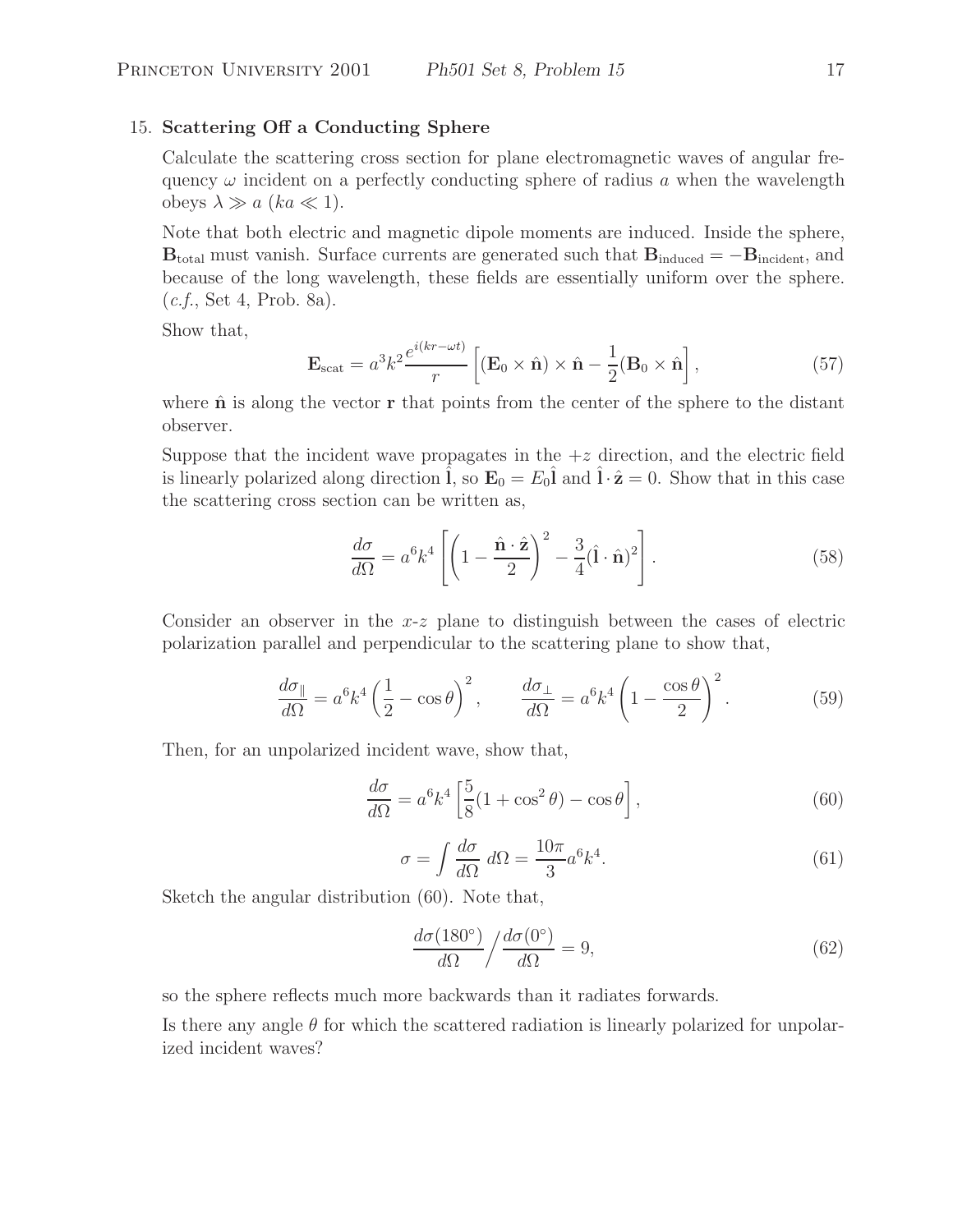## 15. **Scattering Off a Conducting Sphere**

Calculate the scattering cross section for plane electromagnetic waves of angular frequency  $\omega$  incident on a perfectly conducting sphere of radius a when the wavelength obeys  $\lambda \gg a$  (ka  $\ll 1$ ).

Note that both electric and magnetic dipole moments are induced. Inside the sphere,  $$ because of the long wavelength, these fields are essentially uniform over the sphere. (*c.f.*, Set 4, Prob. 8a).

Show that,

$$
\mathbf{E}_{scat} = a^3 k^2 \frac{e^{i(kr - \omega t)}}{r} \left[ (\mathbf{E}_0 \times \hat{\mathbf{n}}) \times \hat{\mathbf{n}} - \frac{1}{2} (\mathbf{B}_0 \times \hat{\mathbf{n}}) \right],
$$
 (57)

where  $\hat{\bf{n}}$  is along the vector  ${\bf r}$  that points from the center of the sphere to the distant observer.

Suppose that the incident wave propagates in the  $+z$  direction, and the electric field is linearly polarized along direction  $\hat{\mathbf{l}}$ , so  $\mathbf{E}_0 = E_0 \hat{\mathbf{l}}$  and  $\hat{\mathbf{l}} \cdot \hat{\mathbf{z}} = 0$ . Show that in this case the scattering cross section can be written as,

$$
\frac{d\sigma}{d\Omega} = a^6 k^4 \left[ \left( 1 - \frac{\hat{\mathbf{n}} \cdot \hat{\mathbf{z}}}{2} \right)^2 - \frac{3}{4} (\hat{\mathbf{l}} \cdot \hat{\mathbf{n}})^2 \right].
$$
 (58)

Consider an observer in the  $x-z$  plane to distinguish between the cases of electric polarization parallel and perpendicular to the scattering plane to show that,

$$
\frac{d\sigma_{\parallel}}{d\Omega} = a^6 k^4 \left(\frac{1}{2} - \cos\theta\right)^2, \qquad \frac{d\sigma_{\perp}}{d\Omega} = a^6 k^4 \left(1 - \frac{\cos\theta}{2}\right)^2. \tag{59}
$$

Then, for an unpolarized incident wave, show that,

$$
\frac{d\sigma}{d\Omega} = a^6 k^4 \left[ \frac{5}{8} (1 + \cos^2 \theta) - \cos \theta \right],\tag{60}
$$

$$
\sigma = \int \frac{d\sigma}{d\Omega} \, d\Omega = \frac{10\pi}{3} a^6 k^4. \tag{61}
$$

Sketch the angular distribution (60). Note that,

$$
\frac{d\sigma(180^\circ)}{d\Omega} / \frac{d\sigma(0^\circ)}{d\Omega} = 9,\t\t(62)
$$

so the sphere reflects much more backwards than it radiates forwards.

Is there any angle  $\theta$  for which the scattered radiation is linearly polarized for unpolarized incident waves?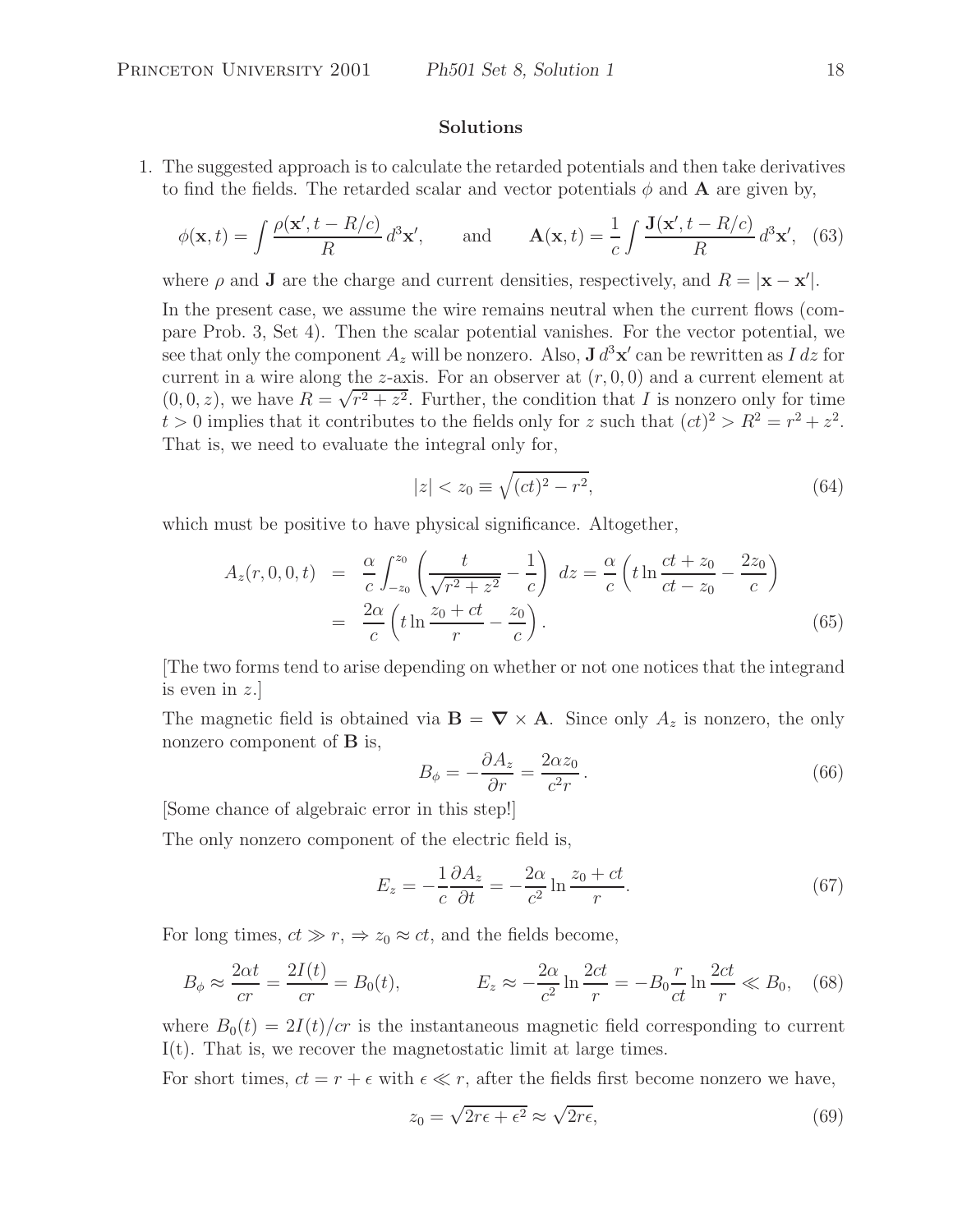#### **Solutions**

1. The suggested approach is to calculate the retarded potentials and then take derivatives to find the fields. The retarded scalar and vector potentials  $\phi$  and **A** are given by,

$$
\phi(\mathbf{x},t) = \int \frac{\rho(\mathbf{x}',t - R/c)}{R} d^3 \mathbf{x}', \quad \text{and} \quad \mathbf{A}(\mathbf{x},t) = \frac{1}{c} \int \frac{\mathbf{J}(\mathbf{x}',t - R/c)}{R} d^3 \mathbf{x}', \quad (63)
$$

where  $\rho$  and **J** are the charge and current densities, respectively, and  $R = |\mathbf{x} - \mathbf{x}'|$ .

In the present case, we assume the wire remains neutral when the current flows (compare Prob. 3, Set 4). Then the scalar potential vanishes. For the vector potential, we see that only the component  $A_z$  will be nonzero. Also, **J**  $d^3\mathbf{x}'$  can be rewritten as *I dz* for current in a wire along the z-axis. For an observer at  $(r, 0, 0)$  and a current element at current in a wire along the z-axis. For an observer at  $(r, 0, 0)$  and a current element at  $(0, 0, z)$ , we have  $R = \sqrt{r^2 + z^2}$ . Further, the condition that I is nonzero only for time  $t > 0$  implies that it contributes to the fields only for z such that  $(ct)^2 > R^2 = r^2 + z^2$ . That is, we need to evaluate the integral only for,

$$
|z| < z_0 \equiv \sqrt{(ct)^2 - r^2},\tag{64}
$$

which must be positive to have physical significance. Altogether,

$$
A_z(r,0,0,t) = \frac{\alpha}{c} \int_{-z_0}^{z_0} \left( \frac{t}{\sqrt{r^2 + z^2}} - \frac{1}{c} \right) dz = \frac{\alpha}{c} \left( t \ln \frac{ct + z_0}{ct - z_0} - \frac{2z_0}{c} \right)
$$
  
= 
$$
\frac{2\alpha}{c} \left( t \ln \frac{z_0 + ct}{r} - \frac{z_0}{c} \right).
$$
 (65)

[The two forms tend to arise depending on whether or not one notices that the integrand is even in z.]

The magnetic field is obtained via  $\mathbf{B} = \nabla \times \mathbf{A}$ . Since only  $A_z$  is nonzero, the only nonzero component of **B** is,

$$
B_{\phi} = -\frac{\partial A_z}{\partial r} = \frac{2\alpha z_0}{c^2 r} \,. \tag{66}
$$

[Some chance of algebraic error in this step!]

The only nonzero component of the electric field is,

$$
E_z = -\frac{1}{c} \frac{\partial A_z}{\partial t} = -\frac{2\alpha}{c^2} \ln \frac{z_0 + ct}{r}.
$$
 (67)

For long times,  $ct \gg r$ ,  $\Rightarrow z_0 \approx ct$ , and the fields become,

$$
B_{\phi} \approx \frac{2\alpha t}{cr} = \frac{2I(t)}{cr} = B_0(t), \qquad E_z \approx -\frac{2\alpha}{c^2} \ln \frac{2ct}{r} = -B_0 \frac{r}{ct} \ln \frac{2ct}{r} \ll B_0, \quad (68)
$$

where  $B_0(t)=2I(t)/cr$  is the instantaneous magnetic field corresponding to current I(t). That is, we recover the magnetostatic limit at large times.

For short times,  $ct = r + \epsilon$  with  $\epsilon \ll r$ , after the fields first become nonzero we have,

$$
z_0 = \sqrt{2r\epsilon + \epsilon^2} \approx \sqrt{2r\epsilon},\tag{69}
$$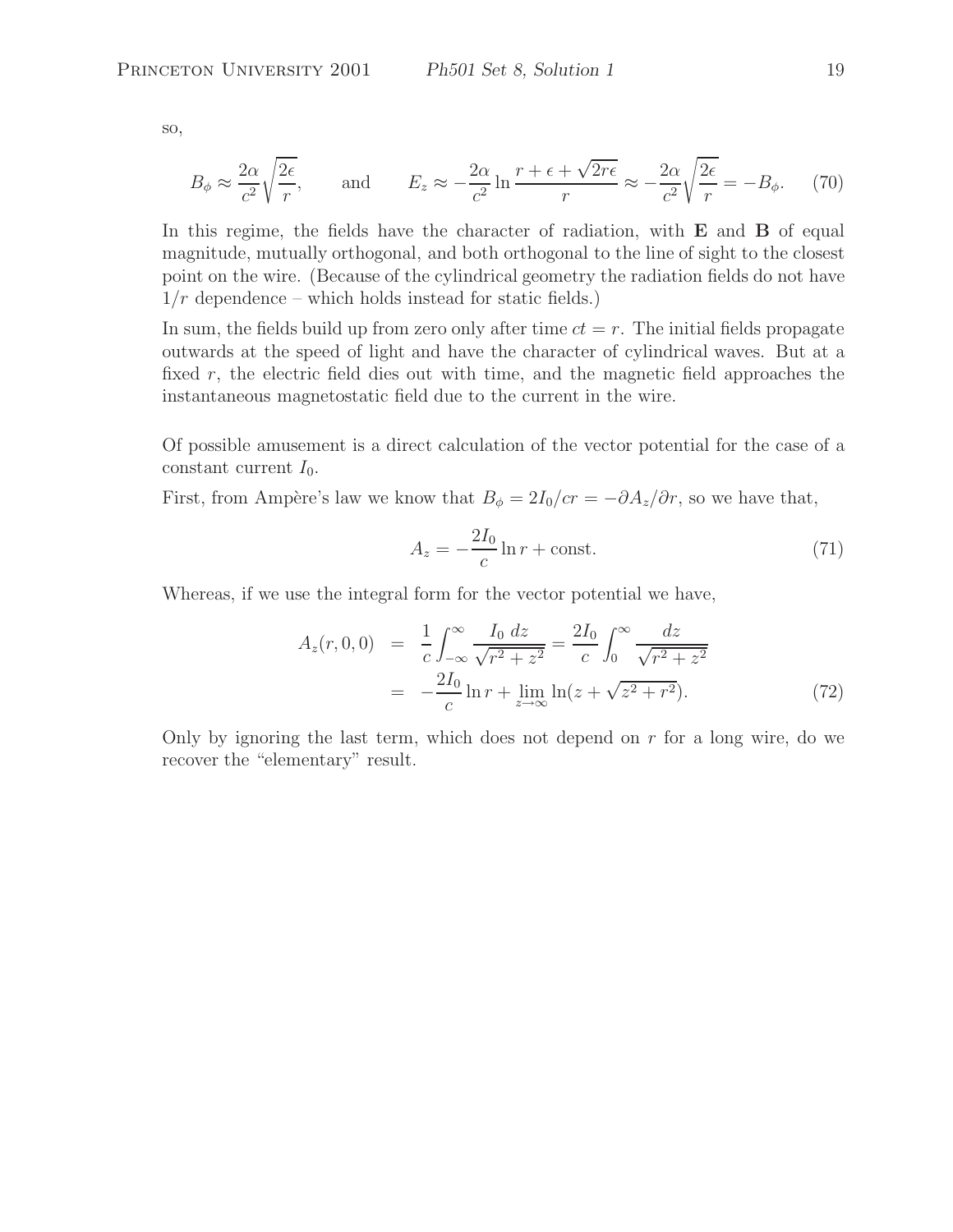so,

$$
B_{\phi} \approx \frac{2\alpha}{c^2} \sqrt{\frac{2\epsilon}{r}}, \quad \text{and} \quad E_z \approx -\frac{2\alpha}{c^2} \ln \frac{r + \epsilon + \sqrt{2r\epsilon}}{r} \approx -\frac{2\alpha}{c^2} \sqrt{\frac{2\epsilon}{r}} = -B_{\phi}. \quad (70)
$$

In this regime, the fields have the character of radiation, with **E** and **B** of equal magnitude, mutually orthogonal, and both orthogonal to the line of sight to the closest point on the wire. (Because of the cylindrical geometry the radiation fields do not have  $1/r$  dependence – which holds instead for static fields.)

In sum, the fields build up from zero only after time  $ct = r$ . The initial fields propagate outwards at the speed of light and have the character of cylindrical waves. But at a fixed r, the electric field dies out with time, and the magnetic field approaches the instantaneous magnetostatic field due to the current in the wire.

Of possible amusement is a direct calculation of the vector potential for the case of a constant current  $I_0$ .

First, from Ampère's law we know that  $B_{\phi} = 2I_0/cr = -\partial A_z/\partial r$ , so we have that,

$$
A_z = -\frac{2I_0}{c} \ln r + \text{const.} \tag{71}
$$

Whereas, if we use the integral form for the vector potential we have,

$$
A_z(r,0,0) = \frac{1}{c} \int_{-\infty}^{\infty} \frac{I_0 dz}{\sqrt{r^2 + z^2}} = \frac{2I_0}{c} \int_0^{\infty} \frac{dz}{\sqrt{r^2 + z^2}}
$$
  
= 
$$
-\frac{2I_0}{c} \ln r + \lim_{z \to \infty} \ln(z + \sqrt{z^2 + r^2}).
$$
 (72)

Only by ignoring the last term, which does not depend on  $r$  for a long wire, do we recover the "elementary" result.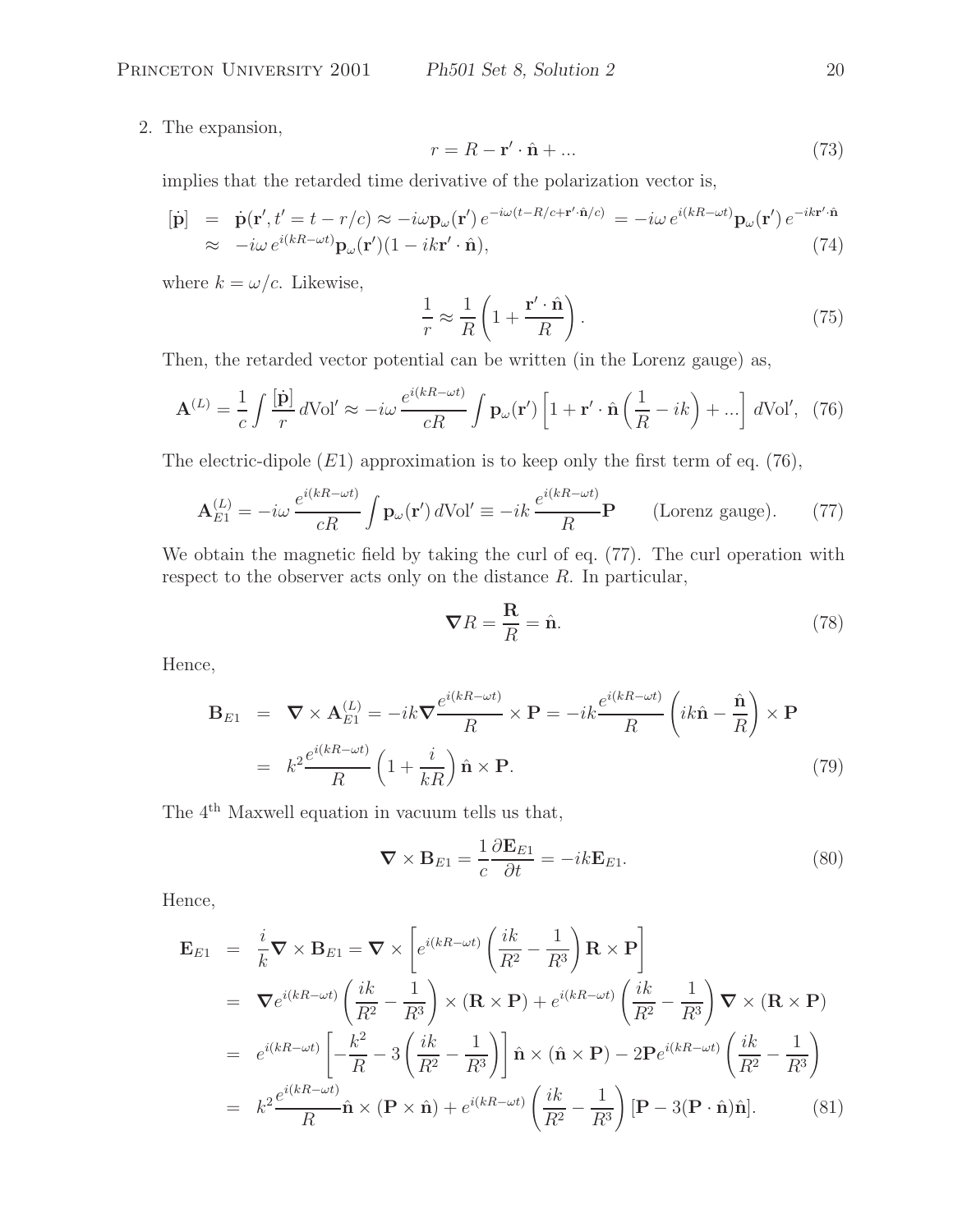2. The expansion,

$$
r = R - \mathbf{r}' \cdot \hat{\mathbf{n}} + \dots \tag{73}
$$

implies that the retarded time derivative of the polarization vector is,

$$
\begin{array}{rcl}\n[\dot{\mathbf{p}}] & = & \dot{\mathbf{p}}(\mathbf{r}', t' = t - r/c) \approx -i\omega \mathbf{p}_{\omega}(\mathbf{r}') \, e^{-i\omega(t - R/c + \mathbf{r}' \cdot \hat{\mathbf{n}}/c)} = -i\omega \, e^{i(kR - \omega t)} \mathbf{p}_{\omega}(\mathbf{r}') \, e^{-ik\mathbf{r}' \cdot \hat{\mathbf{n}}} \\
& \approx & -i\omega \, e^{i(kR - \omega t)} \mathbf{p}_{\omega}(\mathbf{r}') (1 - ik\mathbf{r}' \cdot \hat{\mathbf{n}}),\n\end{array} \tag{74}
$$

where  $k = \omega/c$ . Likewise,

$$
\frac{1}{r} \approx \frac{1}{R} \left( 1 + \frac{\mathbf{r}' \cdot \hat{\mathbf{n}}}{R} \right). \tag{75}
$$

Then, the retarded vector potential can be written (in the Lorenz gauge) as,

$$
\mathbf{A}^{(L)} = \frac{1}{c} \int \frac{[\dot{\mathbf{p}}]}{r} d\text{Vol}' \approx -i\omega \frac{e^{i(kR-\omega t)}}{cR} \int \mathbf{p}_{\omega}(\mathbf{r}') \left[1 + \mathbf{r}' \cdot \hat{\mathbf{n}} \left(\frac{1}{R} - ik\right) + \ldots\right] d\text{Vol}', \tag{76}
$$

The electric-dipole  $(E1)$  approximation is to keep only the first term of eq. (76),

$$
\mathbf{A}_{E1}^{(L)} = -i\omega \, \frac{e^{i(kR - \omega t)}}{cR} \int \mathbf{p}_{\omega}(\mathbf{r}') \, d\text{Vol}' \equiv -ik \, \frac{e^{i(kR - \omega t)}}{R} \mathbf{P} \qquad \text{(Lorenz gauge)}.\tag{77}
$$

We obtain the magnetic field by taking the curl of eq. (77). The curl operation with respect to the observer acts only on the distance  $R$ . In particular,

$$
\nabla R = \frac{\mathbf{R}}{R} = \hat{\mathbf{n}}.\tag{78}
$$

Hence,

$$
\mathbf{B}_{E1} = \nabla \times \mathbf{A}_{E1}^{(L)} = -ik \nabla \frac{e^{i(kR - \omega t)}}{R} \times \mathbf{P} = -ik \frac{e^{i(kR - \omega t)}}{R} \left( ik \hat{\mathbf{n}} - \frac{\hat{\mathbf{n}}}{R} \right) \times \mathbf{P}
$$

$$
= k^2 \frac{e^{i(kR - \omega t)}}{R} \left( 1 + \frac{i}{kR} \right) \hat{\mathbf{n}} \times \mathbf{P}.
$$
(79)

The 4<sup>th</sup> Maxwell equation in vacuum tells us that,

$$
\nabla \times \mathbf{B}_{E1} = \frac{1}{c} \frac{\partial \mathbf{E}_{E1}}{\partial t} = -ik \mathbf{E}_{E1}.
$$
 (80)

Hence,

$$
\mathbf{E}_{E1} = \frac{i}{k} \nabla \times \mathbf{B}_{E1} = \nabla \times \left[ e^{i(kR - \omega t)} \left( \frac{ik}{R^2} - \frac{1}{R^3} \right) \mathbf{R} \times \mathbf{P} \right]
$$
\n
$$
= \nabla e^{i(kR - \omega t)} \left( \frac{ik}{R^2} - \frac{1}{R^3} \right) \times (\mathbf{R} \times \mathbf{P}) + e^{i(kR - \omega t)} \left( \frac{ik}{R^2} - \frac{1}{R^3} \right) \nabla \times (\mathbf{R} \times \mathbf{P})
$$
\n
$$
= e^{i(kR - \omega t)} \left[ -\frac{k^2}{R} - 3 \left( \frac{ik}{R^2} - \frac{1}{R^3} \right) \right] \hat{\mathbf{n}} \times (\hat{\mathbf{n}} \times \mathbf{P}) - 2 \mathbf{P} e^{i(kR - \omega t)} \left( \frac{ik}{R^2} - \frac{1}{R^3} \right)
$$
\n
$$
= k^2 \frac{e^{i(kR - \omega t)}}{R} \hat{\mathbf{n}} \times (\mathbf{P} \times \hat{\mathbf{n}}) + e^{i(kR - \omega t)} \left( \frac{ik}{R^2} - \frac{1}{R^3} \right) [\mathbf{P} - 3(\mathbf{P} \cdot \hat{\mathbf{n}}) \hat{\mathbf{n}}]. \tag{81}
$$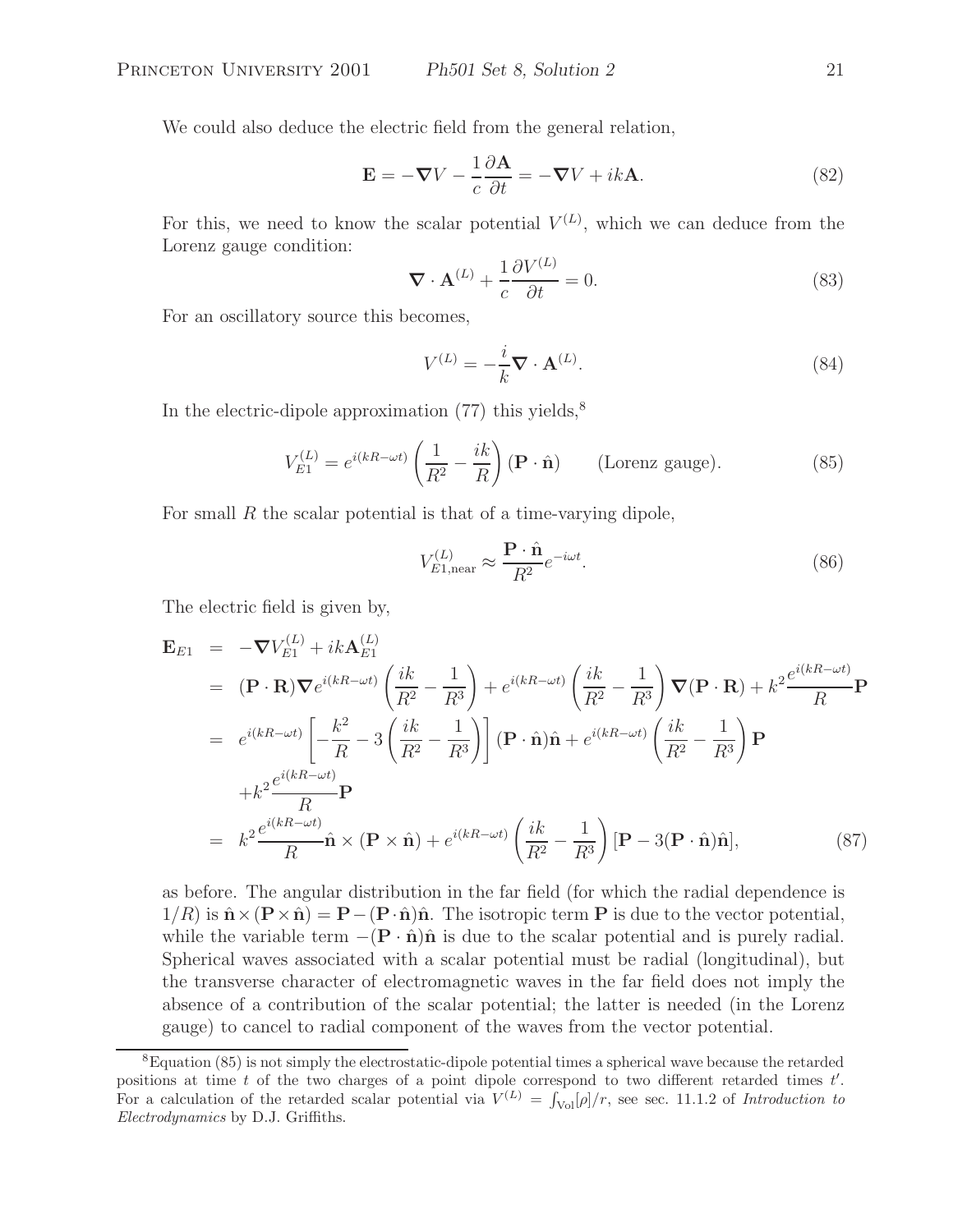We could also deduce the electric field from the general relation,

$$
\mathbf{E} = -\nabla V - \frac{1}{c} \frac{\partial \mathbf{A}}{\partial t} = -\nabla V + ik\mathbf{A}.
$$
 (82)

For this, we need to know the scalar potential  $V^{(L)}$ , which we can deduce from the Lorenz gauge condition:

$$
\nabla \cdot \mathbf{A}^{(L)} + \frac{1}{c} \frac{\partial V^{(L)}}{\partial t} = 0.
$$
 (83)

For an oscillatory source this becomes,

$$
V^{(L)} = -\frac{i}{k}\nabla \cdot \mathbf{A}^{(L)}.
$$
\n(84)

In the electric-dipole approximation  $(77)$  this yields,<sup>8</sup>

$$
V_{E1}^{(L)} = e^{i(kR - \omega t)} \left(\frac{1}{R^2} - \frac{ik}{R}\right) (\mathbf{P} \cdot \hat{\mathbf{n}})
$$
 (Lorenz gauge). (85)

For small  $R$  the scalar potential is that of a time-varying dipole,

$$
V_{E1, \text{near}}^{(L)} \approx \frac{\mathbf{P} \cdot \hat{\mathbf{n}}}{R^2} e^{-i\omega t}.
$$
 (86)

The electric field is given by,

$$
\mathbf{E}_{E1} = -\nabla V_{E1}^{(L)} + ik\mathbf{A}_{E1}^{(L)}
$$
\n
$$
= (\mathbf{P} \cdot \mathbf{R})\nabla e^{i(kR - \omega t)} \left(\frac{ik}{R^2} - \frac{1}{R^3}\right) + e^{i(kR - \omega t)} \left(\frac{ik}{R^2} - \frac{1}{R^3}\right) \nabla (\mathbf{P} \cdot \mathbf{R}) + k^2 \frac{e^{i(kR - \omega t)}}{R} \mathbf{P}
$$
\n
$$
= e^{i(kR - \omega t)} \left[ -\frac{k^2}{R} - 3\left(\frac{ik}{R^2} - \frac{1}{R^3}\right) \right] (\mathbf{P} \cdot \hat{\mathbf{n}}) \hat{\mathbf{n}} + e^{i(kR - \omega t)} \left(\frac{ik}{R^2} - \frac{1}{R^3}\right) \mathbf{P}
$$
\n
$$
+ k^2 \frac{e^{i(kR - \omega t)}}{R} \mathbf{P}
$$
\n
$$
= k^2 \frac{e^{i(kR - \omega t)}}{R} \hat{\mathbf{n}} \times (\mathbf{P} \times \hat{\mathbf{n}}) + e^{i(kR - \omega t)} \left(\frac{ik}{R^2} - \frac{1}{R^3}\right) [\mathbf{P} - 3(\mathbf{P} \cdot \hat{\mathbf{n}}) \hat{\mathbf{n}}], \tag{87}
$$

as before. The angular distribution in the far field (for which the radial dependence is  $1/R$  is  $\hat{\mathbf{n}} \times (\mathbf{P} \times \hat{\mathbf{n}}) = \mathbf{P} - (\mathbf{P} \cdot \hat{\mathbf{n}})\hat{\mathbf{n}}$ . The isotropic term **P** is due to the vector potential, while the variable term  $-(\mathbf{P} \cdot \hat{\mathbf{n}})\hat{\mathbf{n}}$  is due to the scalar potential and is purely radial. Spherical waves associated with a scalar potential must be radial (longitudinal), but the transverse character of electromagnetic waves in the far field does not imply the absence of a contribution of the scalar potential; the latter is needed (in the Lorenz gauge) to cancel to radial component of the waves from the vector potential.

 ${}^{8}$ Equation (85) is not simply the electrostatic-dipole potential times a spherical wave because the retarded positions at time t of the two charges of a point dipole correspond to two different retarded times  $t'$ . For a calculation of the retarded scalar potential via  $V^{(L)} = \int_{\text{Vol}} [\rho] / r$ , see sec. 11.1.2 of *Introduction to Electrodynamics* by D.J. Griffiths.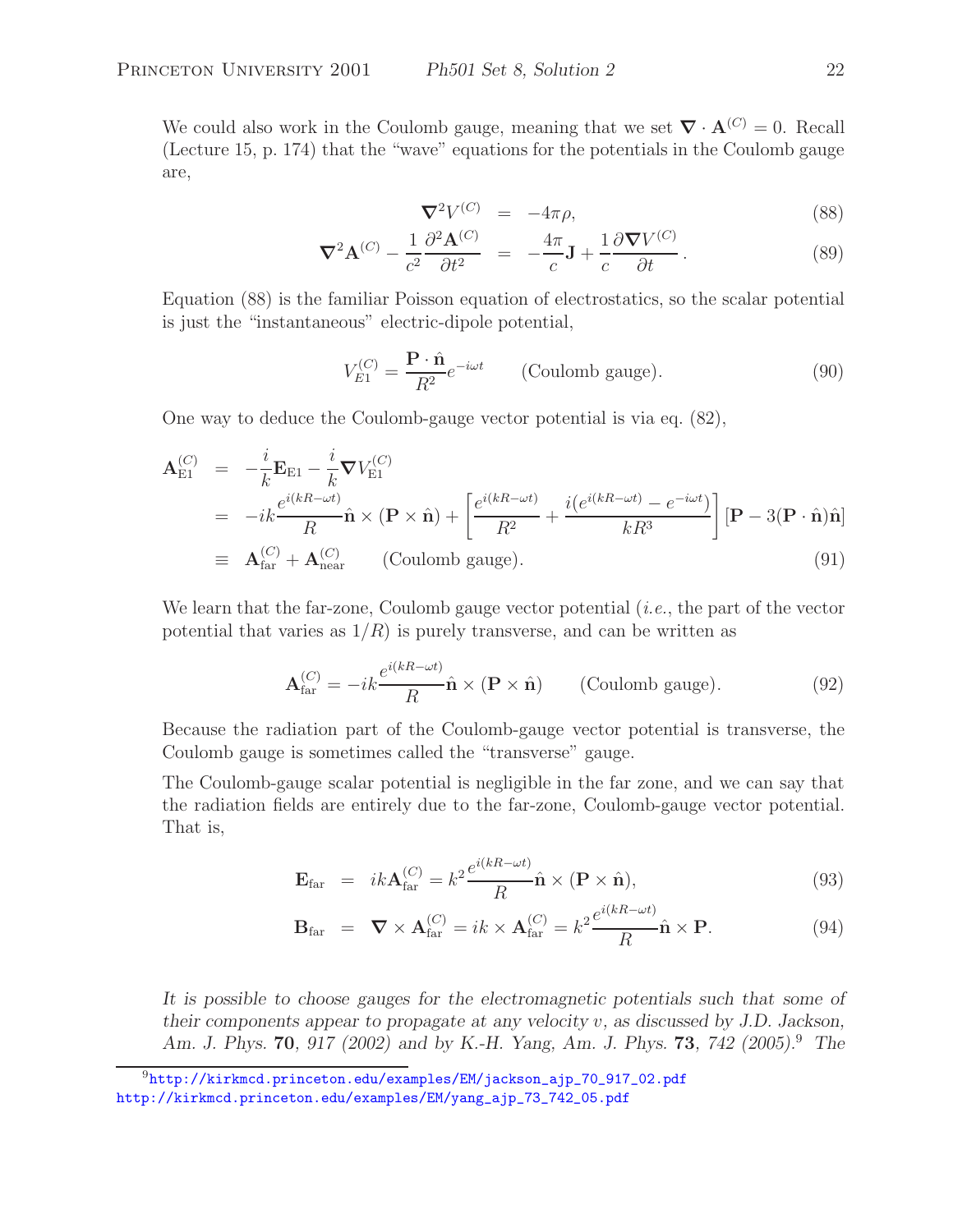We could also work in the Coulomb gauge, meaning that we set  $\nabla \cdot \mathbf{A}^{(C)} = 0$ . Recall (Lecture 15, p. 174) that the "wave" equations for the potentials in the Coulomb gauge are,

$$
\nabla^2 V^{(C)} = -4\pi \rho, \tag{88}
$$

$$
\nabla^2 \mathbf{A}^{(C)} - \frac{1}{c^2} \frac{\partial^2 \mathbf{A}^{(C)}}{\partial t^2} = -\frac{4\pi}{c} \mathbf{J} + \frac{1}{c} \frac{\partial \nabla V^{(C)}}{\partial t}.
$$
 (89)

Equation (88) is the familiar Poisson equation of electrostatics, so the scalar potential is just the "instantaneous" electric-dipole potential,

$$
V_{E1}^{(C)} = \frac{\mathbf{P} \cdot \hat{\mathbf{n}}}{R^2} e^{-i\omega t}
$$
 (Coulomb gauge). (90)

One way to deduce the Coulomb-gauge vector potential is via eq. (82),

$$
\mathbf{A}_{\text{E1}}^{(C)} = -\frac{i}{k} \mathbf{E}_{\text{E1}} - \frac{i}{k} \nabla V_{\text{E1}}^{(C)} \n= -ik \frac{e^{i(kR - \omega t)}}{R} \hat{\mathbf{n}} \times (\mathbf{P} \times \hat{\mathbf{n}}) + \left[ \frac{e^{i(kR - \omega t)}}{R^2} + \frac{i(e^{i(kR - \omega t)} - e^{-i\omega t})}{kR^3} \right] [\mathbf{P} - 3(\mathbf{P} \cdot \hat{\mathbf{n}}) \hat{\mathbf{n}}] \n\equiv \mathbf{A}_{\text{far}}^{(C)} + \mathbf{A}_{\text{near}}^{(C)}
$$
 (Coulomb gauge). (91)

We learn that the far-zone, Coulomb gauge vector potential (*i.e.*, the part of the vector potential that varies as  $1/R$ ) is purely transverse, and can be written as

$$
\mathbf{A}_{\text{far}}^{(C)} = -ik \frac{e^{i(kR - \omega t)}}{R} \hat{\mathbf{n}} \times (\mathbf{P} \times \hat{\mathbf{n}})
$$
 (Coulomb gauge). (92)

Because the radiation part of the Coulomb-gauge vector potential is transverse, the Coulomb gauge is sometimes called the "transverse" gauge.

The Coulomb-gauge scalar potential is negligible in the far zone, and we can say that the radiation fields are entirely due to the far-zone, Coulomb-gauge vector potential. That is,

$$
\mathbf{E}_{\text{far}} = ik\mathbf{A}_{\text{far}}^{(C)} = k^2 \frac{e^{i(kR - \omega t)}}{R} \hat{\mathbf{n}} \times (\mathbf{P} \times \hat{\mathbf{n}}),
$$
\n(93)

$$
\mathbf{B}_{\text{far}} = \nabla \times \mathbf{A}_{\text{far}}^{(C)} = ik \times \mathbf{A}_{\text{far}}^{(C)} = k^2 \frac{e^{i(\kappa \mathbf{A} - \omega t)}}{R} \hat{\mathbf{n}} \times \mathbf{P}.
$$
 (94)

*It is possible to choose gauges for the electromagnetic potentials such that some of their components appear to propagate at any velocity* v*, as discussed by J.D. Jackson, Am. J. Phys.* **70***, 917 (2002) and by K.-H. Yang, Am. J. Phys.* **73***, 742 (2005).*<sup>9</sup> *The*

<sup>9</sup>http://kirkmcd.princeton.edu/examples/EM/jackson\_ajp\_70\_917\_02.pdf http://kirkmcd.princeton.edu/examples/EM/yang\_ajp\_73\_742\_05.pdf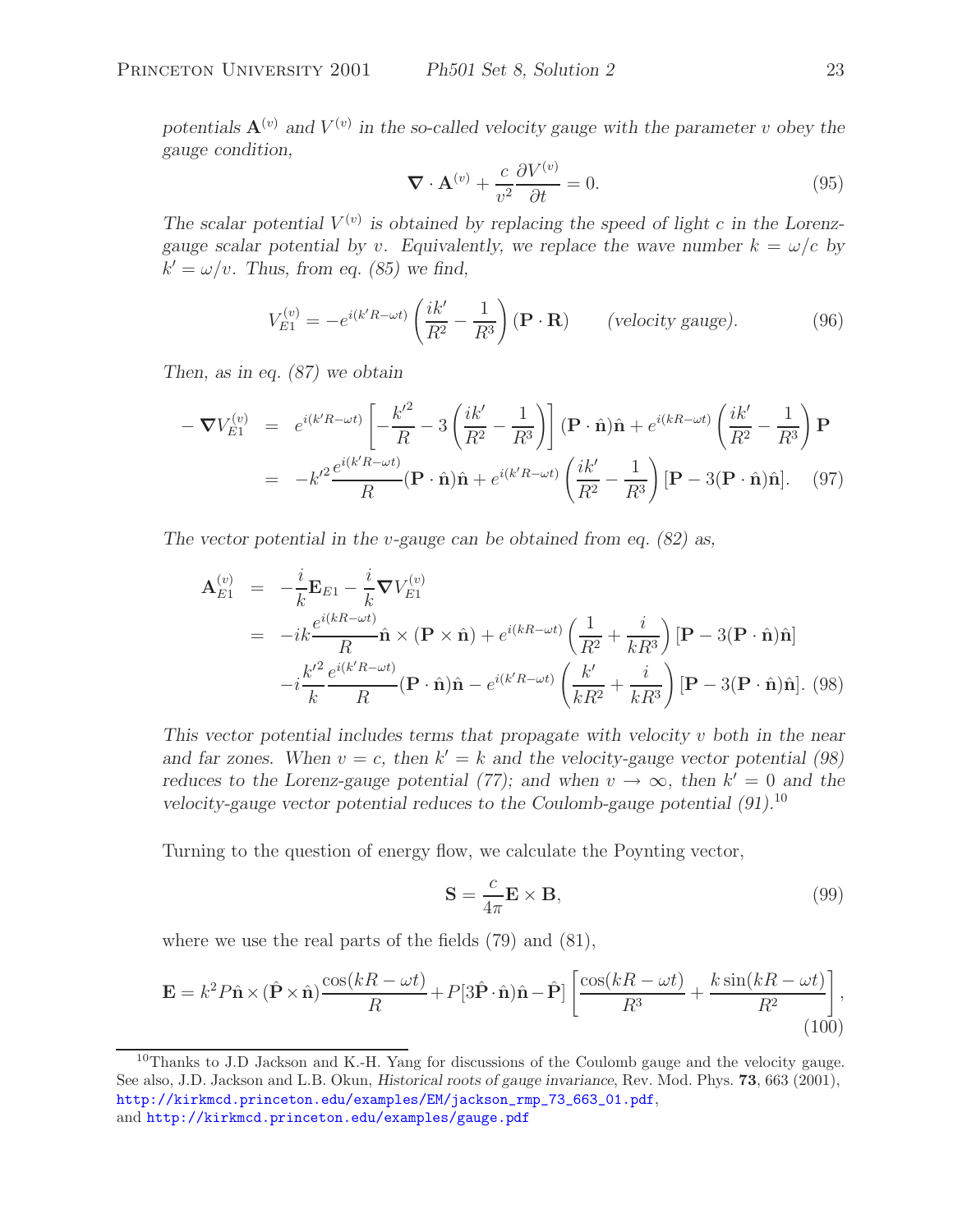*potentials*  $\mathbf{A}^{(v)}$  *and*  $V^{(v)}$  *in the so-called velocity gauge with the parameter* v *obey the gauge condition,*

$$
\nabla \cdot \mathbf{A}^{(v)} + \frac{c}{v^2} \frac{\partial V^{(v)}}{\partial t} = 0.
$$
 (95)

The scalar potential  $V^{(v)}$  is obtained by replacing the speed of light c in the Lorenz*gauge scalar potential by v.* Equivalently, we replace the wave number  $k = \omega/c$  by  $k' = \omega/v$ . Thus, from eq. (85) we find,

$$
V_{E1}^{(v)} = -e^{i(k'R - \omega t)} \left(\frac{ik'}{R^2} - \frac{1}{R^3}\right) (\mathbf{P} \cdot \mathbf{R}) \qquad \text{(velocity gauge)}.
$$
 (96)

*Then, as in eq. (87) we obtain*

$$
-\nabla V_{E1}^{(v)} = e^{i(k'R - \omega t)} \left[ -\frac{k'^2}{R} - 3\left(\frac{ik'}{R^2} - \frac{1}{R^3}\right) \right] (\mathbf{P} \cdot \hat{\mathbf{n}}) \hat{\mathbf{n}} + e^{i(kR - \omega t)} \left(\frac{ik'}{R^2} - \frac{1}{R^3}\right) \mathbf{P}
$$
  

$$
= -k'^2 \frac{e^{i(k'R - \omega t)}}{R} (\mathbf{P} \cdot \hat{\mathbf{n}}) \hat{\mathbf{n}} + e^{i(k'R - \omega t)} \left(\frac{ik'}{R^2} - \frac{1}{R^3}\right) [\mathbf{P} - 3(\mathbf{P} \cdot \hat{\mathbf{n}}) \hat{\mathbf{n}}].
$$
 (97)

*The vector potential in the* v*-gauge can be obtained from eq. (82) as,*

$$
\mathbf{A}_{E1}^{(v)} = -\frac{i}{k} \mathbf{E}_{E1} - \frac{i}{k} \nabla V_{E1}^{(v)}
$$
\n
$$
= -ik \frac{e^{i(kR - \omega t)}}{R} \hat{\mathbf{n}} \times (\mathbf{P} \times \hat{\mathbf{n}}) + e^{i(kR - \omega t)} \left(\frac{1}{R^2} + \frac{i}{kR^3}\right) [\mathbf{P} - 3(\mathbf{P} \cdot \hat{\mathbf{n}}) \hat{\mathbf{n}}]
$$
\n
$$
-i \frac{k'^2}{k} \frac{e^{i(k'R - \omega t)}}{R} (\mathbf{P} \cdot \hat{\mathbf{n}}) \hat{\mathbf{n}} - e^{i(k'R - \omega t)} \left(\frac{k'}{kR^2} + \frac{i}{kR^3}\right) [\mathbf{P} - 3(\mathbf{P} \cdot \hat{\mathbf{n}}) \hat{\mathbf{n}}].
$$
\n(98)

*This vector potential includes terms that propagate with velocity* v *both in the near* and far zones. When  $v = c$ , then  $k' = k$  and the velocity-gauge vector potential (98) *reduces to the Lorenz-gauge potential (77); and when*  $v \to \infty$ *, then*  $k' = 0$  *and the velocity-gauge vector potential reduces to the Coulomb-gauge potential (91).*<sup>10</sup>

Turning to the question of energy flow, we calculate the Poynting vector,

$$
\mathbf{S} = \frac{c}{4\pi} \mathbf{E} \times \mathbf{B},\tag{99}
$$

where we use the real parts of the fields (79) and (81),

$$
\mathbf{E} = k^2 P \hat{\mathbf{n}} \times (\hat{\mathbf{P}} \times \hat{\mathbf{n}}) \frac{\cos(kR - \omega t)}{R} + P[3\hat{\mathbf{P}} \cdot \hat{\mathbf{n}}) \hat{\mathbf{n}} - \hat{\mathbf{P}}] \left[ \frac{\cos(kR - \omega t)}{R^3} + \frac{k \sin(kR - \omega t)}{R^2} \right],
$$
\n(100)

<sup>&</sup>lt;sup>10</sup>Thanks to J.D Jackson and K.-H. Yang for discussions of the Coulomb gauge and the velocity gauge. See also, J.D. Jackson and L.B. Okun, *Historical roots of gauge invariance*, Rev. Mod. Phys. **<sup>73</sup>**, 663 (2001), http://kirkmcd.princeton.edu/examples/EM/jackson\_rmp\_73\_663\_01.pdf, and http://kirkmcd.princeton.edu/examples/gauge.pdf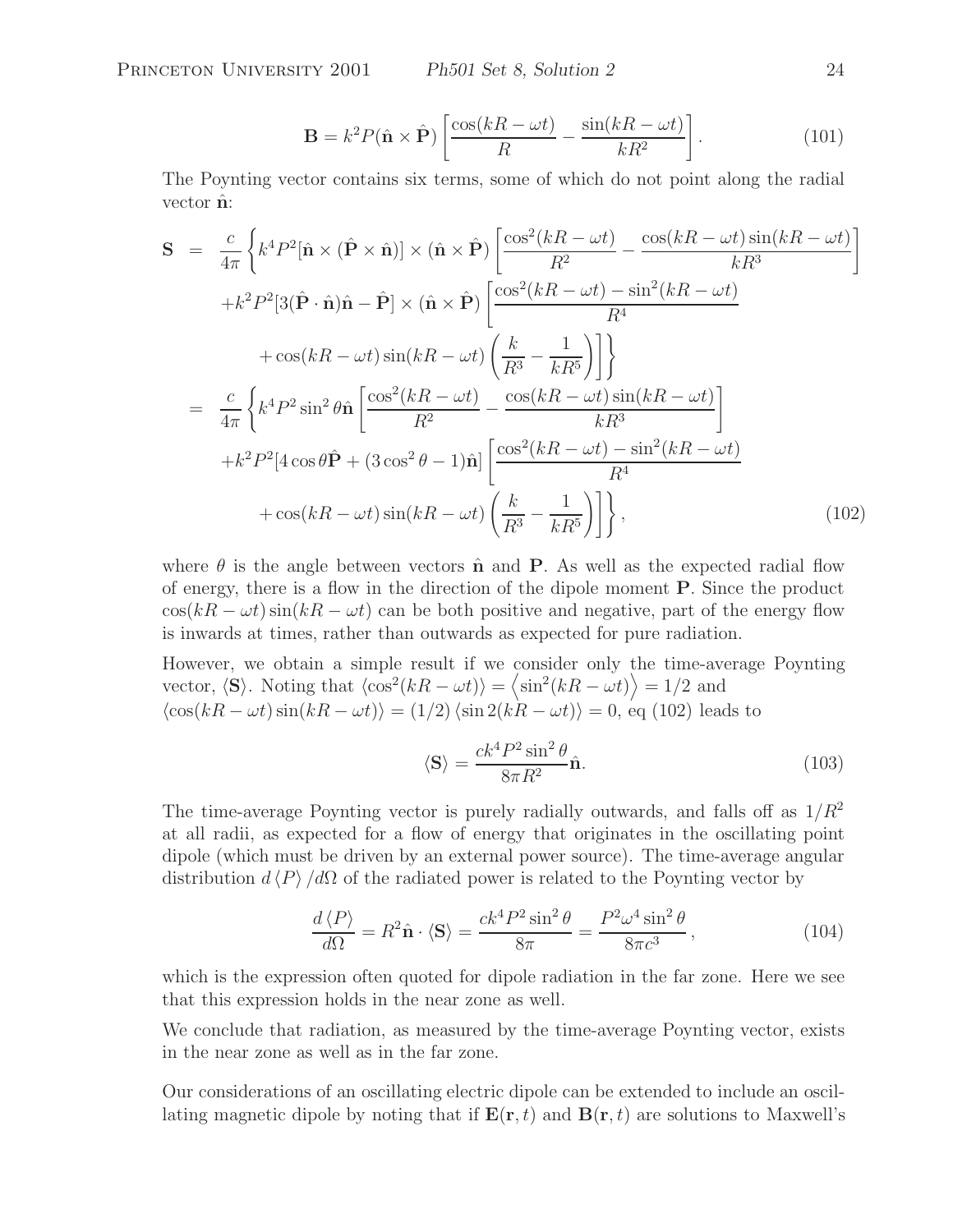Princeton University 2001 *Ph501 Set 8, Solution 2* 24

$$
\mathbf{B} = k^2 P(\hat{\mathbf{n}} \times \hat{\mathbf{P}}) \left[ \frac{\cos(kR - \omega t)}{R} - \frac{\sin(kR - \omega t)}{kR^2} \right].
$$
 (101)

The Poynting vector contains six terms, some of which do not point along the radial vector  $\hat{\mathbf{n}}$ :

$$
\mathbf{S} = \frac{c}{4\pi} \left\{ k^4 P^2 [\hat{\mathbf{n}} \times (\hat{\mathbf{P}} \times \hat{\mathbf{n}})] \times (\hat{\mathbf{n}} \times \hat{\mathbf{P}}) \left[ \frac{\cos^2(kR - \omega t)}{R^2} - \frac{\cos(kR - \omega t)\sin(kR - \omega t)}{kR^3} \right] \right\}
$$
  
+  $k^2 P^2 [3(\hat{\mathbf{P}} \cdot \hat{\mathbf{n}})\hat{\mathbf{n}} - \hat{\mathbf{P}}] \times (\hat{\mathbf{n}} \times \hat{\mathbf{P}}) \left[ \frac{\cos^2(kR - \omega t) - \sin^2(kR - \omega t)}{R^4} \right]$   
+  $\cos(kR - \omega t)\sin(kR - \omega t) \left( \frac{k}{R^3} - \frac{1}{kR^5} \right) \right]$   
=  $\frac{c}{4\pi} \left\{ k^4 P^2 \sin^2 \theta \hat{\mathbf{n}} \left[ \frac{\cos^2(kR - \omega t)}{R^2} - \frac{\cos(kR - \omega t)\sin(kR - \omega t)}{kR^3} \right] \right\}$   
+  $k^2 P^2 [4 \cos \theta \hat{\mathbf{P}} + (3 \cos^2 \theta - 1)\hat{\mathbf{n}}] \left[ \frac{\cos^2(kR - \omega t) - \sin^2(kR - \omega t)}{R^4} \right]$   
+  $\cos(kR - \omega t)\sin(kR - \omega t) \left( \frac{k}{R^3} - \frac{1}{kR^5} \right) \right]$ , (102)

where  $\theta$  is the angle between vectors  $\hat{\bf{n}}$  and **P**. As well as the expected radial flow of energy, there is a flow in the direction of the dipole moment **P**. Since the product  $\cos(kR - \omega t)\sin(kR - \omega t)$  can be both positive and negative, part of the energy flow is inwards at times, rather than outwards as expected for pure radiation.

However, we obtain a simple result if we consider only the time-average Poynting vector,  $\langle S \rangle$ . Noting that  $\langle \cos^2(kR - \omega t) \rangle = \langle \sin^2(kR - \omega t) \rangle = 1/2$  and  $\langle \cos(kR - \omega t) \sin(kR - \omega t) \rangle = (1/2) \langle \sin 2(kR - \omega t) \rangle = 0$ , eq (102) leads to

$$
\langle \mathbf{S} \rangle = \frac{ck^4 P^2 \sin^2 \theta}{8\pi R^2} \hat{\mathbf{n}}.\tag{103}
$$

The time-average Poynting vector is purely radially outwards, and falls off as  $1/R^2$ at all radii, as expected for a flow of energy that originates in the oscillating point dipole (which must be driven by an external power source). The time-average angular distribution  $d \langle P \rangle / d\Omega$  of the radiated power is related to the Poynting vector by

$$
\frac{d\langle P\rangle}{d\Omega} = R^2 \hat{\mathbf{n}} \cdot \langle \mathbf{S} \rangle = \frac{ck^4 P^2 \sin^2 \theta}{8\pi} = \frac{P^2 \omega^4 \sin^2 \theta}{8\pi c^3},\tag{104}
$$

which is the expression often quoted for dipole radiation in the far zone. Here we see that this expression holds in the near zone as well.

We conclude that radiation, as measured by the time-average Poynting vector, exists in the near zone as well as in the far zone.

Our considerations of an oscillating electric dipole can be extended to include an oscillating magnetic dipole by noting that if  $\mathbf{E}(\mathbf{r},t)$  and  $\mathbf{B}(\mathbf{r},t)$  are solutions to Maxwell's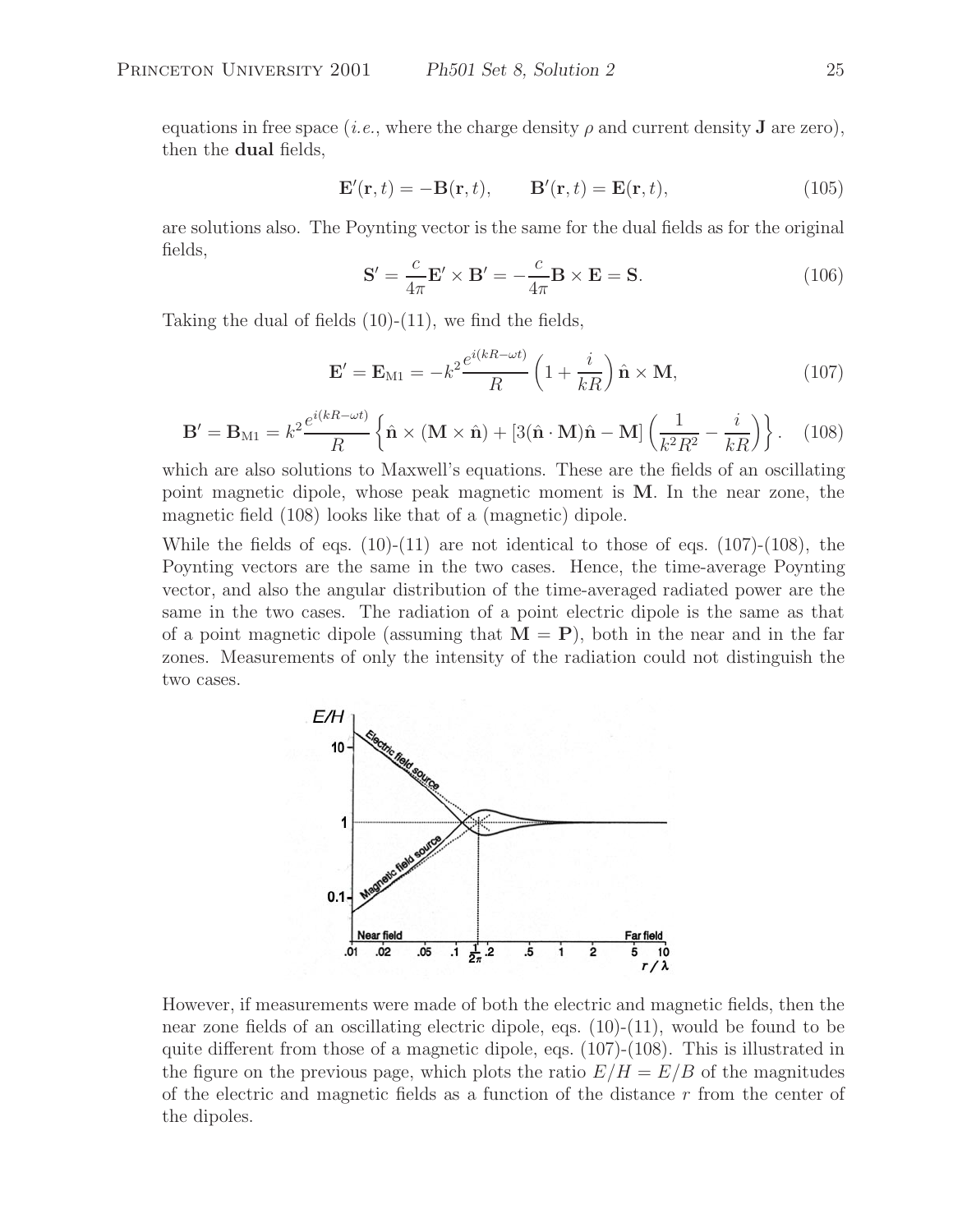equations in free space (*i.e.*, where the charge density  $\rho$  and current density **J** are zero), then the **dual** fields,

$$
\mathbf{E}'(\mathbf{r},t) = -\mathbf{B}(\mathbf{r},t), \qquad \mathbf{B}'(\mathbf{r},t) = \mathbf{E}(\mathbf{r},t), \tag{105}
$$

are solutions also. The Poynting vector is the same for the dual fields as for the original fields,

$$
\mathbf{S}' = \frac{c}{4\pi} \mathbf{E}' \times \mathbf{B}' = -\frac{c}{4\pi} \mathbf{B} \times \mathbf{E} = \mathbf{S}.
$$
 (106)

Taking the dual of fields (10)-(11), we find the fields,

$$
\mathbf{E}' = \mathbf{E}_{\mathrm{M1}} = -k^2 \frac{e^{i(kR - \omega t)}}{R} \left( 1 + \frac{i}{kR} \right) \hat{\mathbf{n}} \times \mathbf{M},\tag{107}
$$

$$
\mathbf{B}' = \mathbf{B}_{\mathrm{M1}} = k^2 \frac{e^{i(kR - \omega t)}}{R} \left\{ \hat{\mathbf{n}} \times (\mathbf{M} \times \hat{\mathbf{n}}) + \left[ 3(\hat{\mathbf{n}} \cdot \mathbf{M})\hat{\mathbf{n}} - \mathbf{M} \right] \left( \frac{1}{k^2 R^2} - \frac{i}{kR} \right) \right\}.
$$
 (108)

which are also solutions to Maxwell's equations. These are the fields of an oscillating point magnetic dipole, whose peak magnetic moment is **M**. In the near zone, the magnetic field (108) looks like that of a (magnetic) dipole.

While the fields of eqs.  $(10)-(11)$  are not identical to those of eqs.  $(107)-(108)$ , the Poynting vectors are the same in the two cases. Hence, the time-average Poynting vector, and also the angular distribution of the time-averaged radiated power are the same in the two cases. The radiation of a point electric dipole is the same as that of a point magnetic dipole (assuming that  $M = P$ ), both in the near and in the far zones. Measurements of only the intensity of the radiation could not distinguish the two cases.



However, if measurements were made of both the electric and magnetic fields, then the near zone fields of an oscillating electric dipole, eqs. (10)-(11), would be found to be quite different from those of a magnetic dipole, eqs. (107)-(108). This is illustrated in the figure on the previous page, which plots the ratio  $E/H = E/B$  of the magnitudes of the electric and magnetic fields as a function of the distance  $r$  from the center of the dipoles.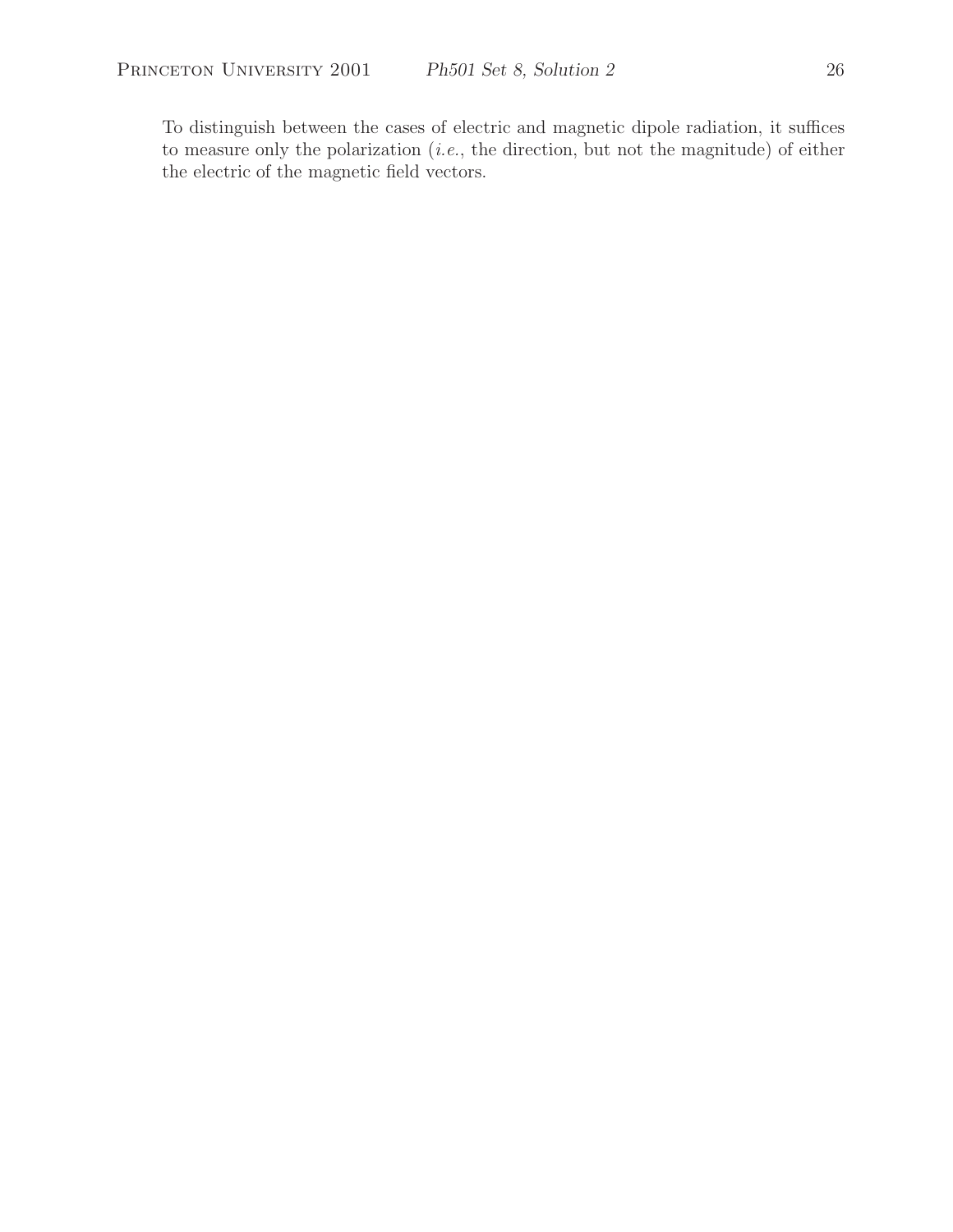To distinguish between the cases of electric and magnetic dipole radiation, it suffices to measure only the polarization (*i.e.*, the direction, but not the magnitude) of either the electric of the magnetic field vectors.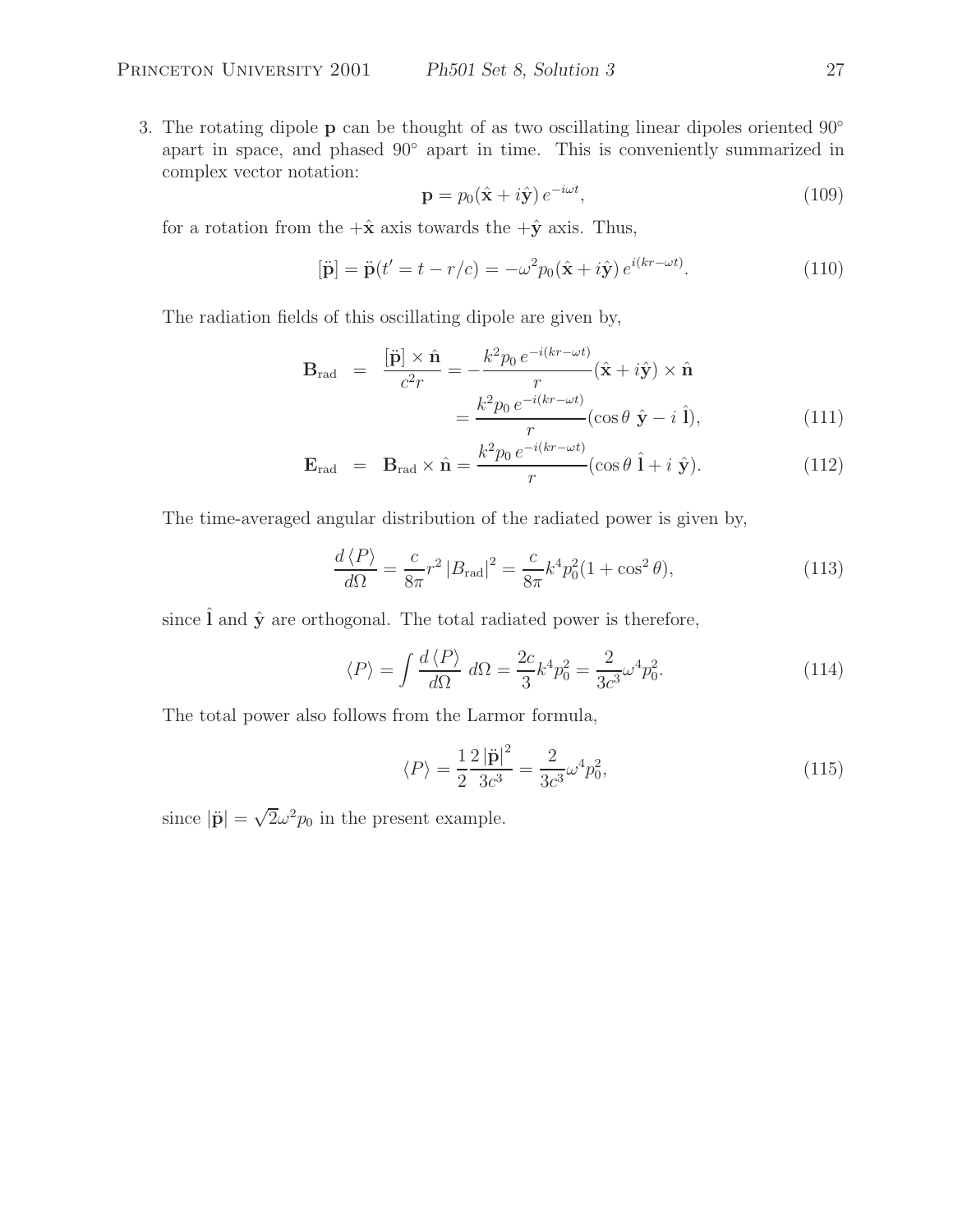3. The rotating dipole **p** can be thought of as two oscillating linear dipoles oriented 90◦ apart in space, and phased 90◦ apart in time. This is conveniently summarized in complex vector notation:

$$
\mathbf{p} = p_0(\hat{\mathbf{x}} + i\hat{\mathbf{y}}) e^{-i\omega t},\tag{109}
$$

for a rotation from the  $+\hat{x}$  axis towards the  $+\hat{y}$  axis. Thus,

$$
[\ddot{\mathbf{p}}] = \ddot{\mathbf{p}}(t' = t - r/c) = -\omega^2 p_0(\hat{\mathbf{x}} + i\hat{\mathbf{y}}) e^{i(kr - \omega t)}.
$$
 (110)

The radiation fields of this oscillating dipole are given by,

$$
\mathbf{B}_{\text{rad}} = \frac{[\ddot{\mathbf{p}}] \times \hat{\mathbf{n}}}{c^2 r} = -\frac{k^2 p_0 e^{-i(kr - \omega t)}}{r} (\hat{\mathbf{x}} + i\hat{\mathbf{y}}) \times \hat{\mathbf{n}} \n= \frac{k^2 p_0 e^{-i(kr - \omega t)}}{r} (\cos \theta \hat{\mathbf{y}} - i \hat{\mathbf{l}}),
$$
\n(111)

$$
\mathbf{E}_{\text{rad}} = \mathbf{B}_{\text{rad}} \times \hat{\mathbf{n}} = \frac{k^2 p_0 e^{-i(kr - \omega t)}}{r} (\cos \theta \hat{\mathbf{i}} + i \hat{\mathbf{y}}).
$$
(112)

The time-averaged angular distribution of the radiated power is given by,

$$
\frac{d\langle P \rangle}{d\Omega} = \frac{c}{8\pi} r^2 |B_{\text{rad}}|^2 = \frac{c}{8\pi} k^4 p_0^2 (1 + \cos^2 \theta),\tag{113}
$$

since  $\hat{\mathbf{l}}$  and  $\hat{\mathbf{y}}$  are orthogonal. The total radiated power is therefore,

$$
\langle P \rangle = \int \frac{d \langle P \rangle}{d\Omega} d\Omega = \frac{2c}{3} k^4 p_0^2 = \frac{2}{3c^3} \omega^4 p_0^2.
$$
 (114)

The total power also follows from the Larmor formula,

$$
\langle P \rangle = \frac{1}{2} \frac{2 |\ddot{\mathbf{p}}|^2}{3c^3} = \frac{2}{3c^3} \omega^4 p_0^2,
$$
 (115)

since  $|\ddot{\mathbf{p}}| = \sqrt{2\omega^2 p_0}$  in the present example.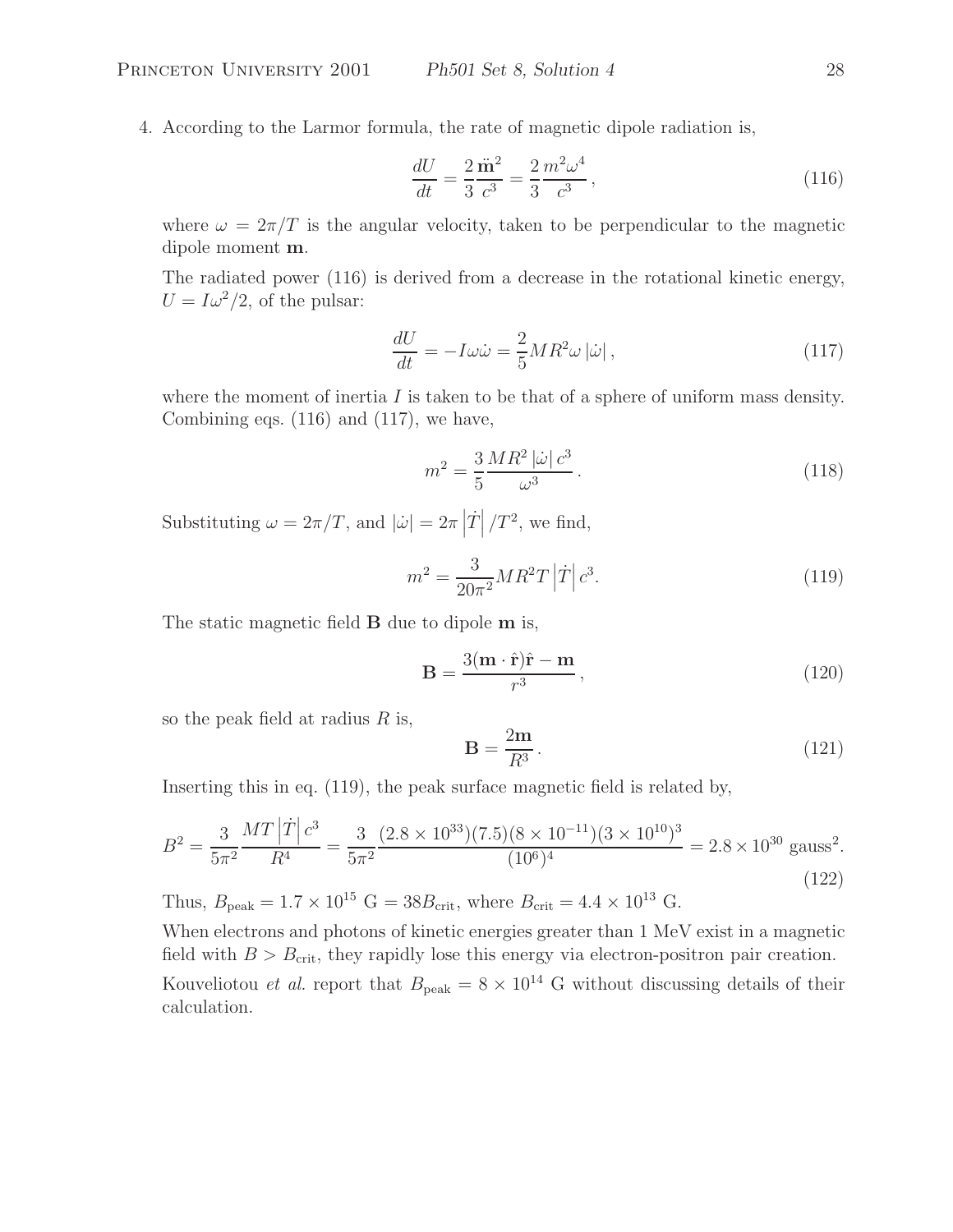4. According to the Larmor formula, the rate of magnetic dipole radiation is,

$$
\frac{dU}{dt} = \frac{2}{3}\frac{\ddot{m}^2}{c^3} = \frac{2}{3}\frac{m^2\omega^4}{c^3},\tag{116}
$$

where  $\omega = 2\pi/T$  is the angular velocity, taken to be perpendicular to the magnetic dipole moment **m**.

The radiated power (116) is derived from a decrease in the rotational kinetic energy,  $U = I\omega^2/2$ , of the pulsar:

$$
\frac{dU}{dt} = -I\omega\dot{\omega} = \frac{2}{5}MR^2\omega|\dot{\omega}|,\qquad(117)
$$

where the moment of inertia  $I$  is taken to be that of a sphere of uniform mass density. Combining eqs. (116) and (117), we have,

$$
m^2 = \frac{3}{5} \frac{MR^2 \left|\dot{\omega}\right| c^3}{\omega^3} \,. \tag{118}
$$

Substituting  $\omega = 2\pi/T$ , and  $|\dot{\omega}| = 2\pi |\dot{T}| / T^2$ , we find,

$$
m^2 = \frac{3}{20\pi^2}MR^2T|\dot{T}|c^3.
$$
 (119)

The static magnetic field **B** due to dipole **m** is,

$$
\mathbf{B} = \frac{3(\mathbf{m} \cdot \hat{\mathbf{r}})\hat{\mathbf{r}} - \mathbf{m}}{r^3},\tag{120}
$$

so the peak field at radius  $R$  is,

$$
\mathbf{B} = \frac{2\mathbf{m}}{R^3}.\tag{121}
$$

Inserting this in eq. (119), the peak surface magnetic field is related by,

$$
B^{2} = \frac{3}{5\pi^{2}} \frac{MT \left| \dot{T} \right| c^{3}}{R^{4}} = \frac{3}{5\pi^{2}} \frac{(2.8 \times 10^{33})(7.5)(8 \times 10^{-11})(3 \times 10^{10})^{3}}{(10^{6})^{4}} = 2.8 \times 10^{30} \text{ gauss}^{2}.
$$
\n(122)

Thus,  $B_{\text{peak}} = 1.7 \times 10^{15} \text{ G} = 38 B_{\text{crit}}$ , where  $B_{\text{crit}} = 4.4 \times 10^{13} \text{ G}$ .

When electrons and photons of kinetic energies greater than 1 MeV exist in a magnetic field with  $B > B<sub>crit</sub>$ , they rapidly lose this energy via electron-positron pair creation.

Kouveliotou *et al.* report that  $B_{\text{peak}} = 8 \times 10^{14}$  G without discussing details of their calculation.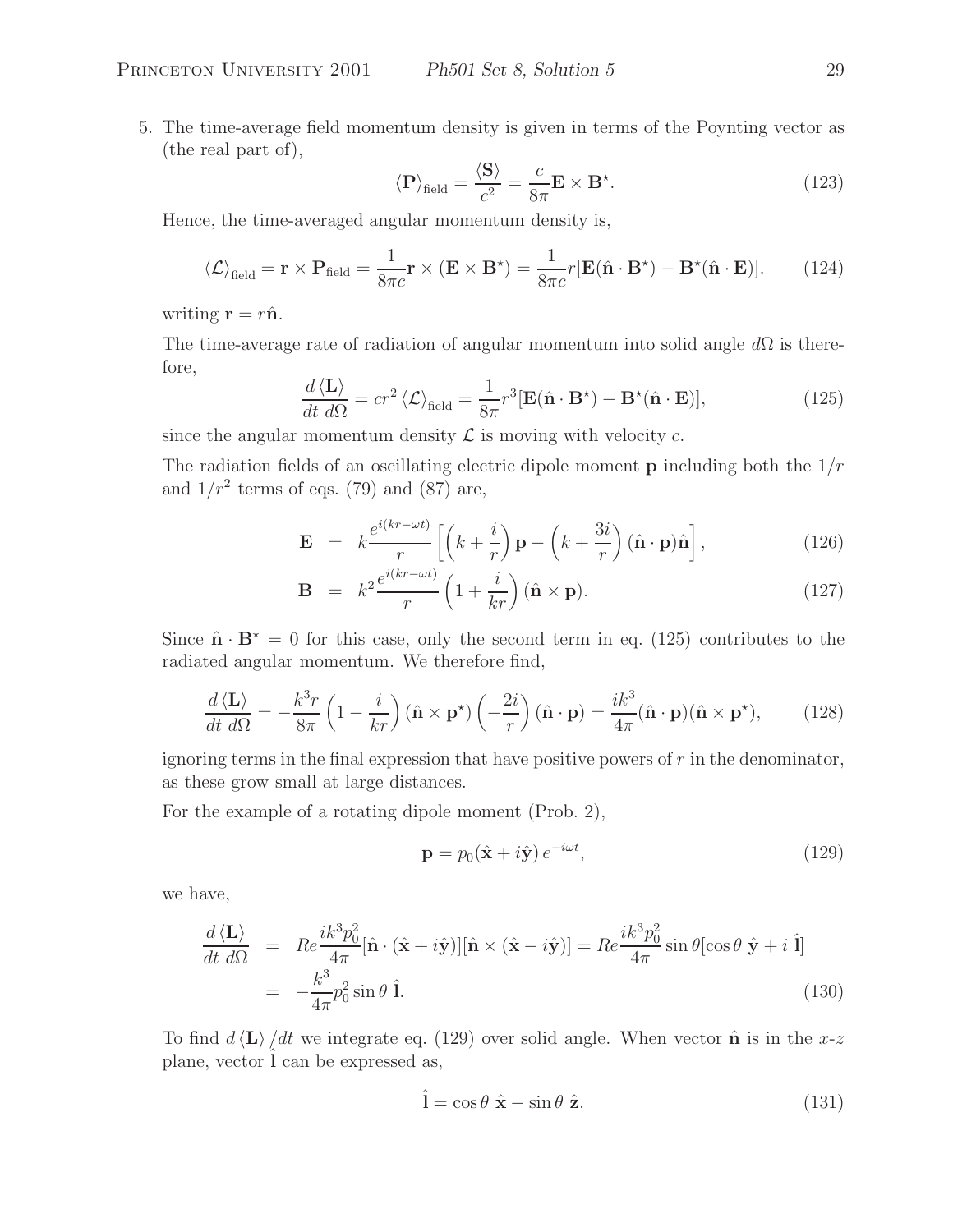5. The time-average field momentum density is given in terms of the Poynting vector as (the real part of),

$$
\langle \mathbf{P} \rangle_{\text{field}} = \frac{\langle \mathbf{S} \rangle}{c^2} = \frac{c}{8\pi} \mathbf{E} \times \mathbf{B}^*.
$$
 (123)

Hence, the time-averaged angular momentum density is,

$$
\langle \mathcal{L} \rangle_{\text{field}} = \mathbf{r} \times \mathbf{P}_{\text{field}} = \frac{1}{8\pi c} \mathbf{r} \times (\mathbf{E} \times \mathbf{B}^*) = \frac{1}{8\pi c} r[\mathbf{E}(\hat{\mathbf{n}} \cdot \mathbf{B}^*) - \mathbf{B}^*(\hat{\mathbf{n}} \cdot \mathbf{E})]. \tag{124}
$$

writing  $\mathbf{r} = r\hat{\mathbf{n}}$ .

The time-average rate of radiation of angular momentum into solid angle  $d\Omega$  is therefore,

$$
\frac{d\langle \mathbf{L} \rangle}{dt \, d\Omega} = cr^2 \langle \mathcal{L} \rangle_{\text{field}} = \frac{1}{8\pi} r^3 [\mathbf{E}(\hat{\mathbf{n}} \cdot \mathbf{B}^*) - \mathbf{B}^*(\hat{\mathbf{n}} \cdot \mathbf{E})],\tag{125}
$$

since the angular momentum density  $\mathcal L$  is moving with velocity  $c$ .

The radiation fields of an oscillating electric dipole moment **p** including both the 1/r and  $1/r^2$  terms of eqs. (79) and (87) are,

$$
\mathbf{E} = k \frac{e^{i(kr - \omega t)}}{r} \left[ \left( k + \frac{i}{r} \right) \mathbf{p} - \left( k + \frac{3i}{r} \right) (\hat{\mathbf{n}} \cdot \mathbf{p}) \hat{\mathbf{n}} \right],
$$
(126)

$$
\mathbf{B} = k^2 \frac{e^{i(kr - \omega t)}}{r} \left( 1 + \frac{i}{kr} \right) (\hat{\mathbf{n}} \times \mathbf{p}). \tag{127}
$$

Since  $\hat{\mathbf{n}} \cdot \mathbf{B}^* = 0$  for this case, only the second term in eq. (125) contributes to the radiated angular momentum. We therefore find,

$$
\frac{d\langle \mathbf{L} \rangle}{dt \, d\Omega} = -\frac{k^3 r}{8\pi} \left( 1 - \frac{i}{kr} \right) (\hat{\mathbf{n}} \times \mathbf{p}^*) \left( -\frac{2i}{r} \right) (\hat{\mathbf{n}} \cdot \mathbf{p}) = \frac{ik^3}{4\pi} (\hat{\mathbf{n}} \cdot \mathbf{p}) (\hat{\mathbf{n}} \times \mathbf{p}^*),\tag{128}
$$

ignoring terms in the final expression that have positive powers of  $r$  in the denominator, as these grow small at large distances.

For the example of a rotating dipole moment (Prob. 2),

$$
\mathbf{p} = p_0(\hat{\mathbf{x}} + i\hat{\mathbf{y}}) e^{-i\omega t},\tag{129}
$$

we have,

$$
\frac{d\langle \mathbf{L} \rangle}{dt \, d\Omega} = Re \frac{ik^3 p_0^2}{4\pi} [\hat{\mathbf{n}} \cdot (\hat{\mathbf{x}} + i\hat{\mathbf{y}})][\hat{\mathbf{n}} \times (\hat{\mathbf{x}} - i\hat{\mathbf{y}})] = Re \frac{ik^3 p_0^2}{4\pi} \sin \theta [\cos \theta \, \hat{\mathbf{y}} + i \, \hat{\mathbf{l}}]
$$
\n
$$
= -\frac{k^3}{4\pi} p_0^2 \sin \theta \, \hat{\mathbf{l}}.
$$
\n(130)

To find  $d \langle L \rangle / dt$  we integrate eq. (129) over solid angle. When vector  $\hat{\bf{n}}$  is in the x-z plane, vector 1 can be expressed as,

$$
\hat{\mathbf{l}} = \cos \theta \; \hat{\mathbf{x}} - \sin \theta \; \hat{\mathbf{z}}.\tag{131}
$$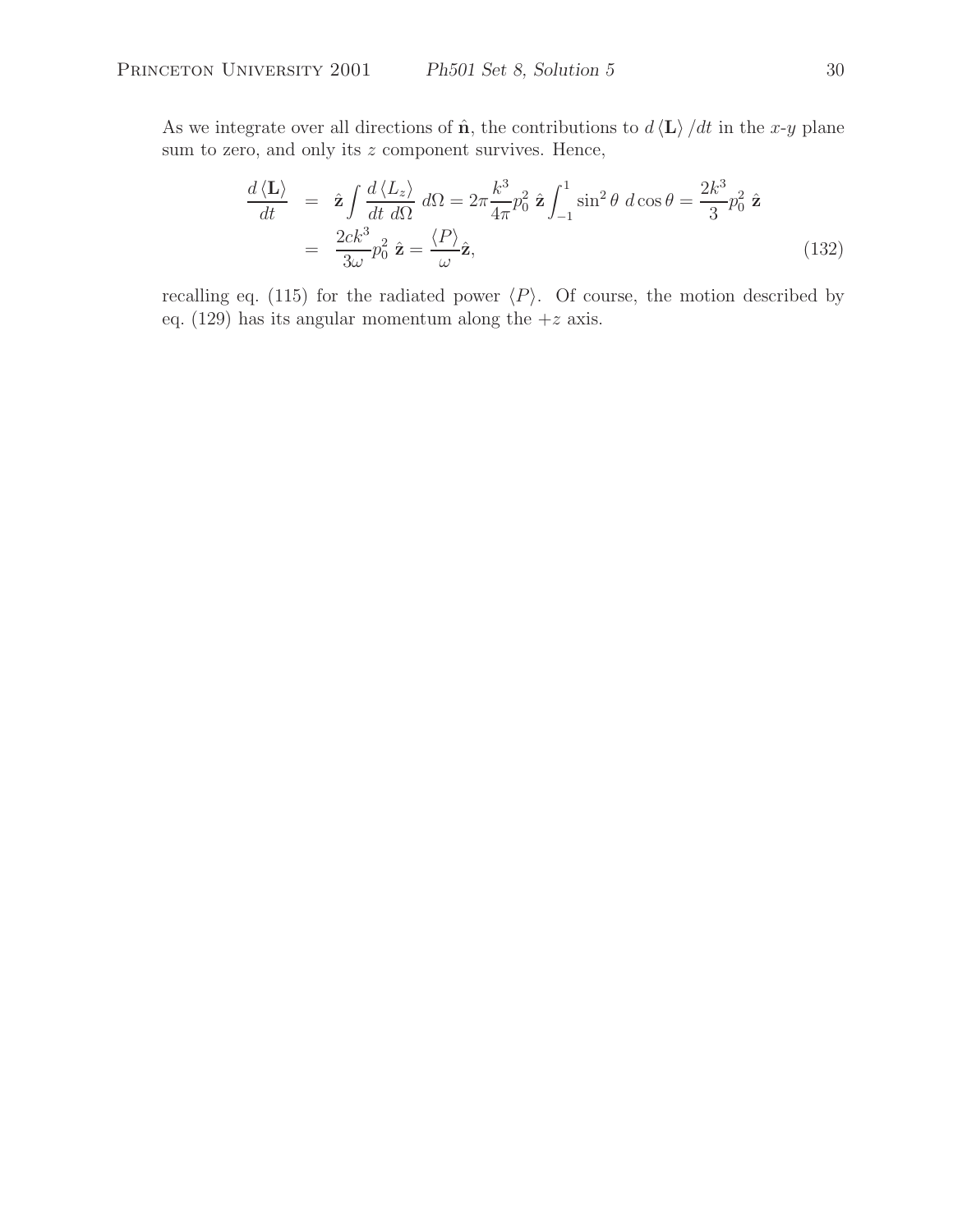As we integrate over all directions of  $\hat{\mathbf{n}}$ , the contributions to  $d \langle \mathbf{L} \rangle / dt$  in the x-y plane sum to zero, and only its z component survives. Hence,

$$
\frac{d\langle \mathbf{L} \rangle}{dt} = \hat{\mathbf{z}} \int \frac{d\langle L_z \rangle}{dt \, d\Omega} d\Omega = 2\pi \frac{k^3}{4\pi} p_0^2 \, \hat{\mathbf{z}} \int_{-1}^1 \sin^2 \theta \, d\cos \theta = \frac{2k^3}{3} p_0^2 \, \hat{\mathbf{z}}
$$
\n
$$
= \frac{2ck^3}{3\omega} p_0^2 \, \hat{\mathbf{z}} = \frac{\langle P \rangle}{\omega} \hat{\mathbf{z}}, \tag{132}
$$

recalling eq. (115) for the radiated power  $\langle P \rangle$ . Of course, the motion described by eq. (129) has its angular momentum along the  $+z$  axis.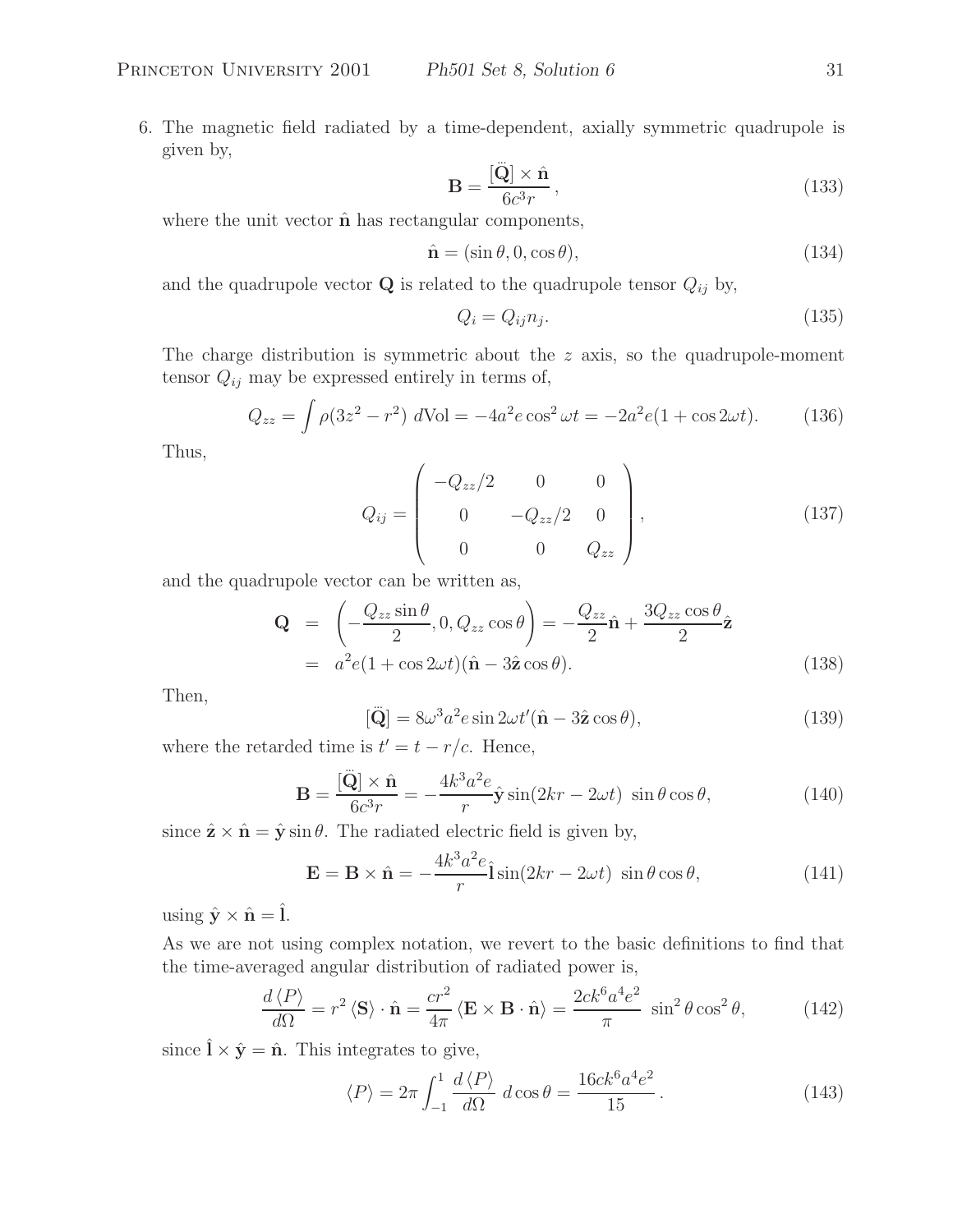6. The magnetic field radiated by a time-dependent, axially symmetric quadrupole is given by, ...

$$
\mathbf{B} = \frac{[\mathbf{\ddot{Q}}] \times \hat{\mathbf{n}}}{6c^3 r},\tag{133}
$$

where the unit vector  $\hat{\mathbf{n}}$  has rectangular components,

$$
\hat{\mathbf{n}} = (\sin \theta, 0, \cos \theta),\tag{134}
$$

and the quadrupole vector  $\mathbf Q$  is related to the quadrupole tensor  $Q_{ij}$  by,

$$
Q_i = Q_{ij} n_j. \tag{135}
$$

The charge distribution is symmetric about the  $z$  axis, so the quadrupole-moment tensor  $Q_{ij}$  may be expressed entirely in terms of,

$$
Q_{zz} = \int \rho(3z^2 - r^2) d\text{Vol} = -4a^2 e \cos^2 \omega t = -2a^2 e (1 + \cos 2\omega t). \tag{136}
$$

Thus,

$$
Q_{ij} = \begin{pmatrix} -Q_{zz}/2 & 0 & 0 \\ 0 & -Q_{zz}/2 & 0 \\ 0 & 0 & Q_{zz} \end{pmatrix},
$$
(137)

and the quadrupole vector can be written as,

$$
\mathbf{Q} = \left( -\frac{Q_{zz} \sin \theta}{2}, 0, Q_{zz} \cos \theta \right) = -\frac{Q_{zz}}{2} \hat{\mathbf{n}} + \frac{3Q_{zz} \cos \theta}{2} \hat{\mathbf{z}}
$$
  
=  $a^2 e (1 + \cos 2\omega t) (\hat{\mathbf{n}} - 3\hat{\mathbf{z}} \cos \theta).$  (138)

Then,

$$
[\ddot{\mathbf{Q}}] = 8\omega^3 a^2 e \sin 2\omega t' (\hat{\mathbf{n}} - 3\hat{\mathbf{z}} \cos \theta), \qquad (139)
$$

where the retarded time is  $t' = t - r/c$ . Hence,

$$
\mathbf{B} = \frac{[\ddot{\mathbf{Q}}] \times \hat{\mathbf{n}}}{6c^3 r} = -\frac{4k^3 a^2 e}{r} \hat{\mathbf{y}} \sin(2kr - 2\omega t) \sin \theta \cos \theta, \qquad (140)
$$

since  $\hat{\mathbf{z}} \times \hat{\mathbf{n}} = \hat{\mathbf{y}} \sin \theta$ . The radiated electric field is given by,

$$
\mathbf{E} = \mathbf{B} \times \hat{\mathbf{n}} = -\frac{4k^3 a^2 e}{r} \hat{\mathbf{i}} \sin(2kr - 2\omega t) \sin \theta \cos \theta, \qquad (141)
$$

using  $\hat{\mathbf{y}} \times \hat{\mathbf{n}} = \hat{\mathbf{l}}$ .

As we are not using complex notation, we revert to the basic definitions to find that the time-averaged angular distribution of radiated power is,

$$
\frac{d\langle P\rangle}{d\Omega} = r^2 \langle \mathbf{S}\rangle \cdot \hat{\mathbf{n}} = \frac{cr^2}{4\pi} \langle \mathbf{E} \times \mathbf{B} \cdot \hat{\mathbf{n}} \rangle = \frac{2ck^6 a^4 e^2}{\pi} \sin^2 \theta \cos^2 \theta, \quad (142)
$$

since  $\hat{\mathbf{l}} \times \hat{\mathbf{y}} = \hat{\mathbf{n}}$ . This integrates to give,

$$
\langle P \rangle = 2\pi \int_{-1}^{1} \frac{d \langle P \rangle}{d \Omega} d \cos \theta = \frac{16ck^6 a^4 e^2}{15}.
$$
 (143)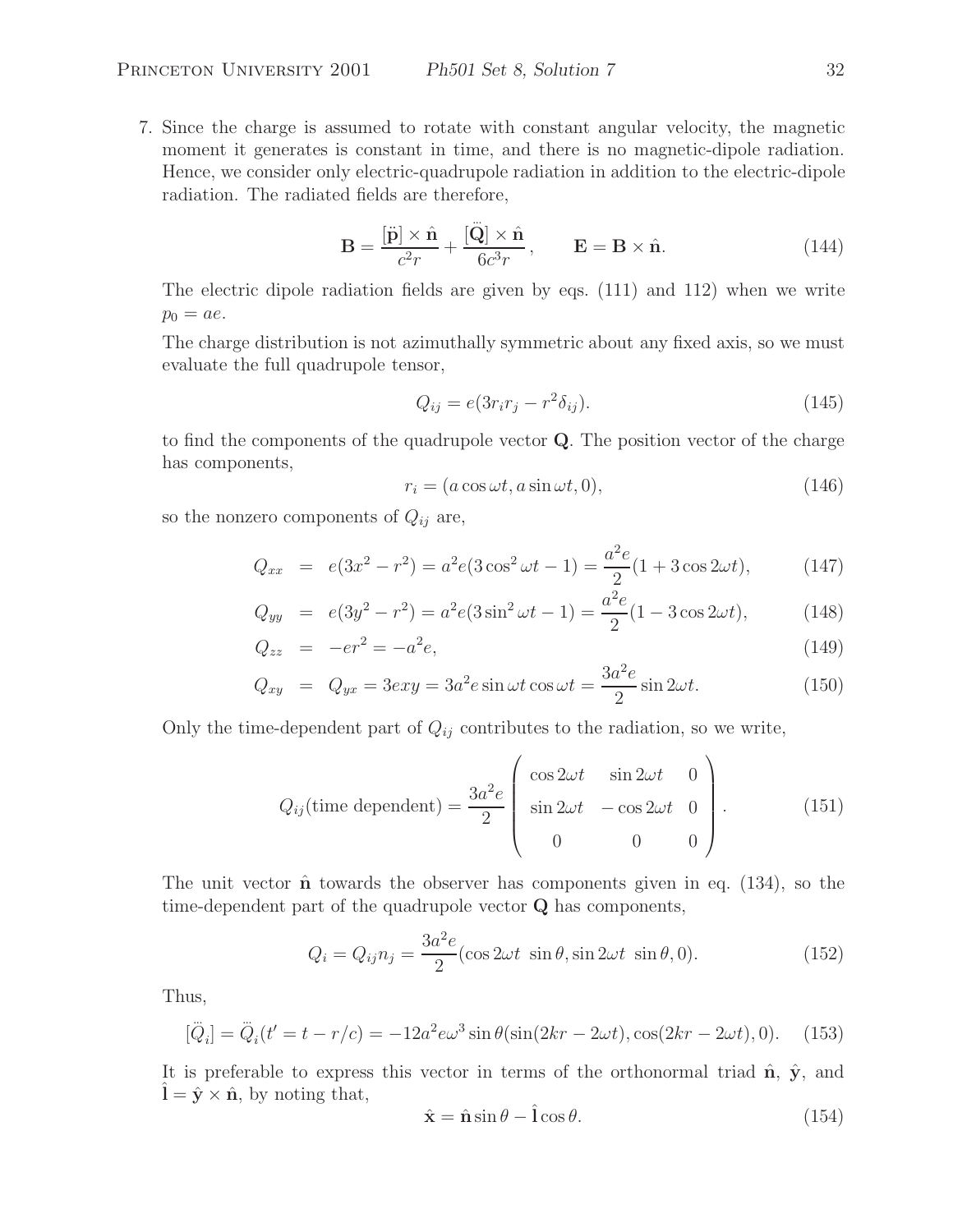7. Since the charge is assumed to rotate with constant angular velocity, the magnetic moment it generates is constant in time, and there is no magnetic-dipole radiation. Hence, we consider only electric-quadrupole radiation in addition to the electric-dipole radiation. The radiated fields are therefore,

$$
\mathbf{B} = \frac{[\ddot{\mathbf{p}}] \times \hat{\mathbf{n}}}{c^2 r} + \frac{[\ddot{\mathbf{Q}}] \times \hat{\mathbf{n}}}{6c^3 r}, \qquad \mathbf{E} = \mathbf{B} \times \hat{\mathbf{n}}.
$$
 (144)

The electric dipole radiation fields are given by eqs. (111) and 112) when we write  $p_0 = ae.$ 

The charge distribution is not azimuthally symmetric about any fixed axis, so we must evaluate the full quadrupole tensor,

$$
Q_{ij} = e(3r_i r_j - r^2 \delta_{ij}).\tag{145}
$$

to find the components of the quadrupole vector **Q**. The position vector of the charge has components,

$$
r_i = (a\cos\omega t, a\sin\omega t, 0),\tag{146}
$$

so the nonzero components of  $Q_{ij}$  are,

$$
Q_{xx} = e(3x^2 - r^2) = a^2e(3\cos^2\omega t - 1) = \frac{a^2e}{2}(1 + 3\cos 2\omega t), \qquad (147)
$$

$$
Q_{yy} = e(3y^2 - r^2) = a^2e(3\sin^2\omega t - 1) = \frac{a^2e}{2}(1 - 3\cos 2\omega t), \qquad (148)
$$

$$
Q_{zz} = -er^2 = -a^2 e,\t\t(149)
$$

$$
Q_{xy} = Q_{yx} = 3exy = 3a^2e \sin \omega t \cos \omega t = \frac{3a^2e}{2} \sin 2\omega t.
$$
 (150)

Only the time-dependent part of  $Q_{ij}$  contributes to the radiation, so we write,

$$
Q_{ij}(\text{time dependent}) = \frac{3a^2e}{2} \begin{pmatrix} \cos 2\omega t & \sin 2\omega t & 0\\ \sin 2\omega t & -\cos 2\omega t & 0\\ 0 & 0 & 0 \end{pmatrix}.
$$
 (151)

The unit vector  $\hat{\bf{n}}$  towards the observer has components given in eq. (134), so the time-dependent part of the quadrupole vector **Q** has components,

$$
Q_i = Q_{ij} n_j = \frac{3a^2 e}{2} (\cos 2\omega t \sin \theta, \sin 2\omega t \sin \theta, 0).
$$
 (152)

Thus,

$$
[\ddot{Q}_i] = \ddot{Q}_i(t' = t - r/c) = -12a^2 e\omega^3 \sin \theta (\sin(2kr - 2\omega t), \cos(2kr - 2\omega t), 0). \tag{153}
$$

It is preferable to express this vector in terms of the orthonormal triad  $\hat{\mathbf{n}}$ ,  $\hat{\mathbf{y}}$ , and  $\hat{\mathbf{l}} = \hat{\mathbf{y}} \times \hat{\mathbf{n}}$ , by noting that,

$$
\hat{\mathbf{x}} = \hat{\mathbf{n}} \sin \theta - \hat{\mathbf{l}} \cos \theta. \tag{154}
$$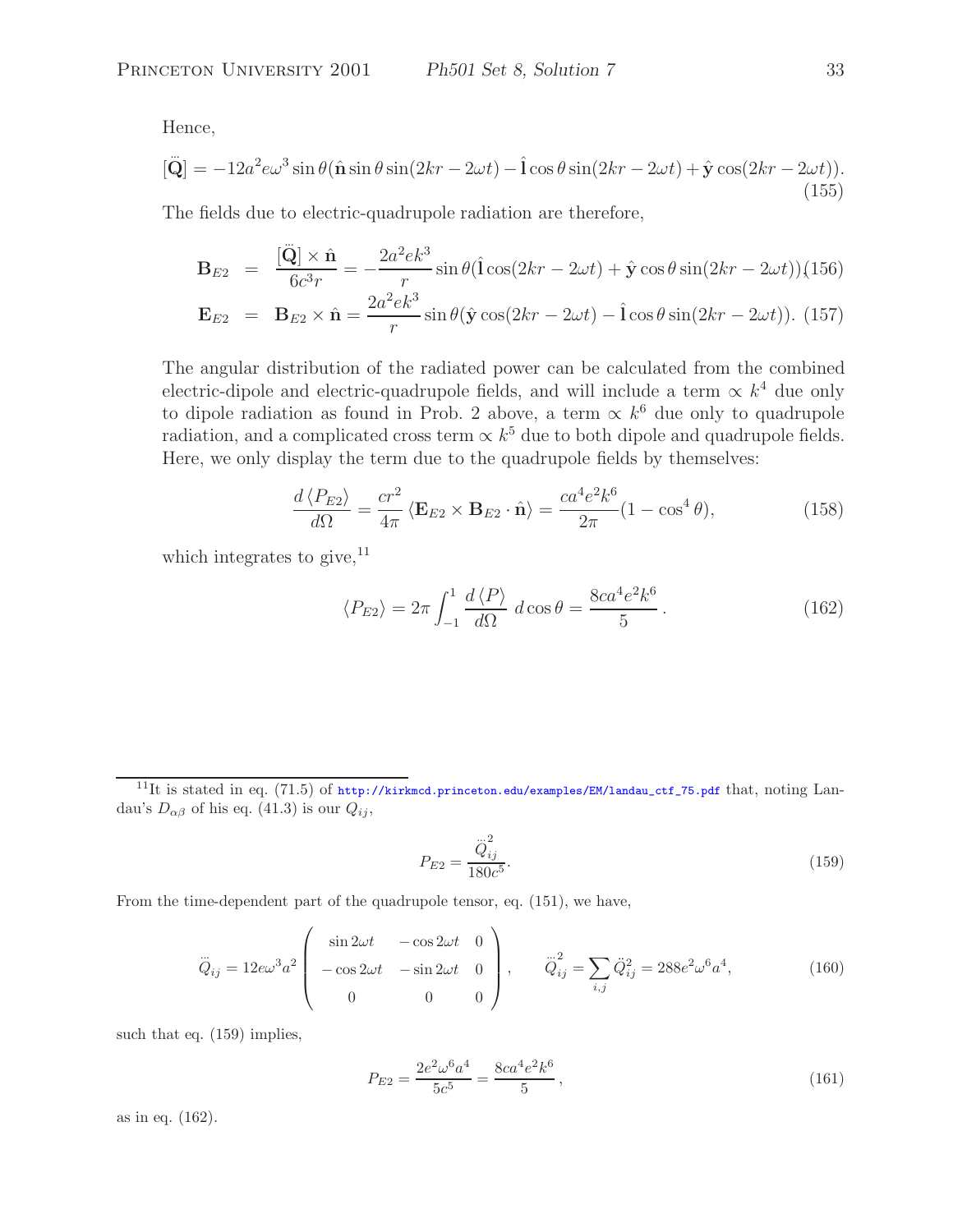Hence,

$$
[\ddot{\mathbf{Q}}] = -12a^2 e\omega^3 \sin\theta (\hat{\mathbf{n}} \sin\theta \sin(2kr - 2\omega t) - \hat{\mathbf{l}} \cos\theta \sin(2kr - 2\omega t) + \hat{\mathbf{y}} \cos(2kr - 2\omega t)).
$$
\n(155)

The fields due to electric-quadrupole radiation are therefore,

$$
\mathbf{B}_{E2} = \frac{[\ddot{\mathbf{Q}}] \times \hat{\mathbf{n}}}{6c^3r} = -\frac{2a^2ek^3}{r}\sin\theta(\hat{\mathbf{l}}\cos(2kr - 2\omega t) + \hat{\mathbf{y}}\cos\theta\sin(2kr - 2\omega t)) (156)
$$
  

$$
\mathbf{E}_{E2} = \mathbf{B}_{E2} \times \hat{\mathbf{n}} = \frac{2a^2ek^3}{r}\sin\theta(\hat{\mathbf{y}}\cos(2kr - 2\omega t) - \hat{\mathbf{l}}\cos\theta\sin(2kr - 2\omega t)). (157)
$$

The angular distribution of the radiated power can be calculated from the combined electric-dipole and electric-quadrupole fields, and will include a term  $\propto k^4$  due only to dipole radiation as found in Prob. 2 above, a term  $\propto k^6$  due only to quadrupole radiation, and a complicated cross term  $\propto k^5$  due to both dipole and quadrupole fields. Here, we only display the term due to the quadrupole fields by themselves:

$$
\frac{d\langle P_{E2}\rangle}{d\Omega} = \frac{cr^2}{4\pi} \langle \mathbf{E}_{E2} \times \mathbf{B}_{E2} \cdot \hat{\mathbf{n}} \rangle = \frac{ca^4e^2k^6}{2\pi} (1 - \cos^4\theta),\tag{158}
$$

which integrates to give,  $11$ 

$$
\langle P_{E2} \rangle = 2\pi \int_{-1}^{1} \frac{d \langle P \rangle}{d \Omega} d \cos \theta = \frac{8ca^4 e^2 k^6}{5}.
$$
 (162)

$$
P_{E2} = \frac{\ddot{Q}_{ij}^2}{180c^5}.
$$
\n(159)

From the time-dependent part of the quadrupole tensor, eq. (151), we have,

$$
\ddot{Q}_{ij} = 12e\omega^3 a^2 \begin{pmatrix} \sin 2\omega t & -\cos 2\omega t & 0 \\ -\cos 2\omega t & -\sin 2\omega t & 0 \\ 0 & 0 & 0 \end{pmatrix}, \quad \ddot{Q}_{ij}^2 = \sum_{i,j} \ddot{Q}_{ij}^2 = 288e^2 \omega^6 a^4,
$$
\n(160)

such that eq. (159) implies,

$$
P_{E2} = \frac{2e^2\omega^6 a^4}{5c^5} = \frac{8ca^4e^2k^6}{5},\tag{161}
$$

as in eq. (162).

<sup>&</sup>lt;sup>11</sup>It is stated in eq. (71.5) of  $\frac{\text{http://kirkmcd.princeton.edu/examples/EM/landau_ctf_75.pdf}}{h}$  that, noting Landau's  $D_{\alpha\beta}$  of his eq. (41.3) is our  $Q_{ij}$ ,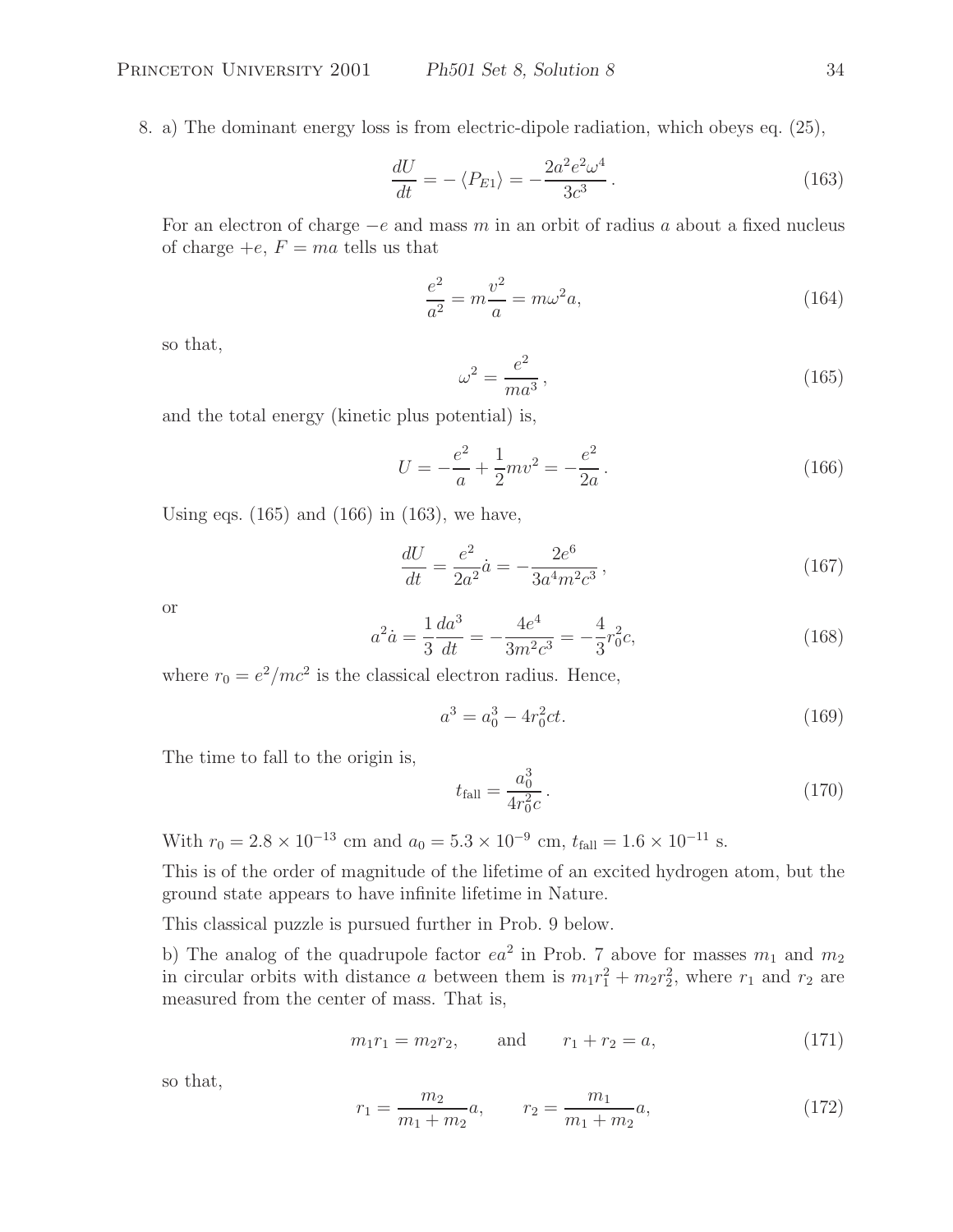8. a) The dominant energy loss is from electric-dipole radiation, which obeys eq. (25),

$$
\frac{dU}{dt} = -\langle P_{E1} \rangle = -\frac{2a^2 e^2 \omega^4}{3c^3} \,. \tag{163}
$$

For an electron of charge  $-e$  and mass m in an orbit of radius a about a fixed nucleus of charge  $+e$ ,  $F = ma$  tells us that

$$
\frac{e^2}{a^2} = m\frac{v^2}{a} = m\omega^2 a,\tag{164}
$$

so that,

$$
\omega^2 = \frac{e^2}{ma^3},\tag{165}
$$

and the total energy (kinetic plus potential) is,

$$
U = -\frac{e^2}{a} + \frac{1}{2}mv^2 = -\frac{e^2}{2a}.
$$
\n(166)

Using eqs. (165) and (166) in (163), we have,

$$
\frac{dU}{dt} = \frac{e^2}{2a^2}\dot{a} = -\frac{2e^6}{3a^4m^2c^3},\tag{167}
$$

or

$$
a^2 \dot{a} = \frac{1}{3} \frac{da^3}{dt} = -\frac{4e^4}{3m^2 c^3} = -\frac{4}{3} r_0^2 c,
$$
 (168)

where  $r_0 = e^2/mc^2$  is the classical electron radius. Hence,

$$
a^3 = a_0^3 - 4r_0^2 ct.
$$
\n(169)

The time to fall to the origin is,

$$
t_{\text{fall}} = \frac{a_0^3}{4r_0^2c} \,. \tag{170}
$$

With  $r_0 = 2.8 \times 10^{-13}$  cm and  $a_0 = 5.3 \times 10^{-9}$  cm,  $t_{fall} = 1.6 \times 10^{-11}$  s.

This is of the order of magnitude of the lifetime of an excited hydrogen atom, but the ground state appears to have infinite lifetime in Nature.

This classical puzzle is pursued further in Prob. 9 below.

b) The analog of the quadrupole factor  $ea^2$  in Prob. 7 above for masses  $m_1$  and  $m_2$ in circular orbits with distance a between them is  $m_1r_1^2 + m_2r_2^2$ , where  $r_1$  and  $r_2$  are measured from the center of mass. That is,

$$
m_1r_1 = m_2r_2, \qquad \text{and} \qquad r_1 + r_2 = a,\tag{171}
$$

so that,

$$
r_1 = \frac{m_2}{m_1 + m_2} a, \qquad r_2 = \frac{m_1}{m_1 + m_2} a,
$$
\n(172)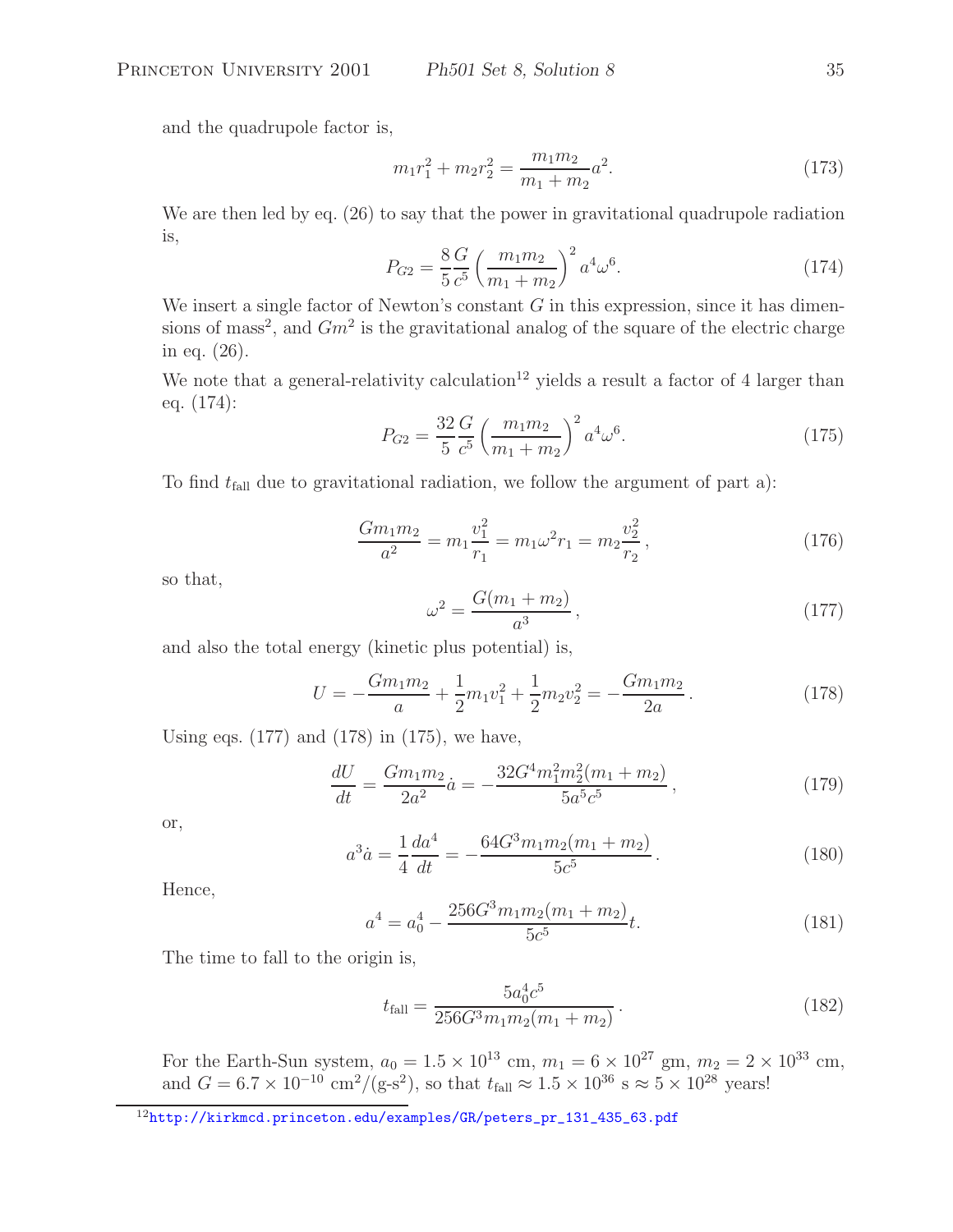and the quadrupole factor is,

$$
m_1r_1^2 + m_2r_2^2 = \frac{m_1m_2}{m_1 + m_2}a^2.
$$
 (173)

We are then led by eq. (26) to say that the power in gravitational quadrupole radiation is,

$$
P_{G2} = \frac{8}{5} \frac{G}{c^5} \left(\frac{m_1 m_2}{m_1 + m_2}\right)^2 a^4 \omega^6.
$$
 (174)

We insert a single factor of Newton's constant  $G$  in this expression, since it has dimensions of mass<sup>2</sup>, and  $Gm<sup>2</sup>$  is the gravitational analog of the square of the electric charge in eq. (26).

We note that a general-relativity calculation<sup>12</sup> yields a result a factor of 4 larger than eq. (174):

$$
P_{G2} = \frac{32}{5} \frac{G}{c^5} \left(\frac{m_1 m_2}{m_1 + m_2}\right)^2 a^4 \omega^6.
$$
 (175)

To find  $t_{fall}$  due to gravitational radiation, we follow the argument of part a):

$$
\frac{Gm_1m_2}{a^2} = m_1 \frac{v_1^2}{r_1} = m_1 \omega^2 r_1 = m_2 \frac{v_2^2}{r_2},
$$
\n(176)

so that,

$$
\omega^2 = \frac{G(m_1 + m_2)}{a^3},\tag{177}
$$

and also the total energy (kinetic plus potential) is,

$$
U = -\frac{Gm_1m_2}{a} + \frac{1}{2}m_1v_1^2 + \frac{1}{2}m_2v_2^2 = -\frac{Gm_1m_2}{2a}.
$$
 (178)

Using eqs. (177) and (178) in (175), we have,

$$
\frac{dU}{dt} = \frac{Gm_1m_2}{2a^2}\dot{a} = -\frac{32G^4m_1^2m_2^2(m_1+m_2)}{5a^5c^5},\tag{179}
$$

or,

$$
a^3 \dot{a} = \frac{1}{4} \frac{da^4}{dt} = -\frac{64G^3 m_1 m_2 (m_1 + m_2)}{5c^5}.
$$
 (180)

Hence,

$$
a^4 = a_0^4 - \frac{256G^3m_1m_2(m_1 + m_2)}{5c^5}t.
$$
 (181)

The time to fall to the origin is,

$$
t_{\text{fall}} = \frac{5a_0^4 c^5}{256G^3 m_1 m_2 (m_1 + m_2)}.
$$
\n(182)

For the Earth-Sun system,  $a_0 = 1.5 \times 10^{13}$  cm,  $m_1 = 6 \times 10^{27}$  gm,  $m_2 = 2 \times 10^{33}$  cm, and  $G = 6.7 \times 10^{-10}$  cm<sup>2</sup>/(g-s<sup>2</sup>), so that  $t_{\text{fall}} \approx 1.5 \times 10^{36}$  s  $\approx 5 \times 10^{28}$  years!

<sup>12</sup>http://kirkmcd.princeton.edu/examples/GR/peters\_pr\_131\_435\_63.pdf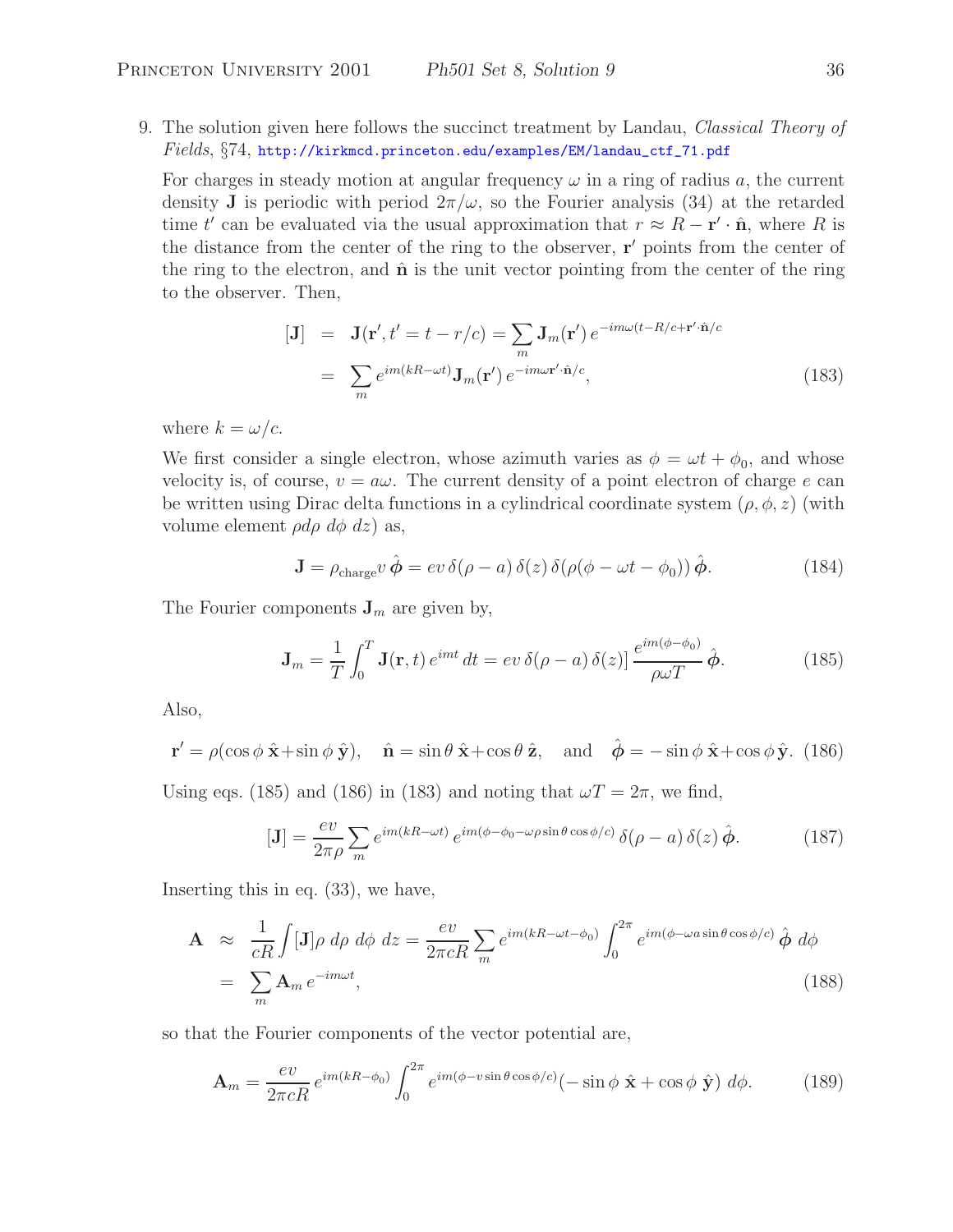9. The solution given here follows the succinct treatment by Landau, *Classical Theory of Fields*, §74, http://kirkmcd.princeton.edu/examples/EM/landau\_ctf\_71.pdf

For charges in steady motion at angular frequency  $\omega$  in a ring of radius a, the current density **J** is periodic with period  $2\pi/\omega$ , so the Fourier analysis (34) at the retarded time t' can be evaluated via the usual approximation that  $r \approx R - \mathbf{r}' \cdot \hat{\mathbf{n}}$ , where R is the distance from the center of the ring to the observer,  $\mathbf{r}'$  points from the center of the ring to the electron, and  $\hat{\bf{n}}$  is the unit vector pointing from the center of the ring to the observer. Then,

$$
\begin{aligned}\n[\mathbf{J}] &= \mathbf{J}(\mathbf{r}', t' = t - r/c) = \sum_{m} \mathbf{J}_{m}(\mathbf{r}') \, e^{-im\omega(t - R/c + \mathbf{r}' \cdot \hat{\mathbf{n}}/c} \\
&= \sum_{m} e^{im(kR - \omega t)} \mathbf{J}_{m}(\mathbf{r}') \, e^{-im\omega \mathbf{r}' \cdot \hat{\mathbf{n}}/c},\n\end{aligned} \tag{183}
$$

where  $k = \omega/c$ .

We first consider a single electron, whose azimuth varies as  $\phi = \omega t + \phi_0$ , and whose velocity is, of course,  $v = a\omega$ . The current density of a point electron of charge e can be written using Dirac delta functions in a cylindrical coordinate system  $(\rho, \phi, z)$  (with volume element  $\rho d\rho d\phi dz$ ) as,

$$
\mathbf{J} = \rho_{\text{charge}} v \,\hat{\boldsymbol{\phi}} = ev \,\delta(\rho - a) \,\delta(z) \,\delta(\rho(\phi - \omega t - \phi_0)) \,\hat{\boldsymbol{\phi}}.\tag{184}
$$

The Fourier components  $J_m$  are given by,

$$
\mathbf{J}_m = \frac{1}{T} \int_0^T \mathbf{J}(\mathbf{r}, t) e^{imt} dt = ev \, \delta(\rho - a) \, \delta(z) \, \frac{e^{im(\phi - \phi_0)}}{\rho \omega T} \, \hat{\boldsymbol{\phi}}. \tag{185}
$$

Also,

$$
\mathbf{r}' = \rho(\cos\phi\,\hat{\mathbf{x}} + \sin\phi\,\hat{\mathbf{y}}), \quad \hat{\mathbf{n}} = \sin\theta\,\hat{\mathbf{x}} + \cos\theta\,\hat{\mathbf{z}}, \quad \text{and} \quad \hat{\boldsymbol{\phi}} = -\sin\phi\,\hat{\mathbf{x}} + \cos\phi\,\hat{\mathbf{y}}. \tag{186}
$$

Using eqs. (185) and (186) in (183) and noting that  $\omega T = 2\pi$ , we find,

$$
[\mathbf{J}] = \frac{ev}{2\pi\rho} \sum_{m} e^{im(kR - \omega t)} e^{im(\phi - \phi_0 - \omega\rho\sin\theta\cos\phi/c)} \delta(\rho - a) \delta(z) \hat{\phi}.
$$
 (187)

Inserting this in eq. (33), we have,

$$
\mathbf{A} \approx \frac{1}{cR} \int [\mathbf{J}] \rho \, d\rho \, d\phi \, dz = \frac{ev}{2\pi cR} \sum_{m} e^{im(kR - \omega t - \phi_0)} \int_0^{2\pi} e^{im(\phi - \omega a \sin \theta \cos \phi/c)} \hat{\boldsymbol{\phi}} \, d\phi
$$

$$
= \sum_{m} \mathbf{A}_m \, e^{-im\omega t}, \tag{188}
$$

so that the Fourier components of the vector potential are,

$$
\mathbf{A}_{m} = \frac{ev}{2\pi cR} e^{im(kR-\phi_{0})} \int_{0}^{2\pi} e^{im(\phi - v\sin\theta\cos\phi/c)} (-\sin\phi\,\,\hat{\mathbf{x}} + \cos\phi\,\,\hat{\mathbf{y}}) \,d\phi. \tag{189}
$$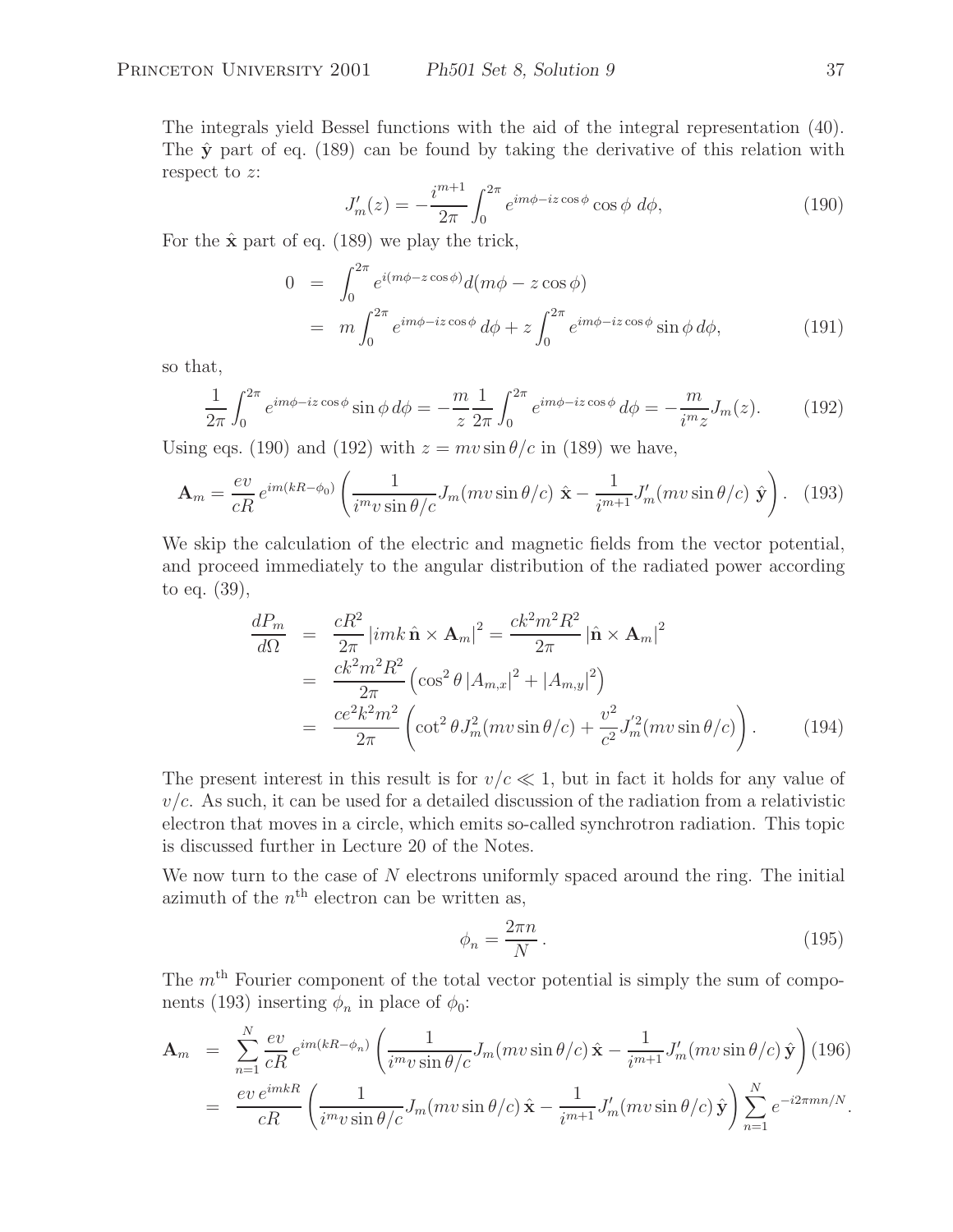The integrals yield Bessel functions with the aid of the integral representation (40). The  $\hat{y}$  part of eq. (189) can be found by taking the derivative of this relation with respect to z:

$$
J'_m(z) = -\frac{i^{m+1}}{2\pi} \int_0^{2\pi} e^{im\phi - iz\cos\phi} \cos\phi \, d\phi,\tag{190}
$$

For the  $\hat{\mathbf{x}}$  part of eq. (189) we play the trick,

$$
0 = \int_0^{2\pi} e^{i(m\phi - z\cos\phi)} d(m\phi - z\cos\phi)
$$
  
=  $m \int_0^{2\pi} e^{im\phi - iz\cos\phi} d\phi + z \int_0^{2\pi} e^{im\phi - iz\cos\phi} \sin\phi d\phi,$  (191)

so that,

$$
\frac{1}{2\pi} \int_0^{2\pi} e^{im\phi - iz\cos\phi} \sin\phi \,d\phi = -\frac{m}{z} \frac{1}{2\pi} \int_0^{2\pi} e^{im\phi - iz\cos\phi} \,d\phi = -\frac{m}{i^m z} J_m(z). \tag{192}
$$

Using eqs. (190) and (192) with  $z = mv \sin \theta/c$  in (189) we have,

$$
\mathbf{A}_m = \frac{ev}{cR} e^{im(kR - \phi_0)} \left( \frac{1}{i^m v \sin \theta / c} J_m(mv \sin \theta / c) \hat{\mathbf{x}} - \frac{1}{i^{m+1}} J'_m(mv \sin \theta / c) \hat{\mathbf{y}} \right). \tag{193}
$$

We skip the calculation of the electric and magnetic fields from the vector potential, and proceed immediately to the angular distribution of the radiated power according to eq. (39),

$$
\frac{dP_m}{d\Omega} = \frac{cR^2}{2\pi} |imk \hat{\mathbf{n}} \times \mathbf{A}_m|^2 = \frac{ck^2 m^2 R^2}{2\pi} |\hat{\mathbf{n}} \times \mathbf{A}_m|^2
$$
  
\n
$$
= \frac{ck^2 m^2 R^2}{2\pi} \left( \cos^2 \theta |A_{m,x}|^2 + |A_{m,y}|^2 \right)
$$
  
\n
$$
= \frac{ce^2 k^2 m^2}{2\pi} \left( \cot^2 \theta J_m^2 (mv \sin \theta/c) + \frac{v^2}{c^2} J_m'^2 (mv \sin \theta/c) \right).
$$
 (194)

The present interest in this result is for  $v/c \ll 1$ , but in fact it holds for any value of  $v/c$ . As such, it can be used for a detailed discussion of the radiation from a relativistic electron that moves in a circle, which emits so-called synchrotron radiation. This topic is discussed further in Lecture 20 of the Notes.

We now turn to the case of  $N$  electrons uniformly spaced around the ring. The initial azimuth of the  $n<sup>th</sup>$  electron can be written as,

$$
\phi_n = \frac{2\pi n}{N} \,. \tag{195}
$$

The  $m<sup>th</sup>$  Fourier component of the total vector potential is simply the sum of components (193) inserting  $\phi_n$  in place of  $\phi_0$ :

$$
\mathbf{A}_{m} = \sum_{n=1}^{N} \frac{ev}{cR} e^{im(kR-\phi_{n})} \left( \frac{1}{i^{m}v \sin \theta/c} J_{m}(mv \sin \theta/c) \hat{\mathbf{x}} - \frac{1}{i^{m+1}} J'_{m}(mv \sin \theta/c) \hat{\mathbf{y}} \right) (196)
$$
  
= 
$$
\frac{ev}{cR} \frac{e^{imkR}}{\sqrt{i^{m}v \sin \theta/c}} J_{m}(mv \sin \theta/c) \hat{\mathbf{x}} - \frac{1}{i^{m+1}} J'_{m}(mv \sin \theta/c) \hat{\mathbf{y}} \right) \sum_{n=1}^{N} e^{-i2\pi mn/N}.
$$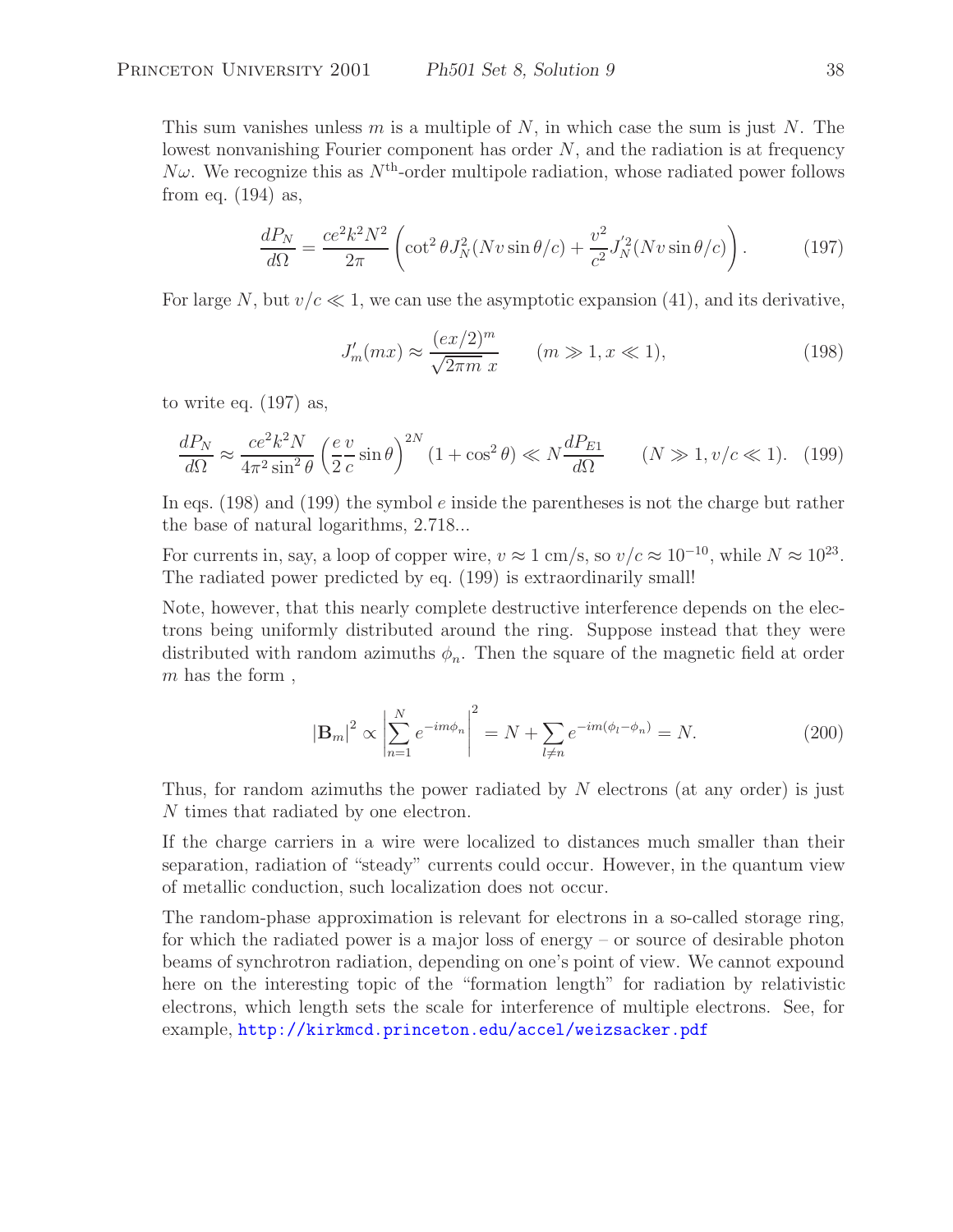This sum vanishes unless  $m$  is a multiple of  $N$ , in which case the sum is just  $N$ . The lowest nonvanishing Fourier component has order  $N$ , and the radiation is at frequency  $N\omega$ . We recognize this as  $N^{\text{th}}$ -order multipole radiation, whose radiated power follows from eq. (194) as,

$$
\frac{dP_N}{d\Omega} = \frac{ce^2k^2N^2}{2\pi} \left( \cot^2 \theta J_N^2 (Nv \sin \theta/c) + \frac{v^2}{c^2} J_N'^2 (Nv \sin \theta/c) \right). \tag{197}
$$

For large N, but  $v/c \ll 1$ , we can use the asymptotic expansion (41), and its derivative,

$$
J'_m(mx) \approx \frac{(ex/2)^m}{\sqrt{2\pi m}x} \qquad (m \gg 1, x \ll 1), \tag{198}
$$

to write eq. (197) as,

$$
\frac{dP_N}{d\Omega} \approx \frac{ce^2k^2N}{4\pi^2\sin^2\theta} \left(\frac{e}{2}\frac{v}{c}\sin\theta\right)^{2N} \left(1+\cos^2\theta\right) \ll N\frac{dP_{E1}}{d\Omega} \qquad (N \gg 1, v/c \ll 1). \tag{199}
$$

In eqs. (198) and (199) the symbol  $e$  inside the parentheses is not the charge but rather the base of natural logarithms, 2.718...

For currents in, say, a loop of copper wire,  $v \approx 1$  cm/s, so  $v/c \approx 10^{-10}$ , while  $N \approx 10^{23}$ . The radiated power predicted by eq. (199) is extraordinarily small!

Note, however, that this nearly complete destructive interference depends on the electrons being uniformly distributed around the ring. Suppose instead that they were distributed with random azimuths  $\phi_n$ . Then the square of the magnetic field at order  $m$  has the form,

$$
|\mathbf{B}_m|^2 \propto \left| \sum_{n=1}^N e^{-im\phi_n} \right|^2 = N + \sum_{l \neq n} e^{-im(\phi_l - \phi_n)} = N. \tag{200}
$$

Thus, for random azimuths the power radiated by N electrons (at any order) is just N times that radiated by one electron.

If the charge carriers in a wire were localized to distances much smaller than their separation, radiation of "steady" currents could occur. However, in the quantum view of metallic conduction, such localization does not occur.

The random-phase approximation is relevant for electrons in a so-called storage ring, for which the radiated power is a major loss of energy – or source of desirable photon beams of synchrotron radiation, depending on one's point of view. We cannot expound here on the interesting topic of the "formation length" for radiation by relativistic electrons, which length sets the scale for interference of multiple electrons. See, for example, http://kirkmcd.princeton.edu/accel/weizsacker.pdf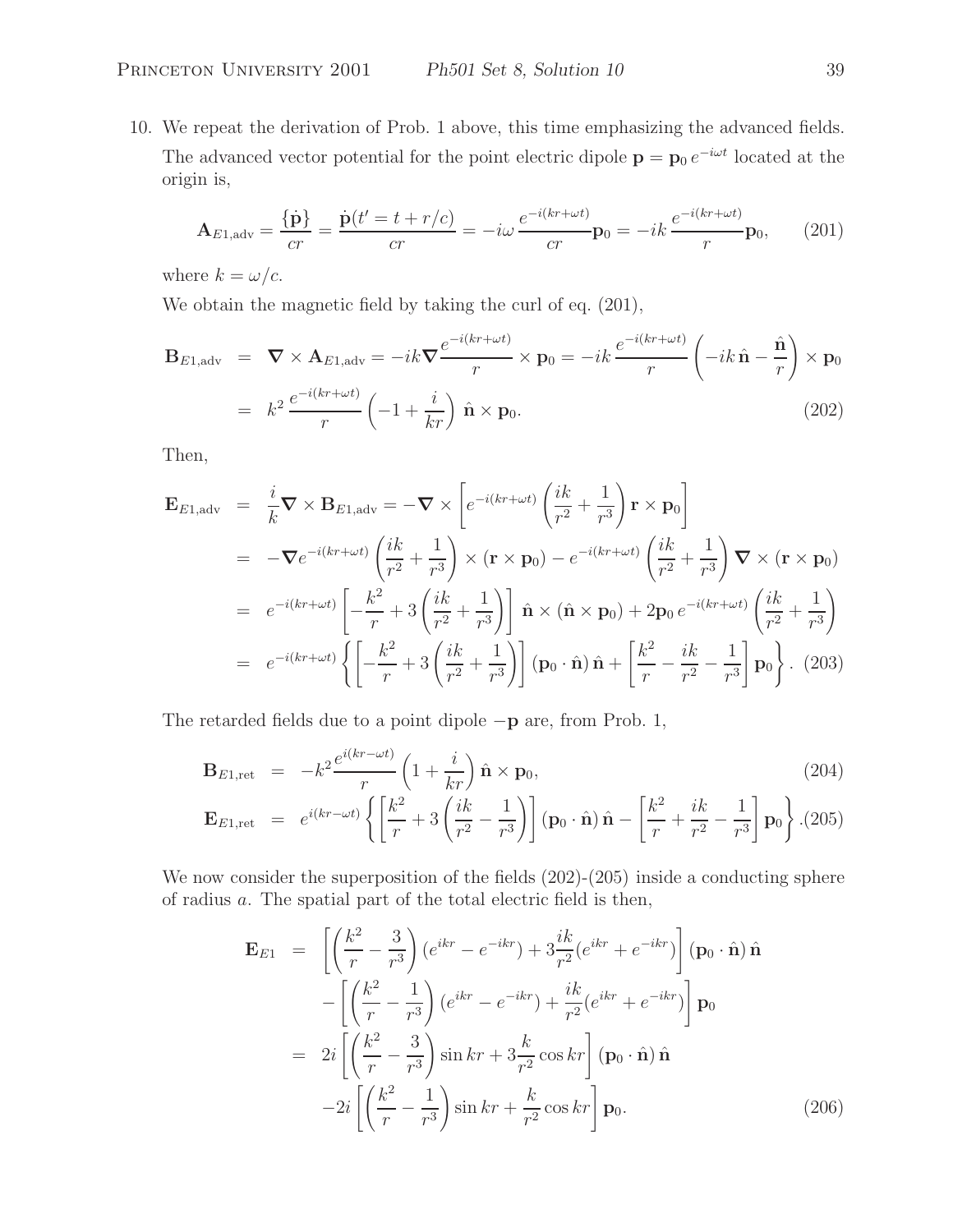10. We repeat the derivation of Prob. 1 above, this time emphasizing the advanced fields. The advanced vector potential for the point electric dipole  $\mathbf{p} = \mathbf{p}_0 e^{-i\omega t}$  located at the origin is,

$$
\mathbf{A}_{E1, \text{adv}} = \frac{\{\dot{\mathbf{p}}\}}{cr} = \frac{\dot{\mathbf{p}}(t' = t + r/c)}{cr} = -i\omega \frac{e^{-i(kr + \omega t)}}{cr} \mathbf{p}_0 = -ik \frac{e^{-i(kr + \omega t)}}{r} \mathbf{p}_0, \qquad (201)
$$

where  $k = \omega/c$ .

We obtain the magnetic field by taking the curl of eq. (201),

$$
\mathbf{B}_{E1, \text{adv}} = \nabla \times \mathbf{A}_{E1, \text{adv}} = -ik \nabla \frac{e^{-i(kr + \omega t)}}{r} \times \mathbf{p}_0 = -ik \frac{e^{-i(kr + \omega t)}}{r} \left( -ik \hat{\mathbf{n}} - \frac{\hat{\mathbf{n}}}{r} \right) \times \mathbf{p}_0
$$

$$
= k^2 \frac{e^{-i(kr + \omega t)}}{r} \left( -1 + \frac{i}{kr} \right) \hat{\mathbf{n}} \times \mathbf{p}_0. \tag{202}
$$

Then,

$$
\mathbf{E}_{E1, \text{adv}} = \frac{i}{k} \nabla \times \mathbf{B}_{E1, \text{adv}} = -\nabla \times \left[ e^{-i(kr + \omega t)} \left( \frac{ik}{r^2} + \frac{1}{r^3} \right) \mathbf{r} \times \mathbf{p}_0 \right]
$$
\n
$$
= -\nabla e^{-i(kr + \omega t)} \left( \frac{ik}{r^2} + \frac{1}{r^3} \right) \times (\mathbf{r} \times \mathbf{p}_0) - e^{-i(kr + \omega t)} \left( \frac{ik}{r^2} + \frac{1}{r^3} \right) \nabla \times (\mathbf{r} \times \mathbf{p}_0)
$$
\n
$$
= e^{-i(kr + \omega t)} \left[ -\frac{k^2}{r} + 3 \left( \frac{ik}{r^2} + \frac{1}{r^3} \right) \right] \hat{\mathbf{n}} \times (\hat{\mathbf{n}} \times \mathbf{p}_0) + 2\mathbf{p}_0 e^{-i(kr + \omega t)} \left( \frac{ik}{r^2} + \frac{1}{r^3} \right)
$$
\n
$$
= e^{-i(kr + \omega t)} \left\{ \left[ -\frac{k^2}{r} + 3 \left( \frac{ik}{r^2} + \frac{1}{r^3} \right) \right] (\mathbf{p}_0 \cdot \hat{\mathbf{n}}) \hat{\mathbf{n}} + \left[ \frac{k^2}{r} - \frac{ik}{r^2} - \frac{1}{r^3} \right] \mathbf{p}_0 \right\}. \tag{203}
$$

The retarded fields due to a point dipole −**p** are, from Prob. 1,

$$
\mathbf{B}_{E1, \text{ret}} = -k^2 \frac{e^{i(kr - \omega t)}}{r} \left( 1 + \frac{i}{kr} \right) \hat{\mathbf{n}} \times \mathbf{p}_0, \tag{204}
$$

$$
\mathbf{E}_{E1, \text{ret}} = e^{i(kr - \omega t)} \left\{ \left[ \frac{k^2}{r} + 3 \left( \frac{ik}{r^2} - \frac{1}{r^3} \right) \right] (\mathbf{p}_0 \cdot \hat{\mathbf{n}}) \hat{\mathbf{n}} - \left[ \frac{k^2}{r} + \frac{ik}{r^2} - \frac{1}{r^3} \right] \mathbf{p}_0 \right\} . (205)
$$

We now consider the superposition of the fields  $(202)-(205)$  inside a conducting sphere of radius a. The spatial part of the total electric field is then,

$$
\mathbf{E}_{E1} = \left[ \left( \frac{k^2}{r} - \frac{3}{r^3} \right) (e^{ikr} - e^{-ikr}) + 3 \frac{ik}{r^2} (e^{ikr} + e^{-ikr}) \right] (\mathbf{p}_0 \cdot \hat{\mathbf{n}}) \hat{\mathbf{n}} \n- \left[ \left( \frac{k^2}{r} - \frac{1}{r^3} \right) (e^{ikr} - e^{-ikr}) + \frac{ik}{r^2} (e^{ikr} + e^{-ikr}) \right] \mathbf{p}_0 \n= 2i \left[ \left( \frac{k^2}{r} - \frac{3}{r^3} \right) \sin kr + 3 \frac{k}{r^2} \cos kr \right] (\mathbf{p}_0 \cdot \hat{\mathbf{n}}) \hat{\mathbf{n}} \n- 2i \left[ \left( \frac{k^2}{r} - \frac{1}{r^3} \right) \sin kr + \frac{k}{r^2} \cos kr \right] \mathbf{p}_0.
$$
\n(206)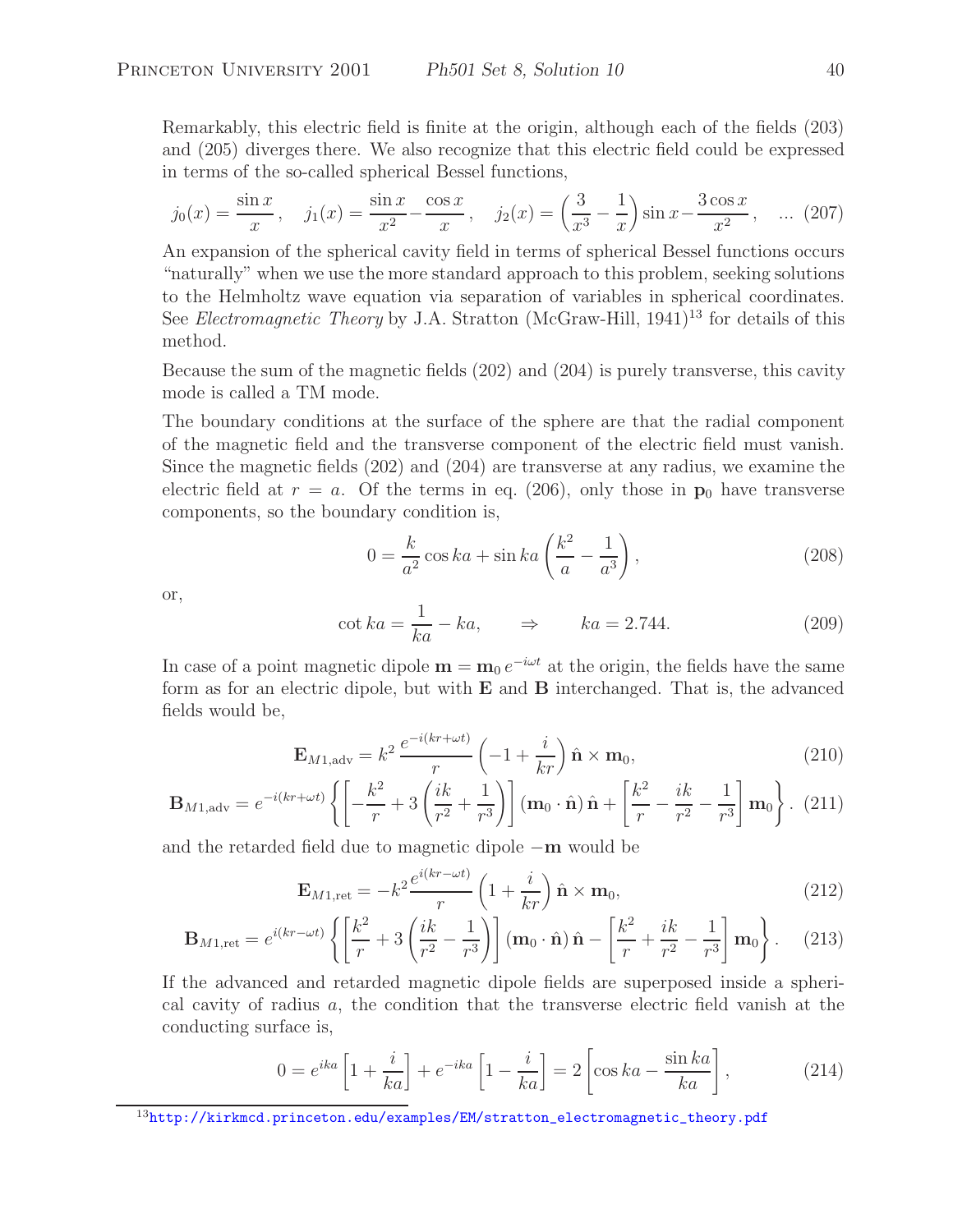Remarkably, this electric field is finite at the origin, although each of the fields (203) and (205) diverges there. We also recognize that this electric field could be expressed in terms of the so-called spherical Bessel functions,

$$
j_0(x) = \frac{\sin x}{x}, \quad j_1(x) = \frac{\sin x}{x^2} - \frac{\cos x}{x}, \quad j_2(x) = \left(\frac{3}{x^3} - \frac{1}{x}\right) \sin x - \frac{3\cos x}{x^2}, \quad \dots (207)
$$

An expansion of the spherical cavity field in terms of spherical Bessel functions occurs "naturally" when we use the more standard approach to this problem, seeking solutions to the Helmholtz wave equation via separation of variables in spherical coordinates. See *Electromagnetic Theory* by J.A. Stratton (McGraw-Hill, 1941)<sup>13</sup> for details of this method.

Because the sum of the magnetic fields (202) and (204) is purely transverse, this cavity mode is called a TM mode.

The boundary conditions at the surface of the sphere are that the radial component of the magnetic field and the transverse component of the electric field must vanish. Since the magnetic fields (202) and (204) are transverse at any radius, we examine the electric field at  $r = a$ . Of the terms in eq. (206), only those in  $\mathbf{p}_0$  have transverse components, so the boundary condition is,

$$
0 = \frac{k}{a^2} \cos ka + \sin ka \left(\frac{k^2}{a} - \frac{1}{a^3}\right),\tag{208}
$$

or,

$$
\cot ka = \frac{1}{ka} - ka, \qquad \Rightarrow \qquad ka = 2.744. \tag{209}
$$

In case of a point magnetic dipole  $\mathbf{m} = \mathbf{m}_0 e^{-i\omega t}$  at the origin, the fields have the same form as for an electric dipole, but with **E** and **B** interchanged. That is, the advanced fields would be,

$$
\mathbf{E}_{M1, \text{adv}} = k^2 \frac{e^{-i(kr + \omega t)}}{r} \left( -1 + \frac{i}{kr} \right) \hat{\mathbf{n}} \times \mathbf{m}_0, \tag{210}
$$

$$
\mathbf{B}_{M1, \text{adv}} = e^{-i(kr + \omega t)} \left\{ \left[ -\frac{k^2}{r} + 3\left(\frac{ik}{r^2} + \frac{1}{r^3}\right) \right] (\mathbf{m}_0 \cdot \hat{\mathbf{n}}) \hat{\mathbf{n}} + \left[ \frac{k^2}{r} - \frac{ik}{r^2} - \frac{1}{r^3} \right] \mathbf{m}_0 \right\}. (211)
$$

and the retarded field due to magnetic dipole −**m** would be

$$
\mathbf{E}_{M1, \text{ret}} = -k^2 \frac{e^{i(kr - \omega t)}}{r} \left( 1 + \frac{i}{kr} \right) \hat{\mathbf{n}} \times \mathbf{m}_0,
$$
\n(212)

$$
\mathbf{B}_{M1, \text{ret}} = e^{i(kr - \omega t)} \left\{ \left[ \frac{k^2}{r} + 3 \left( \frac{ik}{r^2} - \frac{1}{r^3} \right) \right] (\mathbf{m}_0 \cdot \hat{\mathbf{n}}) \hat{\mathbf{n}} - \left[ \frac{k^2}{r} + \frac{ik}{r^2} - \frac{1}{r^3} \right] \mathbf{m}_0 \right\}.
$$
 (213)

If the advanced and retarded magnetic dipole fields are superposed inside a spherical cavity of radius a, the condition that the transverse electric field vanish at the conducting surface is,

$$
0 = e^{ika} \left[ 1 + \frac{i}{ka} \right] + e^{-ika} \left[ 1 - \frac{i}{ka} \right] = 2 \left[ \cos ka - \frac{\sin ka}{ka} \right],\tag{214}
$$

 $^{13}$ http://kirkmcd.princeton.edu/examples/EM/stratton\_electromagnetic\_theory.pdf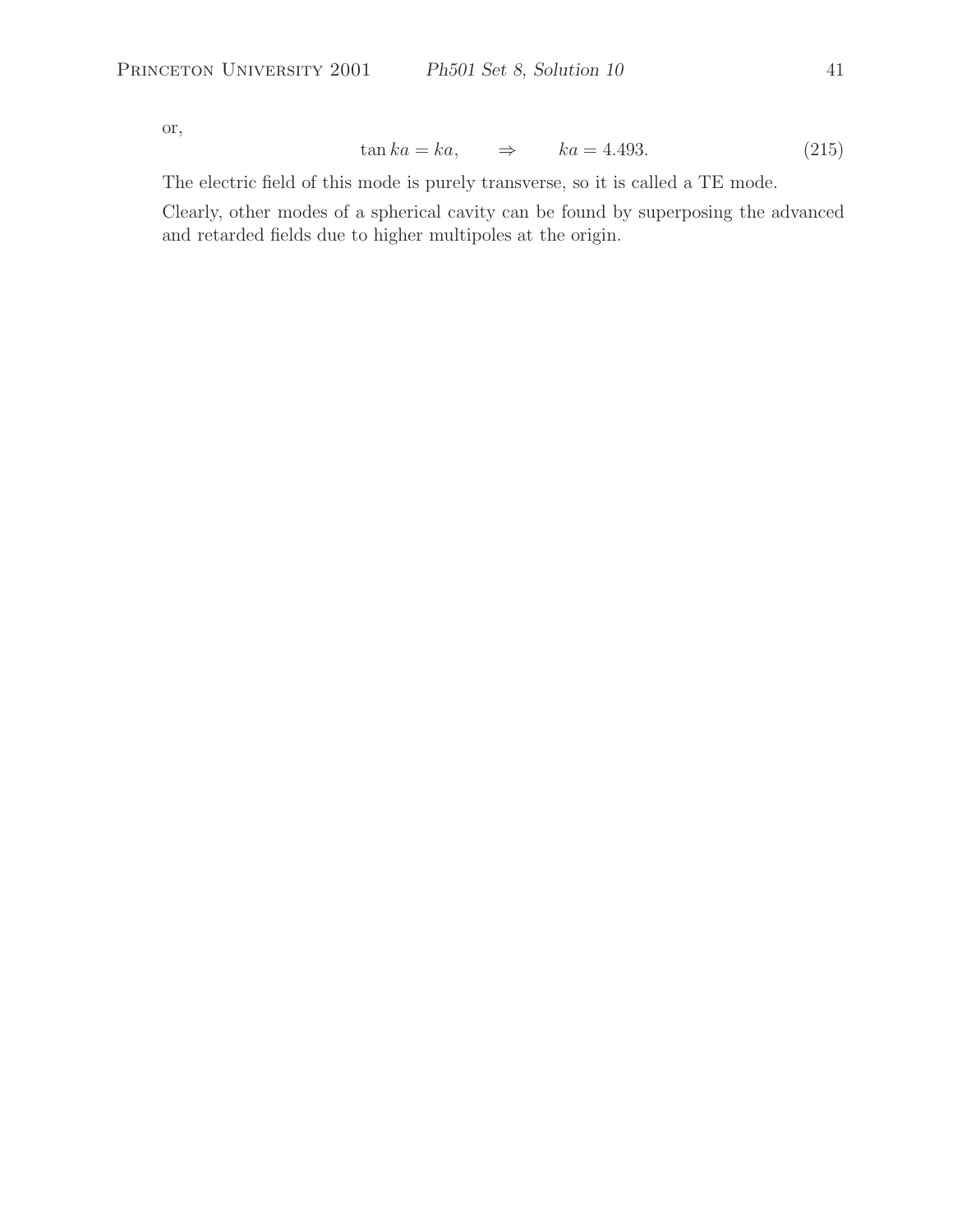or,

$$
\tan ka = ka, \qquad \Rightarrow \qquad ka = 4.493. \tag{215}
$$

The electric field of this mode is purely transverse, so it is called a TE mode.

Clearly, other modes of a spherical cavity can be found by superposing the advanced and retarded fields due to higher multipoles at the origin.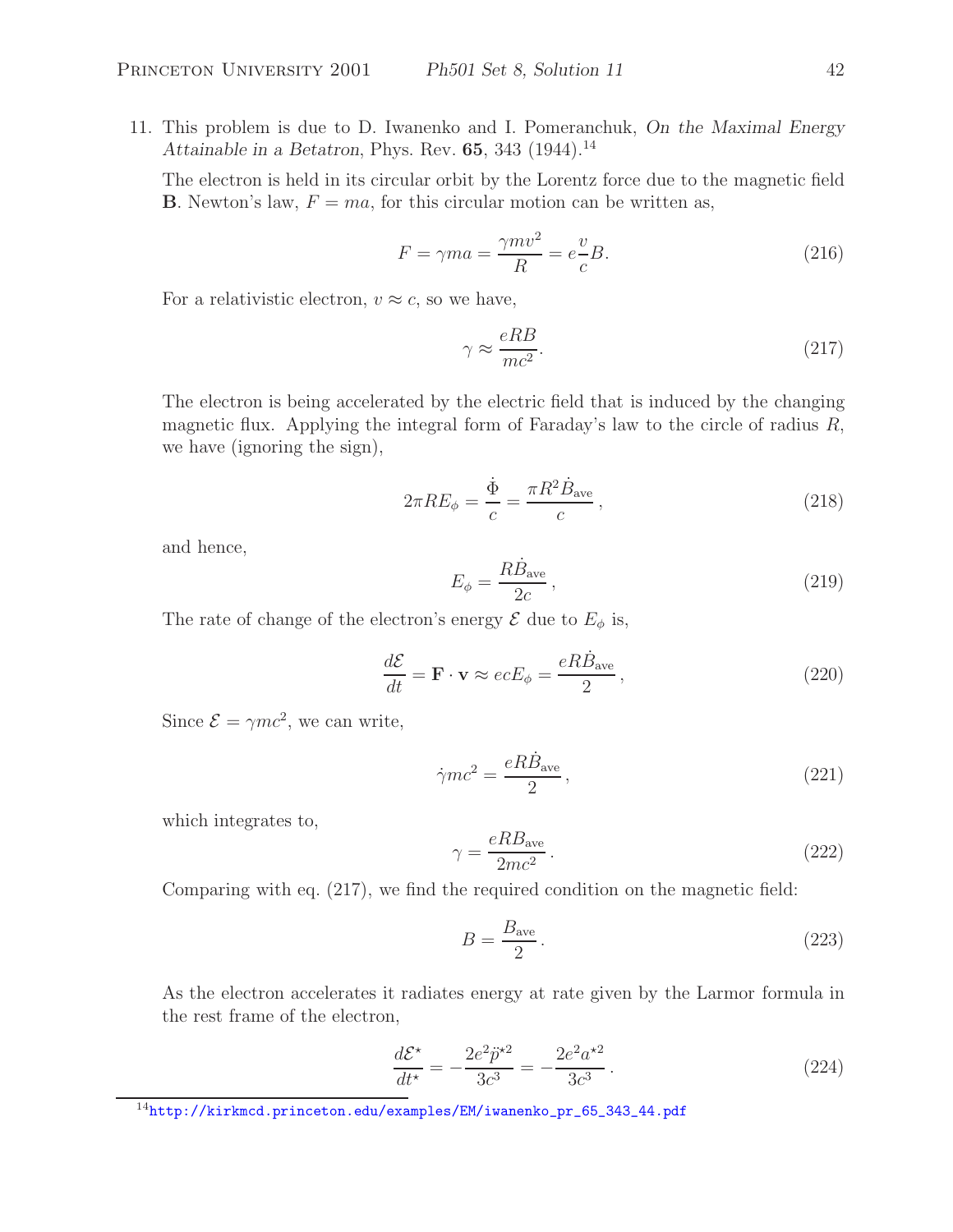11. This problem is due to D. Iwanenko and I. Pomeranchuk, *On the Maximal Energy Attainable in a Betatron*, Phys. Rev. **65**, 343 (1944).<sup>14</sup>

The electron is held in its circular orbit by the Lorentz force due to the magnetic field **B**. Newton's law,  $F = ma$ , for this circular motion can be written as,

$$
F = \gamma ma = \frac{\gamma mv^2}{R} = e\frac{v}{c}B.
$$
\n(216)

For a relativistic electron,  $v \approx c$ , so we have,

$$
\gamma \approx \frac{eRB}{mc^2}.\tag{217}
$$

The electron is being accelerated by the electric field that is induced by the changing magnetic flux. Applying the integral form of Faraday's law to the circle of radius  $R$ , we have (ignoring the sign),

$$
2\pi RE_{\phi} = \frac{\dot{\Phi}}{c} = \frac{\pi R^2 \dot{B}_{\text{ave}}}{c},\qquad(218)
$$

and hence,

$$
E_{\phi} = \frac{R\dot{B}_{\text{ave}}}{2c},\tag{219}
$$

The rate of change of the electron's energy  $\mathcal E$  due to  $E_{\phi}$  is,

$$
\frac{d\mathcal{E}}{dt} = \mathbf{F} \cdot \mathbf{v} \approx e c E_{\phi} = \frac{e R \dot{B}_{\text{ave}}}{2},\tag{220}
$$

Since  $\mathcal{E} = \gamma mc^2$ , we can write,

$$
\dot{\gamma}mc^2 = \frac{eR\dot{B}_{\text{ave}}}{2},\tag{221}
$$

which integrates to,

$$
\gamma = \frac{eRB_{\text{ave}}}{2mc^2} \,. \tag{222}
$$

Comparing with eq. (217), we find the required condition on the magnetic field:

$$
B = \frac{B_{\text{ave}}}{2} \,. \tag{223}
$$

As the electron accelerates it radiates energy at rate given by the Larmor formula in the rest frame of the electron,

$$
\frac{d\mathcal{E}^{\star}}{dt^{\star}} = -\frac{2e^2\ddot{p}^{\star 2}}{3c^3} = -\frac{2e^2a^{\star 2}}{3c^3}.
$$
\n(224)

 $14$ http://kirkmcd.princeton.edu/examples/EM/iwanenko\_pr\_65\_343\_44.pdf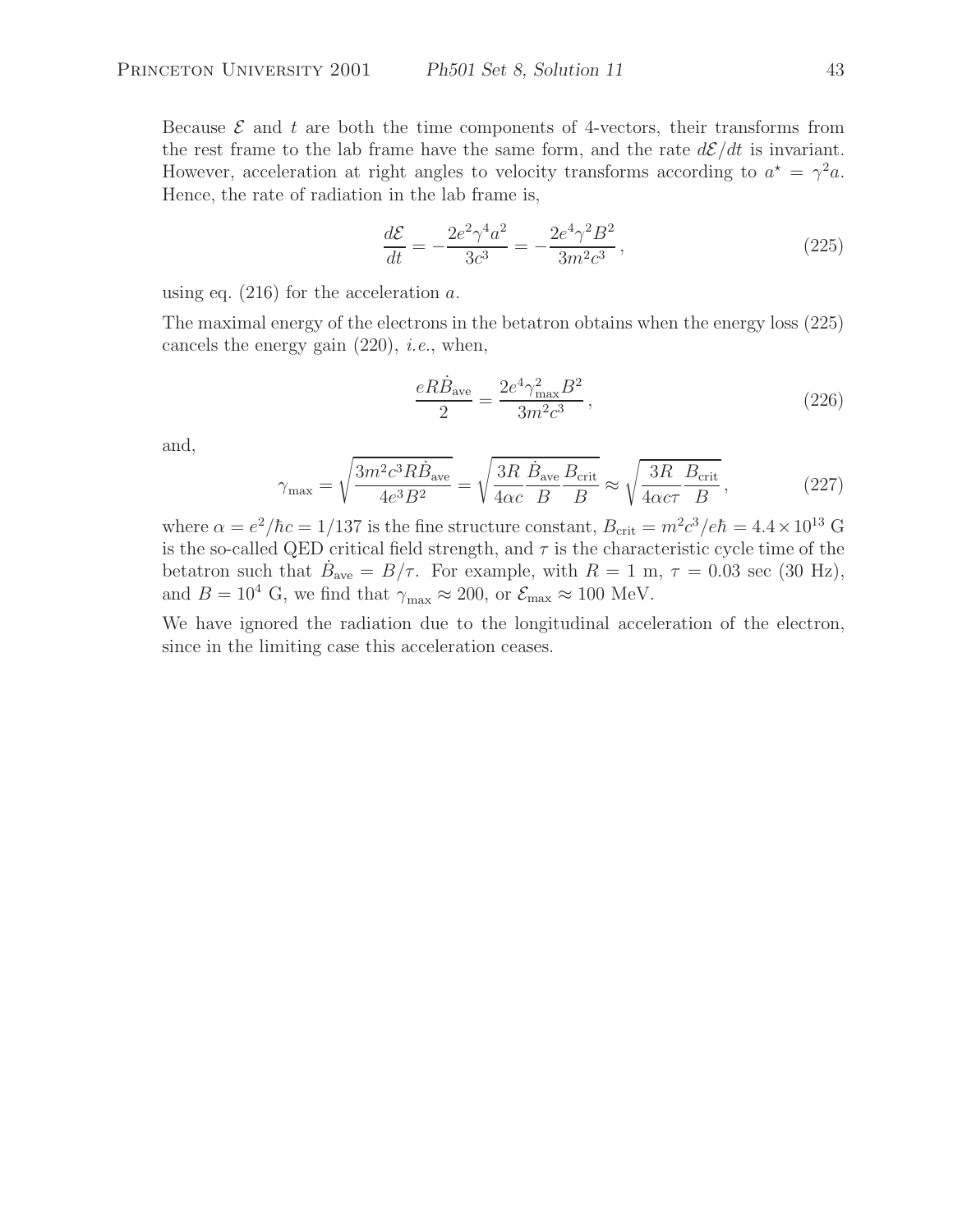Because  $\mathcal E$  and  $t$  are both the time components of 4-vectors, their transforms from the rest frame to the lab frame have the same form, and the rate  $d\mathcal{E}/dt$  is invariant. However, acceleration at right angles to velocity transforms according to  $a^* = \gamma^2 a$ . Hence, the rate of radiation in the lab frame is,

$$
\frac{d\mathcal{E}}{dt} = -\frac{2e^2\gamma^4a^2}{3c^3} = -\frac{2e^4\gamma^2B^2}{3m^2c^3},\tag{225}
$$

using eq.  $(216)$  for the acceleration a.

The maximal energy of the electrons in the betatron obtains when the energy loss (225) cancels the energy gain (220), *i.e.*, when,

$$
\frac{eR\dot{B}_{\text{ave}}}{2} = \frac{2e^4\gamma_{\text{max}}^2B^2}{3m^2c^3},\qquad(226)
$$

and,

$$
\gamma_{\text{max}} = \sqrt{\frac{3m^2c^3R\dot{B}_{\text{ave}}}{4e^3B^2}} = \sqrt{\frac{3R}{4\alpha c}\frac{\dot{B}_{\text{ave}}B_{\text{crit}}}{B}} \approx \sqrt{\frac{3R}{4\alpha c\tau}\frac{B_{\text{crit}}}{B}},\tag{227}
$$

where  $\alpha = e^2/\hbar c = 1/137$  is the fine structure constant,  $B_{\text{crit}} = m^2 c^3/e\hbar = 4.4 \times 10^{13}$  G is the so-called QED critical field strength, and  $\tau$  is the characteristic cycle time of the betatron such that  $B_{\text{ave}} = B/\tau$ . For example, with  $R = 1$  m,  $\tau = 0.03$  sec (30 Hz), and  $B = 10^4$  G, we find that  $\gamma_{\text{max}} \approx 200$ , or  $\mathcal{E}_{\text{max}} \approx 100$  MeV.

We have ignored the radiation due to the longitudinal acceleration of the electron, since in the limiting case this acceleration ceases.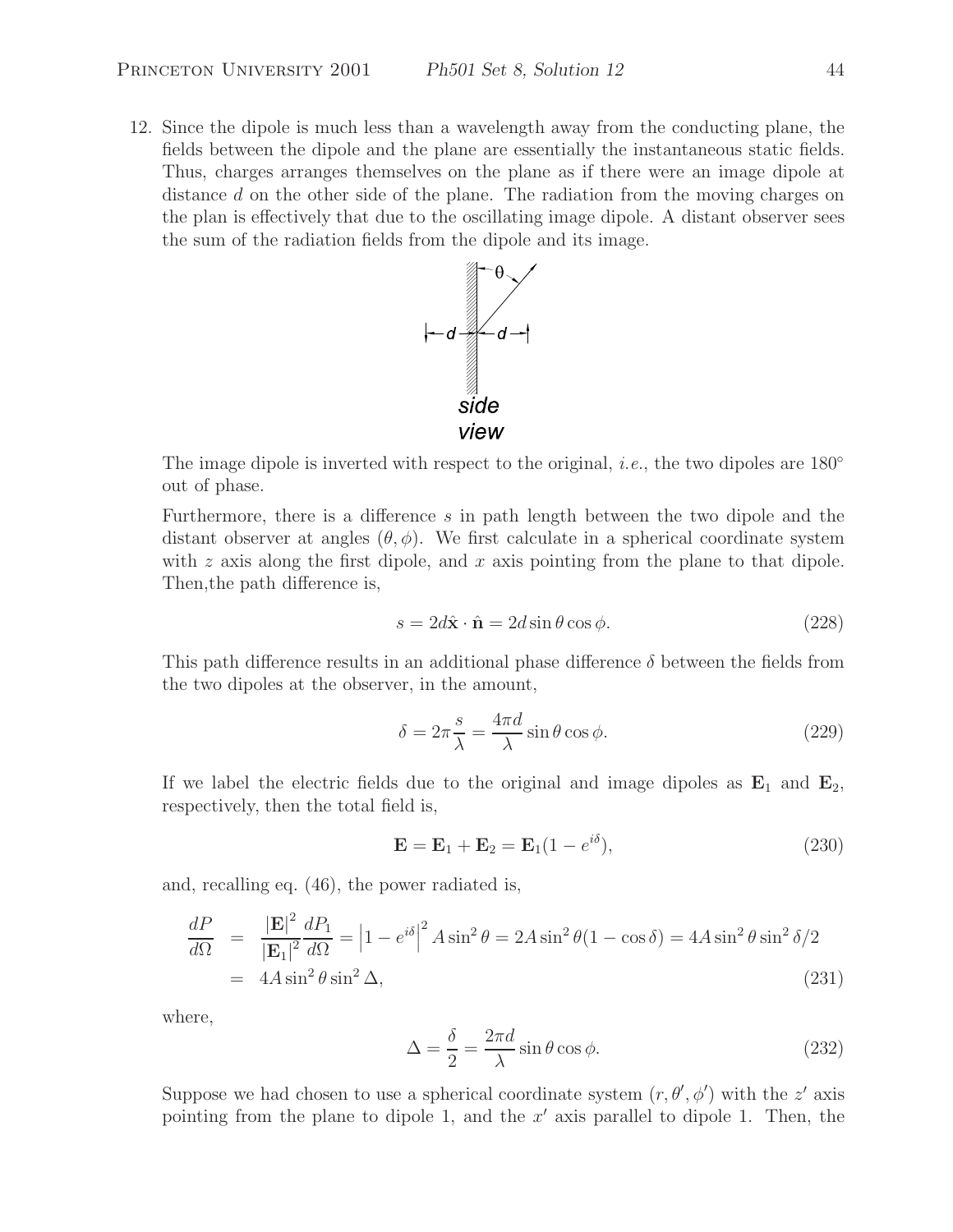12. Since the dipole is much less than a wavelength away from the conducting plane, the fields between the dipole and the plane are essentially the instantaneous static fields. Thus, charges arranges themselves on the plane as if there were an image dipole at distance d on the other side of the plane. The radiation from the moving charges on the plan is effectively that due to the oscillating image dipole. A distant observer sees the sum of the radiation fields from the dipole and its image.



The image dipole is inverted with respect to the original, *i.e.*, the two dipoles are 180<sup>°</sup> out of phase.

Furthermore, there is a difference s in path length between the two dipole and the distant observer at angles  $(\theta, \phi)$ . We first calculate in a spherical coordinate system with  $z$  axis along the first dipole, and  $x$  axis pointing from the plane to that dipole. Then,the path difference is,

$$
s = 2d\hat{\mathbf{x}} \cdot \hat{\mathbf{n}} = 2d\sin\theta\cos\phi.
$$
 (228)

This path difference results in an additional phase difference  $\delta$  between the fields from the two dipoles at the observer, in the amount,

$$
\delta = 2\pi \frac{s}{\lambda} = \frac{4\pi d}{\lambda} \sin \theta \cos \phi.
$$
 (229)

If we label the electric fields due to the original and image dipoles as  $\mathbf{E}_1$  and  $\mathbf{E}_2$ , respectively, then the total field is,

$$
\mathbf{E} = \mathbf{E}_1 + \mathbf{E}_2 = \mathbf{E}_1 (1 - e^{i\delta}), \tag{230}
$$

and, recalling eq. (46), the power radiated is,

$$
\frac{dP}{d\Omega} = \frac{|\mathbf{E}|^2}{|\mathbf{E}_1|^2} \frac{dP_1}{d\Omega} = |1 - e^{i\delta}|^2 A \sin^2 \theta = 2A \sin^2 \theta (1 - \cos \delta) = 4A \sin^2 \theta \sin^2 \delta/2
$$
  
= 4A \sin^2 \theta \sin^2 \Delta, (231)

where,

$$
\Delta = \frac{\delta}{2} = \frac{2\pi d}{\lambda} \sin \theta \cos \phi.
$$
 (232)

Suppose we had chosen to use a spherical coordinate system  $(r, \theta', \phi')$  with the z' axis pointing from the plane to dipole 1, and the  $x'$  axis parallel to dipole 1. Then, the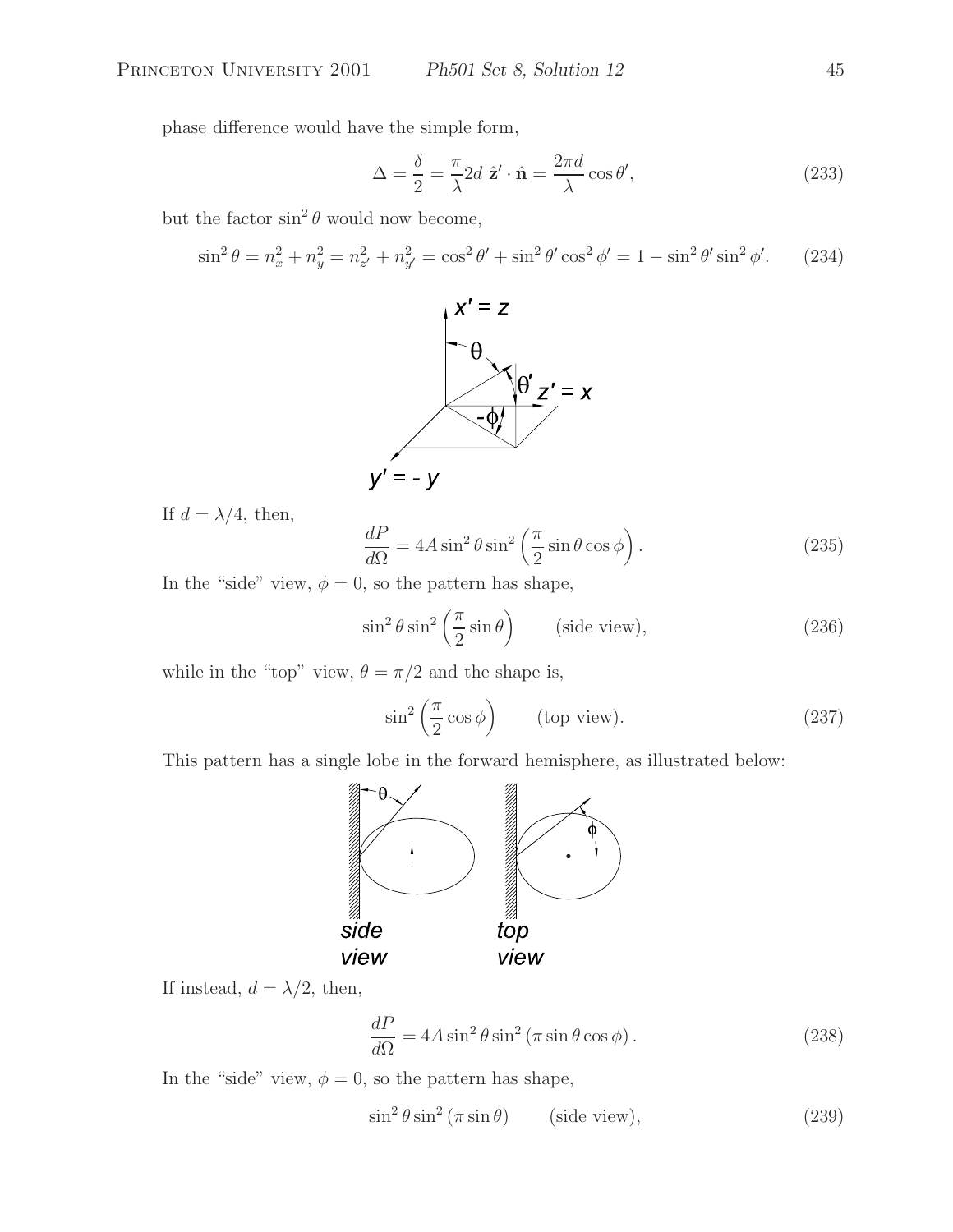phase difference would have the simple form,

$$
\Delta = \frac{\delta}{2} = \frac{\pi}{\lambda} 2d \hat{\mathbf{z}}' \cdot \hat{\mathbf{n}} = \frac{2\pi d}{\lambda} \cos \theta',\tag{233}
$$

but the factor  $\sin^2\theta$  would now become,

$$
\sin^2 \theta = n_x^2 + n_y^2 = n_{z'}^2 + n_{y'}^2 = \cos^2 \theta' + \sin^2 \theta' \cos^2 \phi' = 1 - \sin^2 \theta' \sin^2 \phi'.
$$
 (234)



If  $d = \lambda/4$ , then,

$$
\frac{dP}{d\Omega} = 4A\sin^2\theta\sin^2\left(\frac{\pi}{2}\sin\theta\cos\phi\right). \tag{235}
$$

In the "side" view,  $\phi = 0$ , so the pattern has shape,

$$
\sin^2 \theta \sin^2 \left(\frac{\pi}{2} \sin \theta\right) \qquad \text{(side view)},\tag{236}
$$

while in the "top" view,  $\theta=\pi/2$  and the shape is,

$$
\sin^2\left(\frac{\pi}{2}\cos\phi\right) \qquad \text{(top view)}.\tag{237}
$$

This pattern has a single lobe in the forward hemisphere, as illustrated below:



If instead,  $d = \lambda/2$ , then,

$$
\frac{dP}{d\Omega} = 4A\sin^2\theta\sin^2\left(\pi\sin\theta\cos\phi\right). \tag{238}
$$

In the "side" view,  $\phi = 0$ , so the pattern has shape,

$$
\sin^2 \theta \sin^2 (\pi \sin \theta) \qquad \text{(side view)}, \tag{239}
$$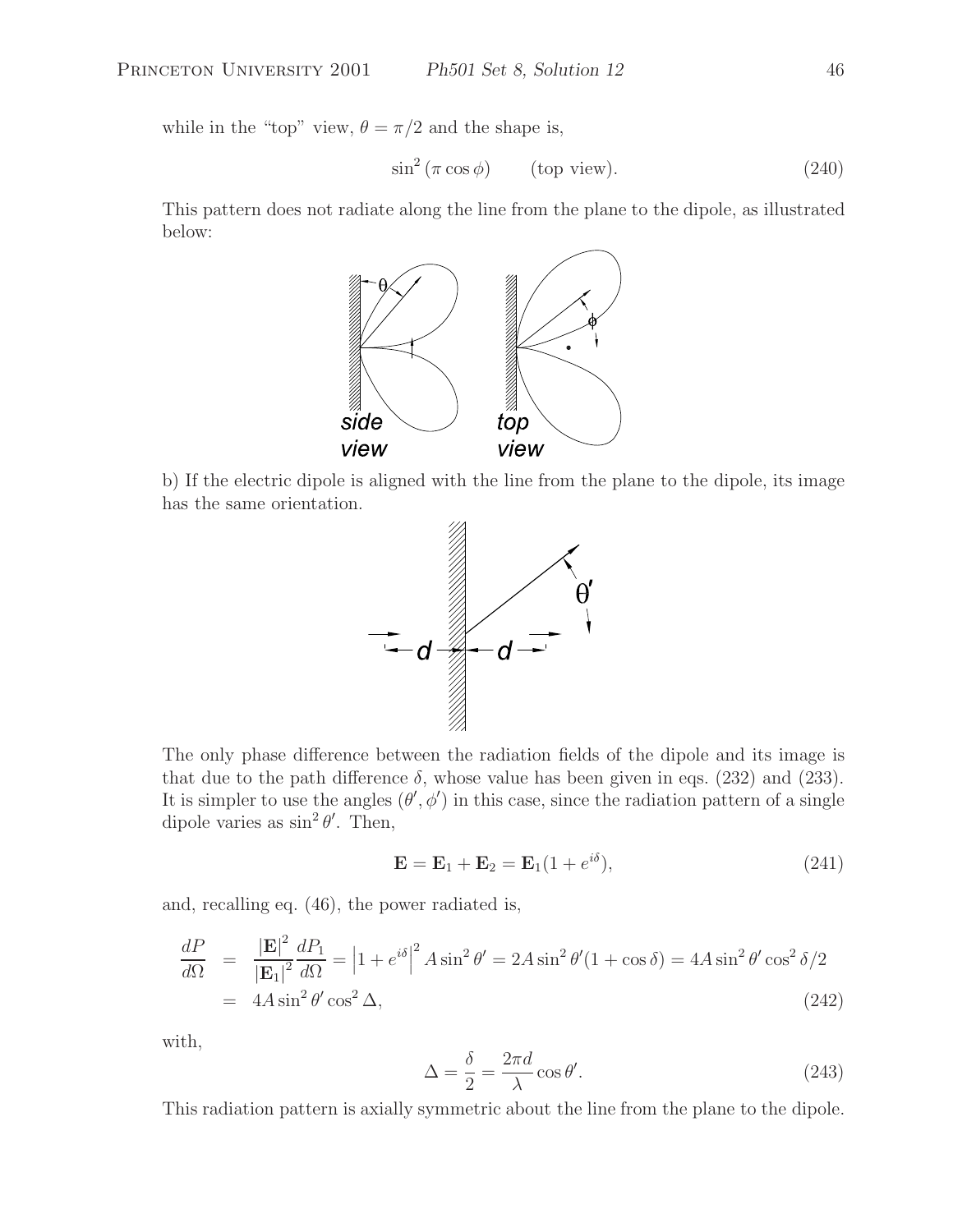while in the "top" view,  $\theta = \pi/2$  and the shape is,

$$
\sin^2\left(\pi\cos\phi\right) \qquad \text{(top view)}.\tag{240}
$$

This pattern does not radiate along the line from the plane to the dipole, as illustrated below:



b) If the electric dipole is aligned with the line from the plane to the dipole, its image has the same orientation.



The only phase difference between the radiation fields of the dipole and its image is that due to the path difference  $\delta$ , whose value has been given in eqs. (232) and (233). It is simpler to use the angles  $(\theta', \phi')$  in this case, since the radiation pattern of a single dipole varies as  $\sin^2 \theta'$ . Then,

$$
\mathbf{E} = \mathbf{E}_1 + \mathbf{E}_2 = \mathbf{E}_1(1 + e^{i\delta}),\tag{241}
$$

and, recalling eq. (46), the power radiated is,

$$
\frac{dP}{d\Omega} = \frac{|\mathbf{E}|^2}{|\mathbf{E}_1|^2} \frac{dP_1}{d\Omega} = |1 + e^{i\delta}|^2 A \sin^2 \theta' = 2A \sin^2 \theta' (1 + \cos \delta) = 4A \sin^2 \theta' \cos^2 \delta/2
$$
  
= 4A sin<sup>2</sup> θ' cos<sup>2</sup> Δ, (242)

with,

$$
\Delta = \frac{\delta}{2} = \frac{2\pi d}{\lambda} \cos \theta'.\tag{243}
$$

This radiation pattern is axially symmetric about the line from the plane to the dipole.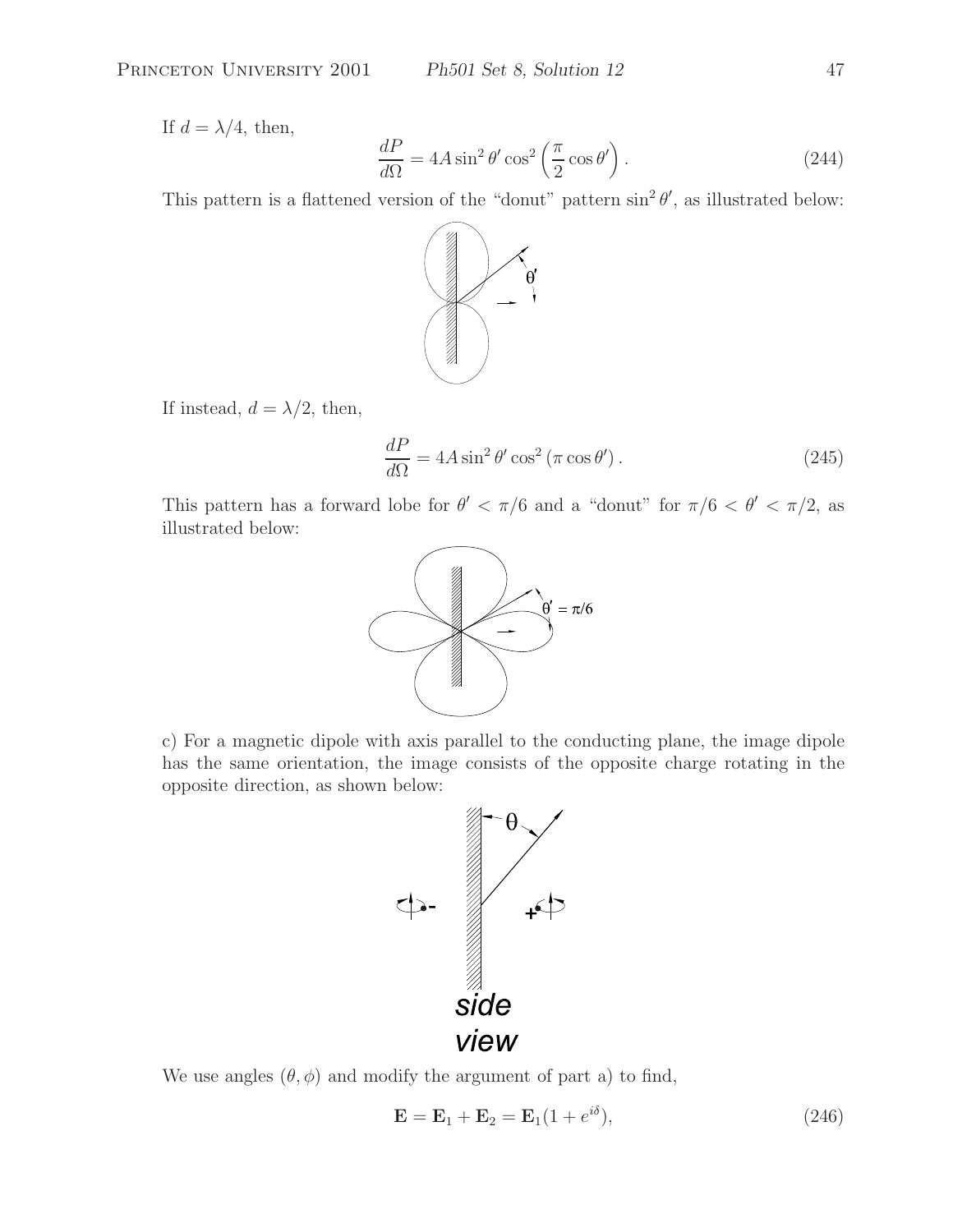If  $d = \lambda/4$ , then,

$$
\frac{dP}{d\Omega} = 4A\sin^2\theta'\cos^2\left(\frac{\pi}{2}\cos\theta'\right). \tag{244}
$$

This pattern is a flattened version of the "donut" pattern  $\sin^2 \theta'$ , as illustrated below:



If instead,  $d = \lambda/2$ , then,

$$
\frac{dP}{d\Omega} = 4A\sin^2\theta'\cos^2\left(\pi\cos\theta'\right). \tag{245}
$$

This pattern has a forward lobe for  $\theta' < \pi/6$  and a "donut" for  $\pi/6 < \theta' < \pi/2$ , as illustrated below:



c) For a magnetic dipole with axis parallel to the conducting plane, the image dipole has the same orientation, the image consists of the opposite charge rotating in the opposite direction, as shown below:



We use angles  $(\theta, \phi)$  and modify the argument of part a) to find,

$$
\mathbf{E} = \mathbf{E}_1 + \mathbf{E}_2 = \mathbf{E}_1(1 + e^{i\delta}),\tag{246}
$$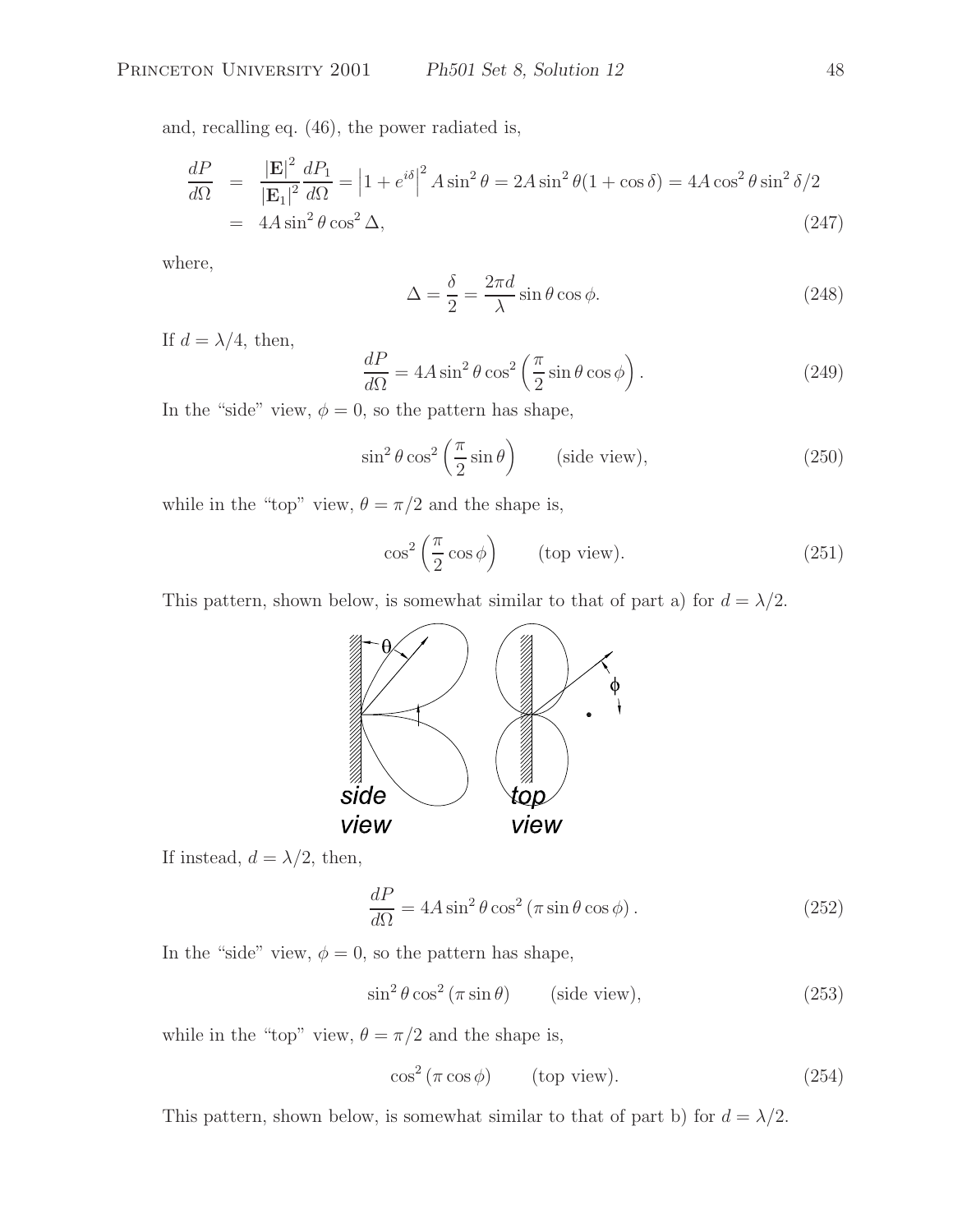and, recalling eq. (46), the power radiated is,

$$
\frac{dP}{d\Omega} = \frac{|\mathbf{E}|^2}{|\mathbf{E}_1|^2} \frac{dP_1}{d\Omega} = |1 + e^{i\delta}|^2 A \sin^2 \theta = 2A \sin^2 \theta (1 + \cos \delta) = 4A \cos^2 \theta \sin^2 \delta / 2
$$
  
= 4A \sin^2 \theta \cos^2 \Delta, (247)

where,

$$
\Delta = \frac{\delta}{2} = \frac{2\pi d}{\lambda} \sin \theta \cos \phi.
$$
 (248)

If  $d = \lambda/4$ , then,

$$
\frac{dP}{d\Omega} = 4A\sin^2\theta\cos^2\left(\frac{\pi}{2}\sin\theta\cos\phi\right). \tag{249}
$$

In the "side" view,  $\phi = 0$ , so the pattern has shape,

$$
\sin^2 \theta \cos^2 \left(\frac{\pi}{2} \sin \theta\right) \qquad \text{(side view)},\tag{250}
$$

while in the "top" view,  $\theta = \pi/2$  and the shape is,

$$
\cos^2\left(\frac{\pi}{2}\cos\phi\right) \qquad \text{(top view)}.\tag{251}
$$

This pattern, shown below, is somewhat similar to that of part a) for  $d = \lambda/2$ .



If instead,  $d = \lambda/2$ , then,

$$
\frac{dP}{d\Omega} = 4A\sin^2\theta\cos^2\left(\pi\sin\theta\cos\phi\right). \tag{252}
$$

In the "side" view,  $\phi = 0$ , so the pattern has shape,

$$
\sin^2 \theta \cos^2 (\pi \sin \theta) \qquad \text{(side view)}, \tag{253}
$$

while in the "top" view,  $\theta = \pi/2$  and the shape is,

$$
\cos^2(\pi \cos \phi) \qquad \text{(top view)}.\tag{254}
$$

This pattern, shown below, is somewhat similar to that of part b) for  $d = \lambda/2$ .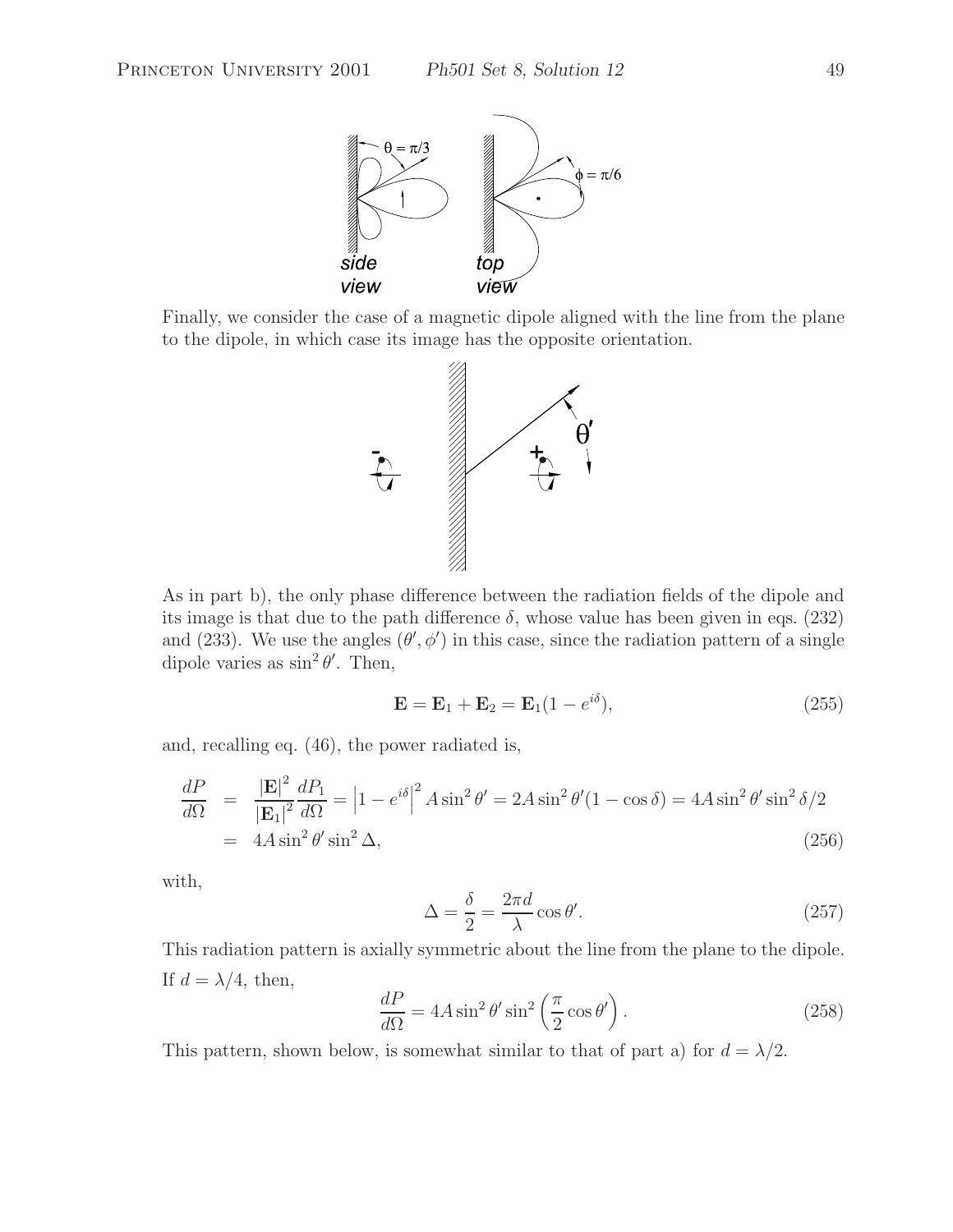

Finally, we consider the case of a magnetic dipole aligned with the line from the plane to the dipole, in which case its image has the opposite orientation.



As in part b), the only phase difference between the radiation fields of the dipole and its image is that due to the path difference  $\delta$ , whose value has been given in eqs. (232) and (233). We use the angles  $(\theta', \phi')$  in this case, since the radiation pattern of a single dipole varies as  $\sin^2 \theta'$ . Then,

$$
\mathbf{E} = \mathbf{E}_1 + \mathbf{E}_2 = \mathbf{E}_1 (1 - e^{i\delta}), \tag{255}
$$

and, recalling eq. (46), the power radiated is,

$$
\frac{dP}{d\Omega} = \frac{|\mathbf{E}|^2}{|\mathbf{E}_1|^2} \frac{dP_1}{d\Omega} = \left| 1 - e^{i\delta} \right|^2 A \sin^2 \theta' = 2A \sin^2 \theta' (1 - \cos \delta) = 4A \sin^2 \theta' \sin^2 \delta / 2
$$
  
= 4A sin<sup>2</sup> θ' sin<sup>2</sup> Δ, (256)

with,

$$
\Delta = \frac{\delta}{2} = \frac{2\pi d}{\lambda} \cos \theta'.
$$
\n(257)

This radiation pattern is axially symmetric about the line from the plane to the dipole. If  $d = \lambda/4$ , then,

$$
\frac{dP}{d\Omega} = 4A\sin^2\theta'\sin^2\left(\frac{\pi}{2}\cos\theta'\right). \tag{258}
$$

This pattern, shown below, is somewhat similar to that of part a) for  $d = \lambda/2$ .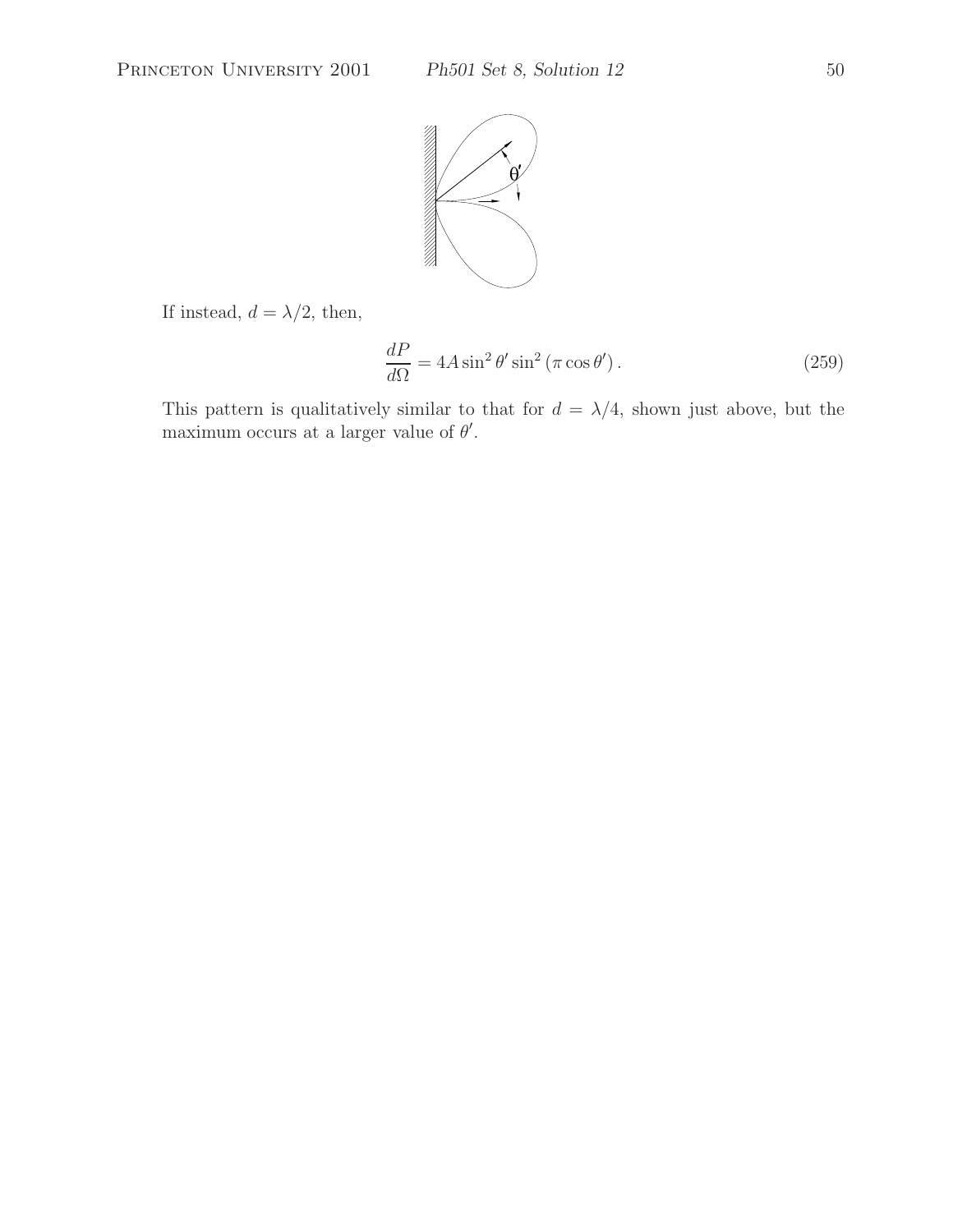

If instead,  $d=\lambda/2,$  then,

$$
\frac{dP}{d\Omega} = 4A\sin^2\theta'\sin^2\left(\pi\cos\theta'\right). \tag{259}
$$

This pattern is qualitatively similar to that for  $d = \lambda/4$ , shown just above, but the maximum occurs at a larger value of  $\theta'$ .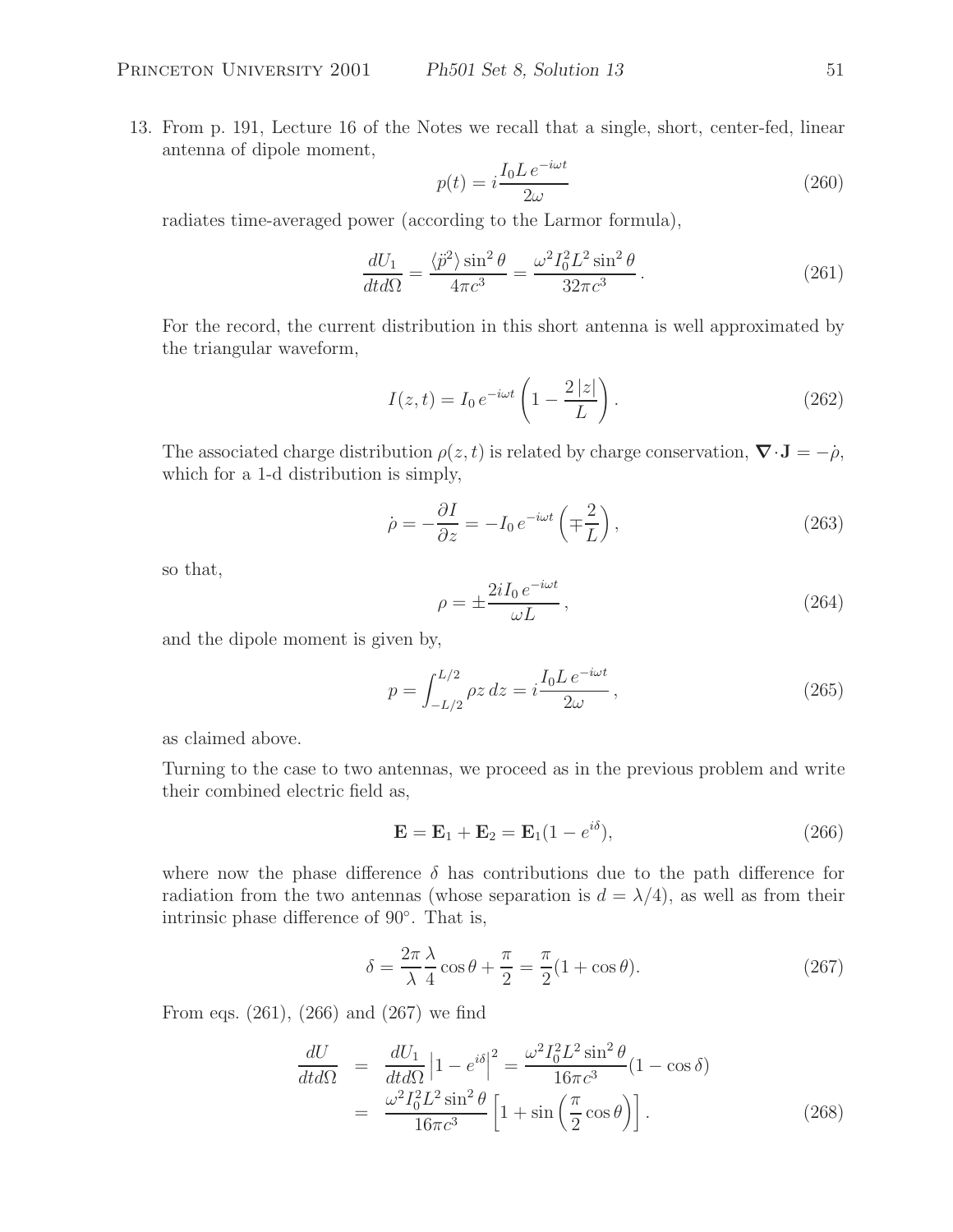13. From p. 191, Lecture 16 of the Notes we recall that a single, short, center-fed, linear antenna of dipole moment,

$$
p(t) = i \frac{I_0 L e^{-i\omega t}}{2\omega} \tag{260}
$$

radiates time-averaged power (according to the Larmor formula),

$$
\frac{dU_1}{dt d\Omega} = \frac{\langle \ddot{p}^2 \rangle \sin^2 \theta}{4\pi c^3} = \frac{\omega^2 I_0^2 L^2 \sin^2 \theta}{32\pi c^3}.
$$
\n(261)

For the record, the current distribution in this short antenna is well approximated by the triangular waveform,

$$
I(z,t) = I_0 e^{-i\omega t} \left( 1 - \frac{2|z|}{L} \right). \tag{262}
$$

The associated charge distribution  $\rho(z, t)$  is related by charge conservation,  $\nabla \cdot \mathbf{J} = -\dot{\rho}$ , which for a 1-d distribution is simply,

$$
\dot{\rho} = -\frac{\partial I}{\partial z} = -I_0 e^{-i\omega t} \left( \mp \frac{2}{L} \right),\tag{263}
$$

so that,

$$
\rho = \pm \frac{2i I_0 e^{-i\omega t}}{\omega L},\qquad(264)
$$

and the dipole moment is given by,

$$
p = \int_{-L/2}^{L/2} \rho z \, dz = i \frac{I_0 L e^{-i\omega t}}{2\omega}, \qquad (265)
$$

as claimed above.

Turning to the case to two antennas, we proceed as in the previous problem and write their combined electric field as,

$$
\mathbf{E} = \mathbf{E}_1 + \mathbf{E}_2 = \mathbf{E}_1 (1 - e^{i\delta}), \tag{266}
$$

where now the phase difference  $\delta$  has contributions due to the path difference for radiation from the two antennas (whose separation is  $d = \lambda/4$ ), as well as from their intrinsic phase difference of 90◦. That is,

$$
\delta = \frac{2\pi}{\lambda} \frac{\lambda}{4} \cos \theta + \frac{\pi}{2} = \frac{\pi}{2} (1 + \cos \theta). \tag{267}
$$

From eqs. (261), (266) and (267) we find

$$
\frac{dU}{dt d\Omega} = \frac{dU_1}{dt d\Omega} \left| 1 - e^{i\delta} \right|^2 = \frac{\omega^2 I_0^2 L^2 \sin^2 \theta}{16\pi c^3} (1 - \cos \delta)
$$

$$
= \frac{\omega^2 I_0^2 L^2 \sin^2 \theta}{16\pi c^3} \left[ 1 + \sin \left( \frac{\pi}{2} \cos \theta \right) \right].
$$
(268)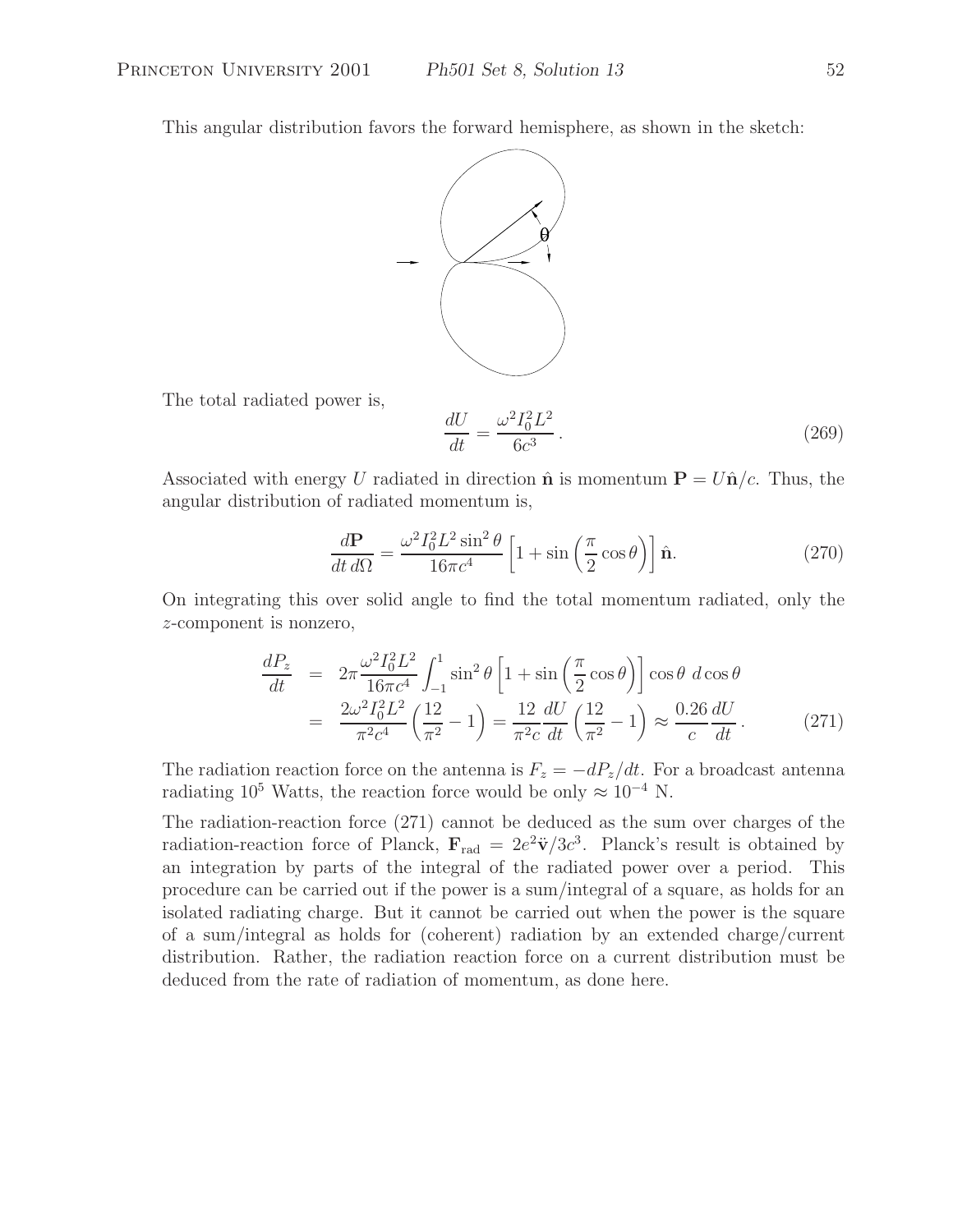This angular distribution favors the forward hemisphere, as shown in the sketch:



The total radiated power is,

$$
\frac{dU}{dt} = \frac{\omega^2 I_0^2 L^2}{6c^3} \,. \tag{269}
$$

Associated with energy U radiated in direction  $\hat{\mathbf{n}}$  is momentum  $\mathbf{P} = U\hat{\mathbf{n}}/c$ . Thus, the angular distribution of radiated momentum is,

$$
\frac{d\mathbf{P}}{dt\,d\Omega} = \frac{\omega^2 I_0^2 L^2 \sin^2 \theta}{16\pi c^4} \left[ 1 + \sin\left(\frac{\pi}{2}\cos\theta\right) \right] \hat{\mathbf{n}}.\tag{270}
$$

On integrating this over solid angle to find the total momentum radiated, only the z-component is nonzero,

$$
\frac{dP_z}{dt} = 2\pi \frac{\omega^2 I_0^2 L^2}{16\pi c^4} \int_{-1}^1 \sin^2 \theta \left[ 1 + \sin\left(\frac{\pi}{2}\cos\theta\right) \right] \cos\theta \, d\cos\theta \n= \frac{2\omega^2 I_0^2 L^2}{\pi^2 c^4} \left(\frac{12}{\pi^2} - 1\right) = \frac{12}{\pi^2 c} \frac{dU}{dt} \left(\frac{12}{\pi^2} - 1\right) \approx \frac{0.26}{c} \frac{dU}{dt}.
$$
\n(271)

The radiation reaction force on the antenna is  $F_z = -dP_z/dt$ . For a broadcast antenna radiating 10<sup>5</sup> Watts, the reaction force would be only  $\approx 10^{-4}$  N.

The radiation-reaction force (271) cannot be deduced as the sum over charges of the radiation-reaction force of Planck,  $\mathbf{F}_{rad} = 2e^2 \ddot{\mathbf{v}}/3c^3$ . Planck's result is obtained by an integration by parts of the integral of the radiated power over a period. This procedure can be carried out if the power is a sum/integral of a square, as holds for an isolated radiating charge. But it cannot be carried out when the power is the square of a sum/integral as holds for (coherent) radiation by an extended charge/current distribution. Rather, the radiation reaction force on a current distribution must be deduced from the rate of radiation of momentum, as done here.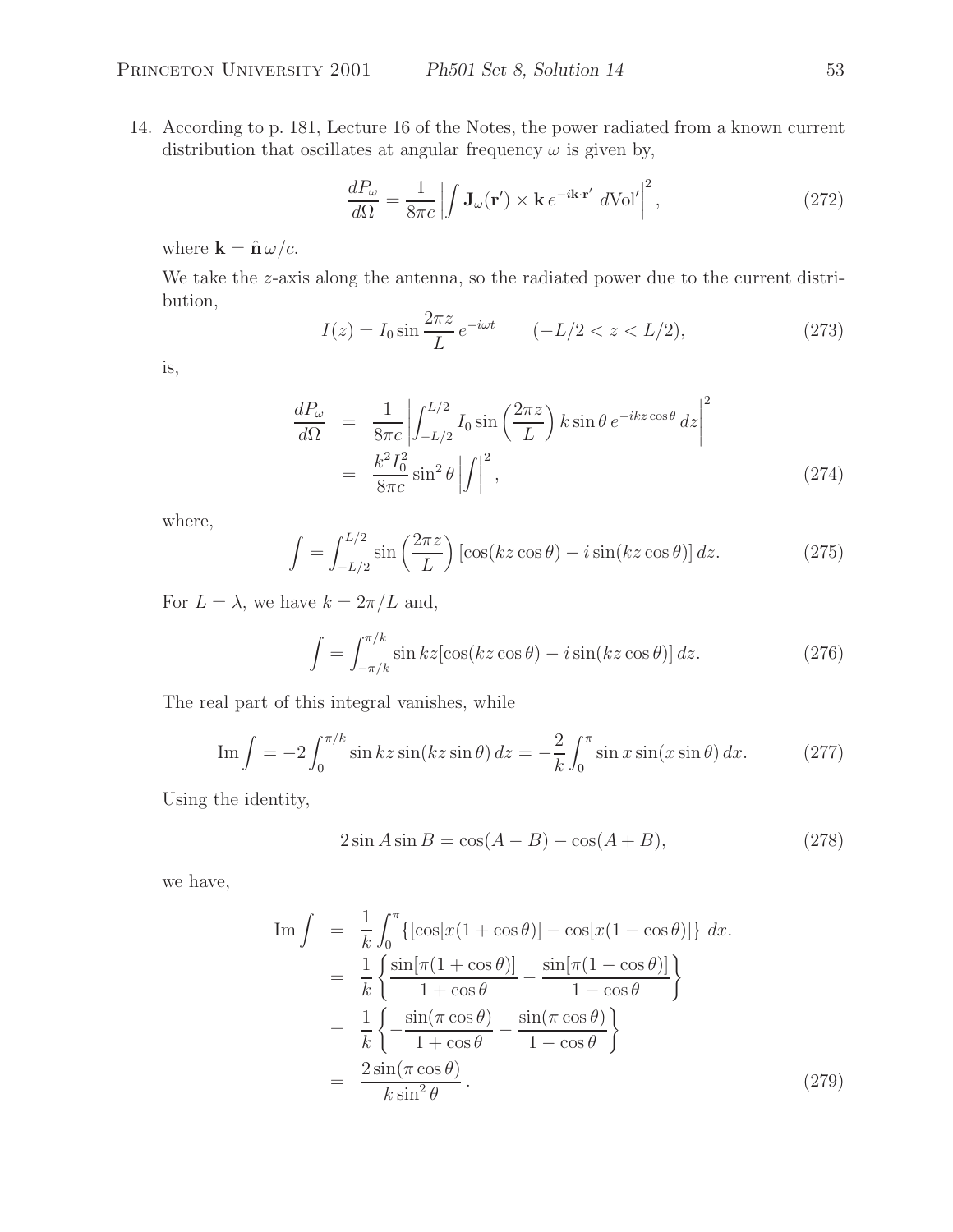14. According to p. 181, Lecture 16 of the Notes, the power radiated from a known current distribution that oscillates at angular frequency  $\omega$  is given by,

$$
\frac{dP_{\omega}}{d\Omega} = \frac{1}{8\pi c} \left| \int \mathbf{J}_{\omega}(\mathbf{r}') \times \mathbf{k} e^{-i\mathbf{k} \cdot \mathbf{r}'} d\text{Vol}' \right|^2, \qquad (272)
$$

where  $\mathbf{k} = \hat{\mathbf{n}} \omega/c$ .

We take the z-axis along the antenna, so the radiated power due to the current distribution,

$$
I(z) = I_0 \sin \frac{2\pi z}{L} e^{-i\omega t} \qquad (-L/2 < z < L/2), \tag{273}
$$

is,

$$
\frac{dP_{\omega}}{d\Omega} = \frac{1}{8\pi c} \left| \int_{-L/2}^{L/2} I_0 \sin\left(\frac{2\pi z}{L}\right) k \sin\theta \, e^{-ikz\cos\theta} \, dz \right|^2
$$
\n
$$
= \frac{k^2 I_0^2}{8\pi c} \sin^2\theta \left| \int_{-L/2}^{L/2} f(t) \, dt \right|^2, \tag{274}
$$

where,

$$
\int = \int_{-L/2}^{L/2} \sin\left(\frac{2\pi z}{L}\right) \left[\cos(kz\cos\theta) - i\sin(kz\cos\theta)\right] dz.
$$
 (275)

For  $L = \lambda$ , we have  $k = 2\pi/L$  and,

$$
\int = \int_{-\pi/k}^{\pi/k} \sin kz [\cos(kz \cos \theta) - i \sin(kz \cos \theta)] dz.
$$
 (276)

The real part of this integral vanishes, while

$$
\operatorname{Im} \int = -2 \int_0^{\pi/k} \sin kz \sin(kz \sin \theta) dz = -\frac{2}{k} \int_0^{\pi} \sin x \sin(x \sin \theta) dx. \tag{277}
$$

Using the identity,

$$
2\sin A \sin B = \cos(A - B) - \cos(A + B),
$$
 (278)

we have,

$$
\begin{split}\n\text{Im} \int &= \frac{1}{k} \int_{0}^{\pi} \{ [\cos[x(1+\cos\theta)] - \cos[x(1-\cos\theta)]\} \, dx. \\
&= \frac{1}{k} \left\{ \frac{\sin[\pi(1+\cos\theta)]}{1+\cos\theta} - \frac{\sin[\pi(1-\cos\theta)]}{1-\cos\theta} \right\} \\
&= \frac{1}{k} \left\{ -\frac{\sin(\pi\cos\theta)}{1+\cos\theta} - \frac{\sin(\pi\cos\theta)}{1-\cos\theta} \right\} \\
&= \frac{2\sin(\pi\cos\theta)}{k\sin^2\theta}.\n\end{split} \tag{279}
$$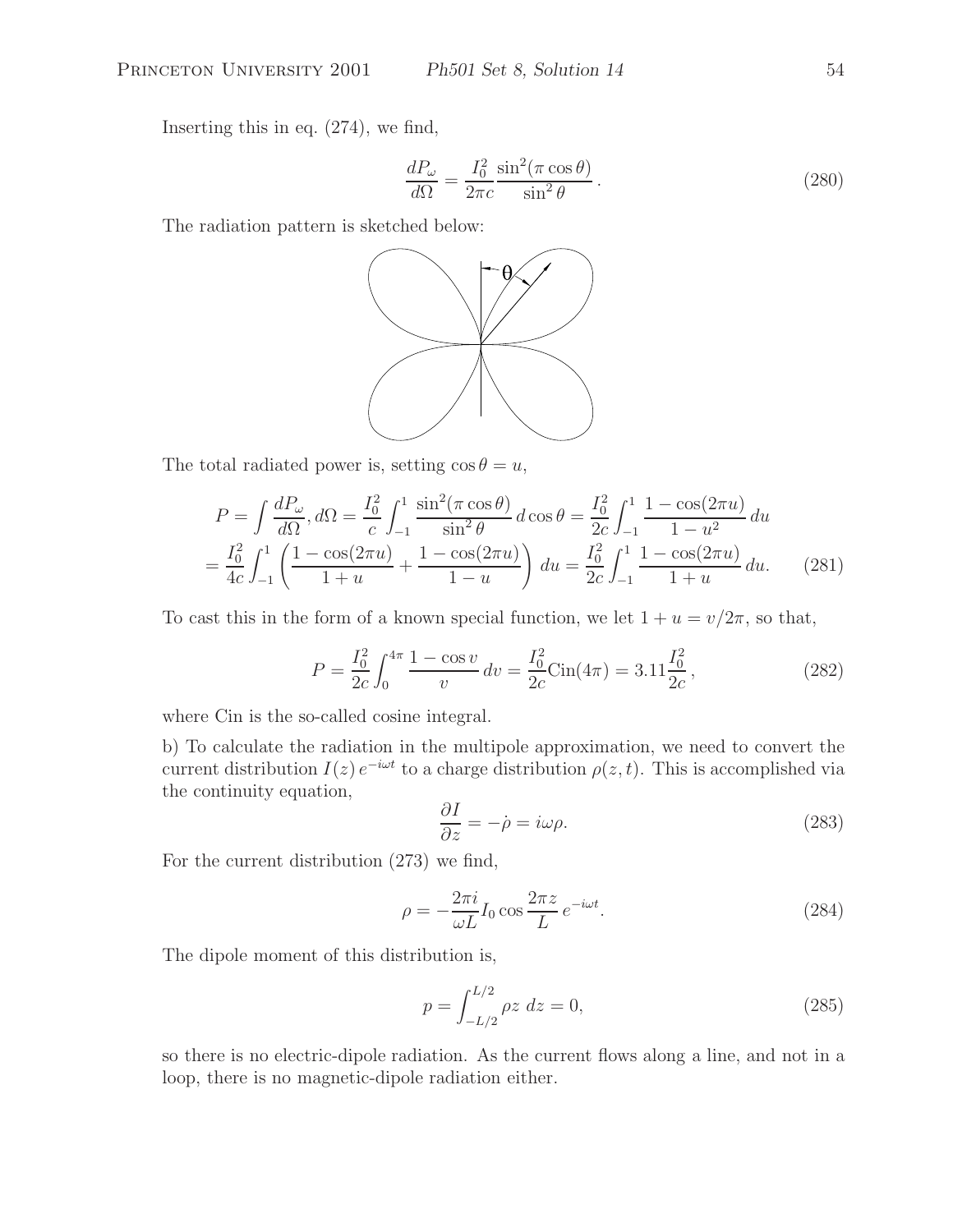Inserting this in eq. (274), we find,

$$
\frac{dP_{\omega}}{d\Omega} = \frac{I_0^2}{2\pi c} \frac{\sin^2(\pi \cos \theta)}{\sin^2 \theta}.
$$
\n(280)

The radiation pattern is sketched below:



The total radiated power is, setting  $\cos \theta = u$ ,

$$
P = \int \frac{dP_{\omega}}{d\Omega}, d\Omega = \frac{I_0^2}{c} \int_{-1}^1 \frac{\sin^2(\pi \cos \theta)}{\sin^2 \theta} d\cos \theta = \frac{I_0^2}{2c} \int_{-1}^1 \frac{1 - \cos(2\pi u)}{1 - u^2} du
$$
  
=  $\frac{I_0^2}{4c} \int_{-1}^1 \left( \frac{1 - \cos(2\pi u)}{1 + u} + \frac{1 - \cos(2\pi u)}{1 - u} \right) du = \frac{I_0^2}{2c} \int_{-1}^1 \frac{1 - \cos(2\pi u)}{1 + u} du.$  (281)

To cast this in the form of a known special function, we let  $1 + u = v/2\pi$ , so that,

$$
P = \frac{I_0^2}{2c} \int_0^{4\pi} \frac{1 - \cos v}{v} dv = \frac{I_0^2}{2c} \text{Cin}(4\pi) = 3.11 \frac{I_0^2}{2c},\tag{282}
$$

where Cin is the so-called cosine integral.

b) To calculate the radiation in the multipole approximation, we need to convert the current distribution  $I(z) e^{-i\omega t}$  to a charge distribution  $\rho(z, t)$ . This is accomplished via the continuity equation,

$$
\frac{\partial I}{\partial z} = -\dot{\rho} = i\omega\rho.
$$
 (283)

For the current distribution (273) we find,

$$
\rho = -\frac{2\pi i}{\omega L} I_0 \cos \frac{2\pi z}{L} e^{-i\omega t}.
$$
\n(284)

The dipole moment of this distribution is,

$$
p = \int_{-L/2}^{L/2} \rho z \, dz = 0,\tag{285}
$$

so there is no electric-dipole radiation. As the current flows along a line, and not in a loop, there is no magnetic-dipole radiation either.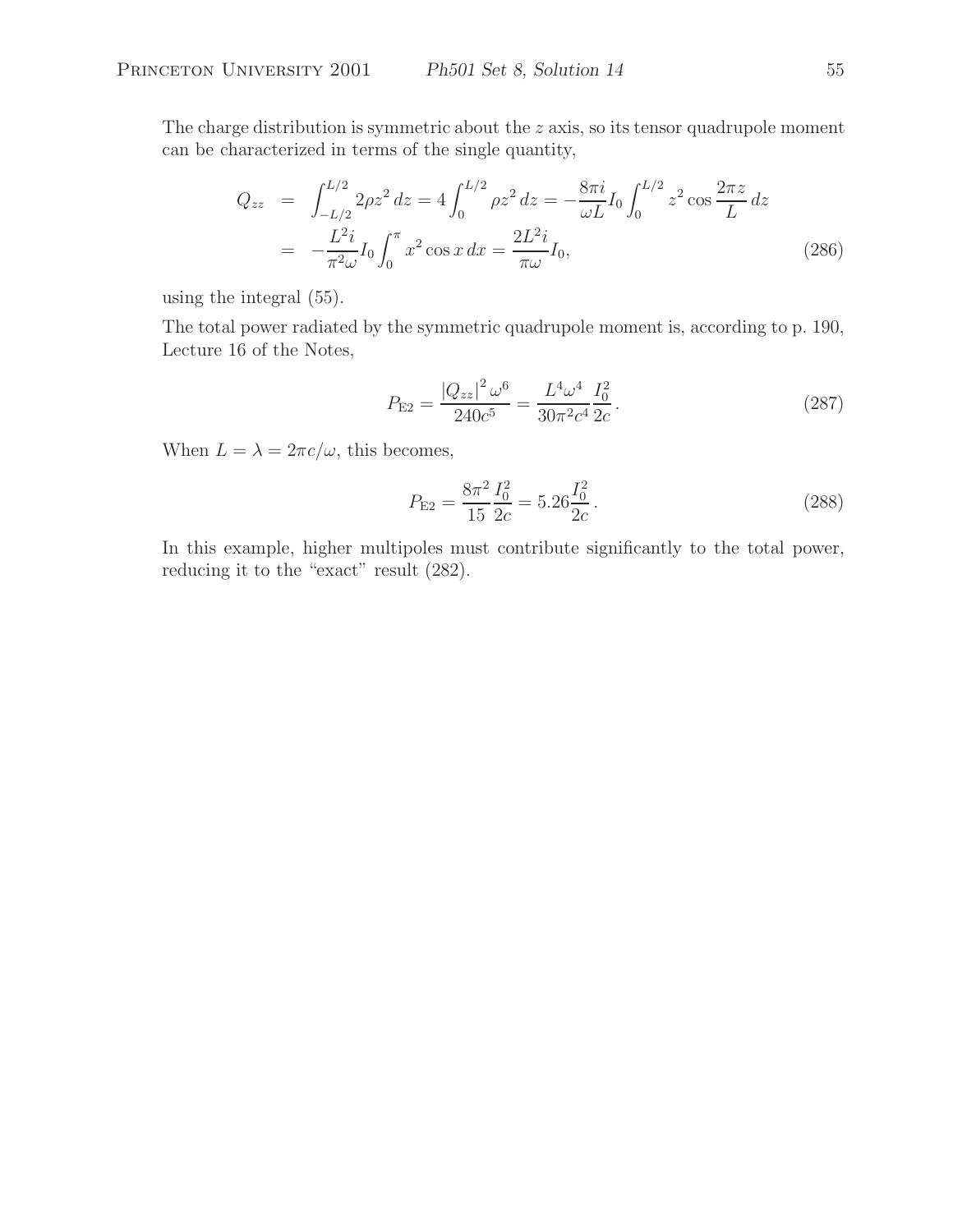The charge distribution is symmetric about the z axis, so its tensor quadrupole moment can be characterized in terms of the single quantity,

$$
Q_{zz} = \int_{-L/2}^{L/2} 2\rho z^2 dz = 4 \int_0^{L/2} \rho z^2 dz = -\frac{8\pi i}{\omega L} I_0 \int_0^{L/2} z^2 \cos \frac{2\pi z}{L} dz
$$
  
= 
$$
-\frac{L^2 i}{\pi^2 \omega} I_0 \int_0^{\pi} x^2 \cos x dx = \frac{2L^2 i}{\pi \omega} I_0,
$$
 (286)

using the integral (55).

The total power radiated by the symmetric quadrupole moment is, according to p. 190, Lecture 16 of the Notes,

$$
P_{E2} = \frac{|Q_{zz}|^2 \omega^6}{240c^5} = \frac{L^4 \omega^4}{30\pi^2 c^4} \frac{I_0^2}{2c}.
$$
 (287)

When  $L = \lambda = 2\pi c/\omega$ , this becomes,

$$
P_{\text{E2}} = \frac{8\pi^2}{15} \frac{I_0^2}{2c} = 5.26 \frac{I_0^2}{2c} \,. \tag{288}
$$

In this example, higher multipoles must contribute significantly to the total power, reducing it to the "exact" result (282).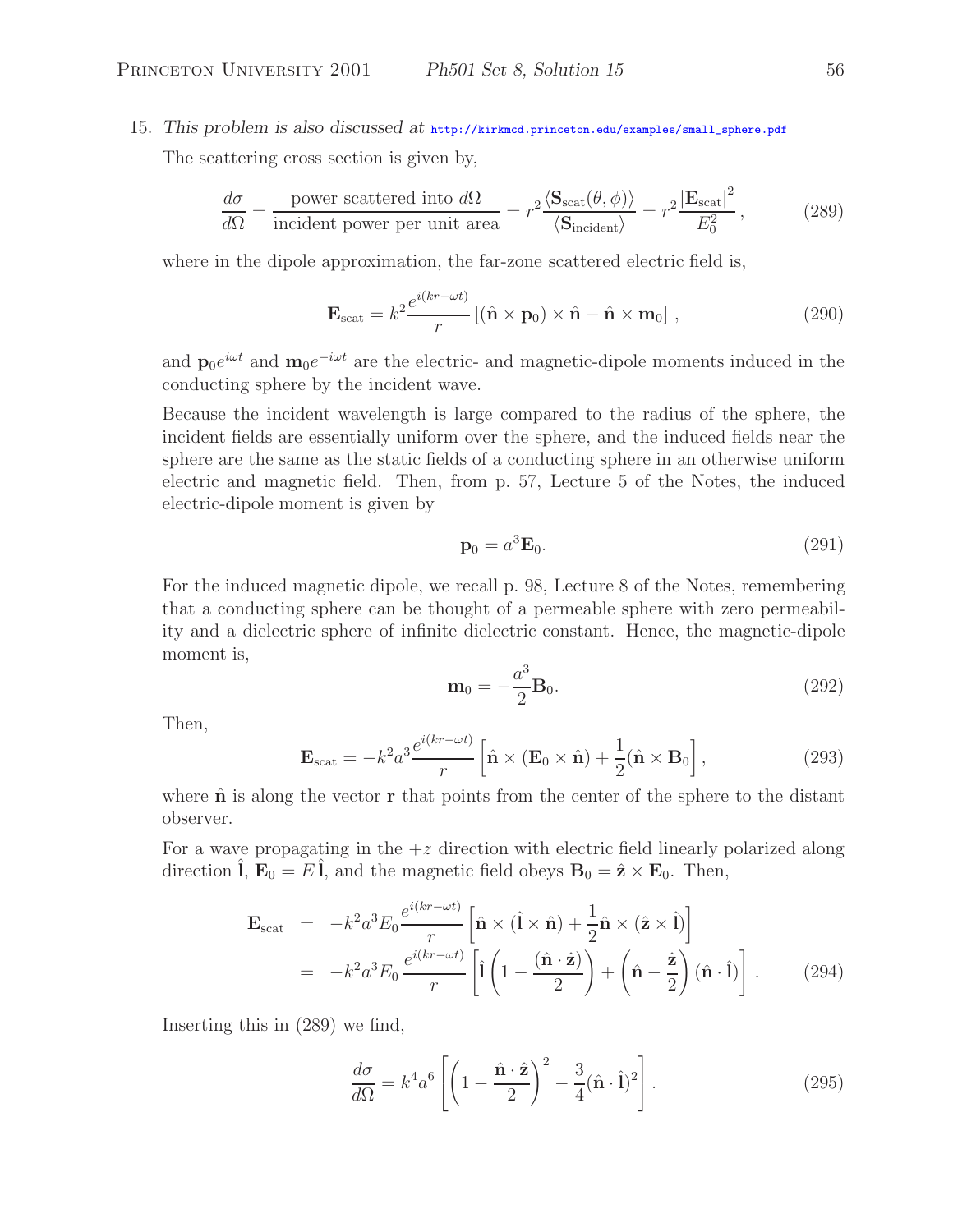#### 15. *This problem is also discussed at* http://kirkmcd.princeton.edu/examples/small\_sphere.pdf

The scattering cross section is given by,

$$
\frac{d\sigma}{d\Omega} = \frac{\text{power scattered into } d\Omega}{\text{incident power per unit area}} = r^2 \frac{\langle \mathbf{S}_{\text{scat}}(\theta, \phi) \rangle}{\langle \mathbf{S}_{\text{incident}} \rangle} = r^2 \frac{|\mathbf{E}_{\text{scat}}|^2}{E_0^2},\tag{289}
$$

where in the dipole approximation, the far-zone scattered electric field is,

$$
\mathbf{E}_{\rm scat} = k^2 \frac{e^{i(kr - \omega t)}}{r} \left[ (\hat{\mathbf{n}} \times \mathbf{p}_0) \times \hat{\mathbf{n}} - \hat{\mathbf{n}} \times \mathbf{m}_0 \right],
$$
 (290)

and  $\mathbf{p}_0e^{i\omega t}$  and  $\mathbf{m}_0e^{-i\omega t}$  are the electric- and magnetic-dipole moments induced in the conducting sphere by the incident wave.

Because the incident wavelength is large compared to the radius of the sphere, the incident fields are essentially uniform over the sphere, and the induced fields near the sphere are the same as the static fields of a conducting sphere in an otherwise uniform electric and magnetic field. Then, from p. 57, Lecture 5 of the Notes, the induced electric-dipole moment is given by

$$
\mathbf{p}_0 = a^3 \mathbf{E}_0. \tag{291}
$$

For the induced magnetic dipole, we recall p. 98, Lecture 8 of the Notes, remembering that a conducting sphere can be thought of a permeable sphere with zero permeability and a dielectric sphere of infinite dielectric constant. Hence, the magnetic-dipole moment is,

$$
\mathbf{m}_0 = -\frac{a^3}{2} \mathbf{B}_0.
$$
 (292)

Then,

$$
\mathbf{E}_{\text{scat}} = -k^2 a^3 \frac{e^{i(kr - \omega t)}}{r} \left[ \hat{\mathbf{n}} \times (\mathbf{E}_0 \times \hat{\mathbf{n}}) + \frac{1}{2} (\hat{\mathbf{n}} \times \mathbf{B}_0 \right],
$$
 (293)

where  $\hat{\bf{n}}$  is along the vector  ${\bf r}$  that points from the center of the sphere to the distant observer.

For a wave propagating in the  $+z$  direction with electric field linearly polarized along direction **l**,  $\mathbf{E}_0 = E \mathbf{l}$ , and the magnetic field obeys  $\mathbf{B}_0 = \hat{\mathbf{z}} \times \mathbf{E}_0$ . Then,

$$
\mathbf{E}_{\text{scat}} = -k^2 a^3 E_0 \frac{e^{i(kr - \omega t)}}{r} \left[ \hat{\mathbf{n}} \times (\hat{\mathbf{l}} \times \hat{\mathbf{n}}) + \frac{1}{2} \hat{\mathbf{n}} \times (\hat{\mathbf{z}} \times \hat{\mathbf{l}}) \right]
$$
  
= 
$$
-k^2 a^3 E_0 \frac{e^{i(kr - \omega t)}}{r} \left[ \hat{\mathbf{l}} \left( 1 - \frac{(\hat{\mathbf{n}} \cdot \hat{\mathbf{z}})}{2} \right) + \left( \hat{\mathbf{n}} - \frac{\hat{\mathbf{z}}}{2} \right) (\hat{\mathbf{n}} \cdot \hat{\mathbf{l}}) \right].
$$
 (294)

Inserting this in (289) we find,

$$
\frac{d\sigma}{d\Omega} = k^4 a^6 \left[ \left( 1 - \frac{\hat{\mathbf{n}} \cdot \hat{\mathbf{z}}}{2} \right)^2 - \frac{3}{4} (\hat{\mathbf{n}} \cdot \hat{\mathbf{l}})^2 \right].
$$
 (295)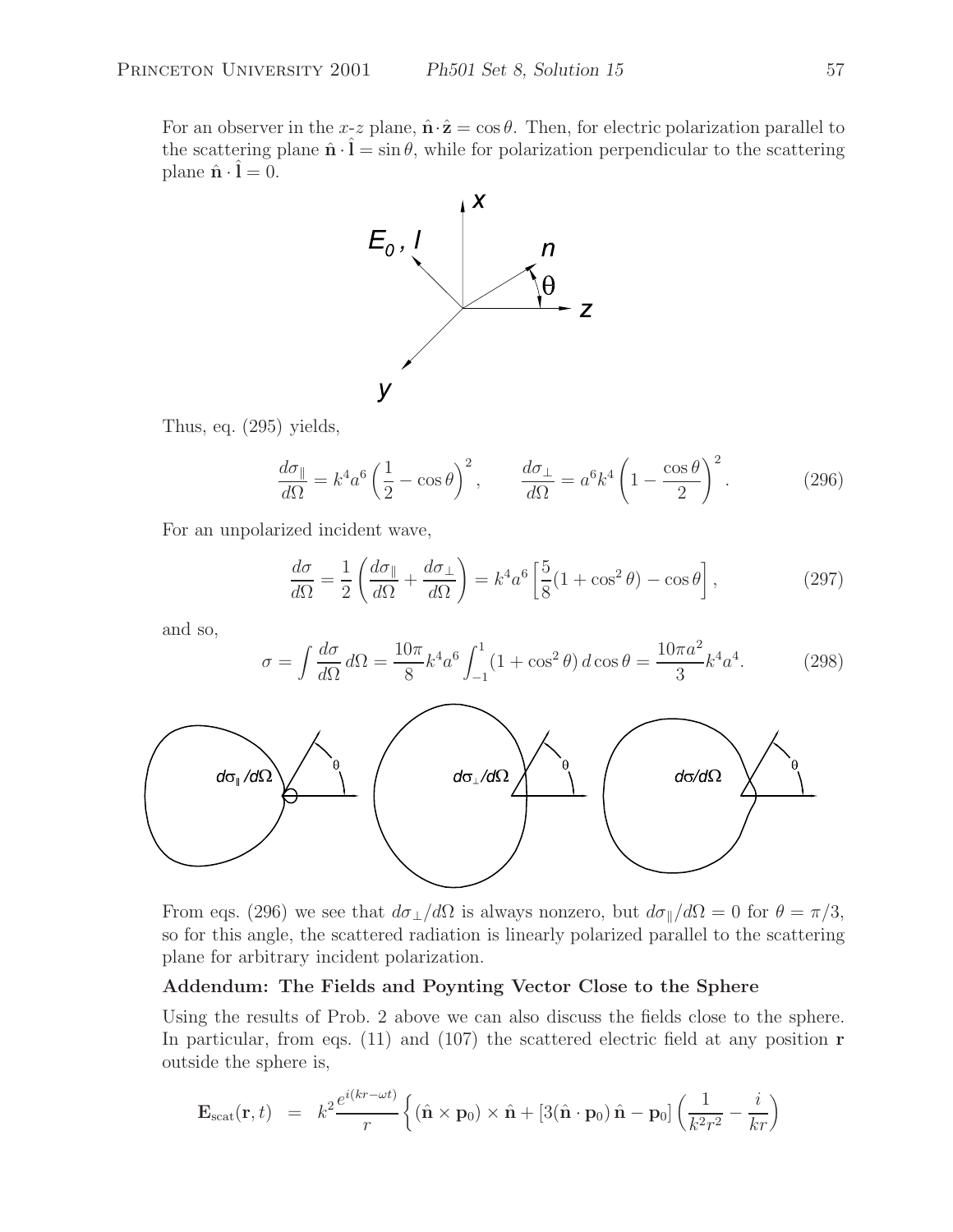For an observer in the x-z plane,  $\hat{\mathbf{n}} \cdot \hat{\mathbf{z}} = \cos \theta$ . Then, for electric polarization parallel to the scattering plane  $\hat{\mathbf{n}} \cdot \hat{\mathbf{l}} = \sin \theta$ , while for polarization perpendicular to the scattering plane  $\hat{\mathbf{n}} \cdot \hat{\mathbf{l}} = 0$ .



Thus, eq. (295) yields,

$$
\frac{d\sigma_{\parallel}}{d\Omega} = k^4 a^6 \left(\frac{1}{2} - \cos\theta\right)^2, \qquad \frac{d\sigma_{\perp}}{d\Omega} = a^6 k^4 \left(1 - \frac{\cos\theta}{2}\right)^2. \tag{296}
$$

For an unpolarized incident wave,

$$
\frac{d\sigma}{d\Omega} = \frac{1}{2} \left( \frac{d\sigma_{\parallel}}{d\Omega} + \frac{d\sigma_{\perp}}{d\Omega} \right) = k^4 a^6 \left[ \frac{5}{8} (1 + \cos^2 \theta) - \cos \theta \right],\tag{297}
$$

and so,

$$
\sigma = \int \frac{d\sigma}{d\Omega} \, d\Omega = \frac{10\pi}{8} k^4 a^6 \int_{-1}^1 (1 + \cos^2 \theta) \, d\cos \theta = \frac{10\pi a^2}{3} k^4 a^4. \tag{298}
$$



From eqs. (296) we see that  $d\sigma_{\perp}/d\Omega$  is always nonzero, but  $d\sigma_{\parallel}/d\Omega = 0$  for  $\theta = \pi/3$ , so for this angle, the scattered radiation is linearly polarized parallel to the scattering plane for arbitrary incident polarization.

# **Addendum: The Fields and Poynting Vector Close to the Sphere**

Using the results of Prob. 2 above we can also discuss the fields close to the sphere. In particular, from eqs. (11) and (107) the scattered electric field at any position **r** outside the sphere is,

$$
\mathbf{E}_{\rm scat}(\mathbf{r},t) = k^2 \frac{e^{i(kr-\omega t)}}{r} \left\{ (\hat{\mathbf{n}} \times \mathbf{p}_0) \times \hat{\mathbf{n}} + [3(\hat{\mathbf{n}} \cdot \mathbf{p}_0) \hat{\mathbf{n}} - \mathbf{p}_0] \left( \frac{1}{k^2 r^2} - \frac{i}{kr} \right) \right\}
$$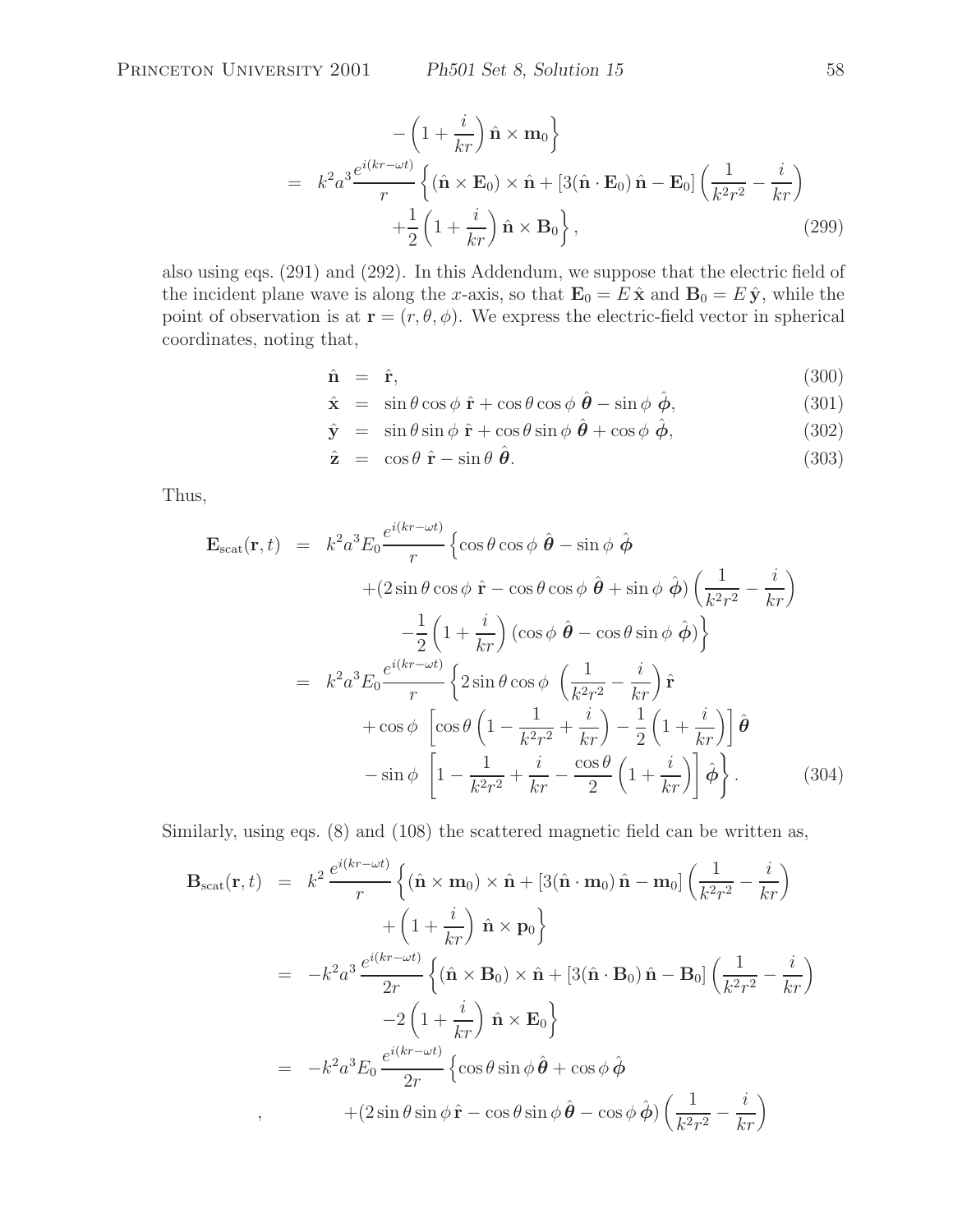$$
-\left(1+\frac{i}{kr}\right)\hat{\mathbf{n}} \times \mathbf{m}_0
$$
\n
$$
= k^2 a^3 \frac{e^{i(kr-\omega t)}}{r} \left\{ (\hat{\mathbf{n}} \times \mathbf{E}_0) \times \hat{\mathbf{n}} + [3(\hat{\mathbf{n}} \cdot \mathbf{E}_0) \hat{\mathbf{n}} - \mathbf{E}_0] \left( \frac{1}{k^2 r^2} - \frac{i}{kr} \right) + \frac{1}{2} \left( 1 + \frac{i}{kr} \right) \hat{\mathbf{n}} \times \mathbf{B}_0 \right\},
$$
\n(299)

also using eqs. (291) and (292). In this Addendum, we suppose that the electric field of the incident plane wave is along the x-axis, so that  $\mathbf{E}_0 = E \hat{\mathbf{x}}$  and  $\mathbf{B}_0 = E \hat{\mathbf{y}}$ , while the point of observation is at **r** =  $(r, \theta, \phi)$ . We express the electric-field vector in spherical coordinates, noting that,

$$
\hat{\mathbf{n}} = \hat{\mathbf{r}},\tag{300}
$$

$$
\hat{\mathbf{x}} = \sin \theta \cos \phi \, \hat{\mathbf{r}} + \cos \theta \cos \phi \, \hat{\boldsymbol{\theta}} - \sin \phi \, \hat{\boldsymbol{\phi}}, \tag{301}
$$

$$
\hat{\mathbf{y}} = \sin \theta \sin \phi \, \hat{\mathbf{r}} + \cos \theta \sin \phi \, \hat{\boldsymbol{\theta}} + \cos \phi \, \hat{\boldsymbol{\phi}}, \tag{302}
$$

$$
\hat{\mathbf{z}} = \cos \theta \, \hat{\mathbf{r}} - \sin \theta \, \hat{\boldsymbol{\theta}}.\tag{303}
$$

Thus,

$$
\mathbf{E}_{\text{scat}}(\mathbf{r},t) = k^2 a^3 E_0 \frac{e^{i(kr-\omega t)}}{r} \left\{ \cos \theta \cos \phi \hat{\theta} - \sin \phi \hat{\phi} \right.\n+ (2 \sin \theta \cos \phi \hat{\mathbf{r}} - \cos \theta \cos \phi \hat{\mathbf{\theta}} + \sin \phi \hat{\phi}) \left( \frac{1}{k^2 r^2} - \frac{i}{kr} \right)\n- \frac{1}{2} \left( 1 + \frac{i}{kr} \right) \left( \cos \phi \hat{\mathbf{\theta}} - \cos \theta \sin \phi \hat{\phi} \right) \right\}\n= k^2 a^3 E_0 \frac{e^{i(kr-\omega t)}}{r} \left\{ 2 \sin \theta \cos \phi \left( \frac{1}{k^2 r^2} - \frac{i}{kr} \right) \hat{\mathbf{r}} \n+ \cos \phi \left[ \cos \theta \left( 1 - \frac{1}{k^2 r^2} + \frac{i}{kr} \right) - \frac{1}{2} \left( 1 + \frac{i}{kr} \right) \right] \hat{\boldsymbol{\theta}} \n- \sin \phi \left[ 1 - \frac{1}{k^2 r^2} + \frac{i}{kr} - \frac{\cos \theta}{2} \left( 1 + \frac{i}{kr} \right) \right] \hat{\boldsymbol{\phi}} \right\}. \tag{304}
$$

Similarly, using eqs. (8) and (108) the scattered magnetic field can be written as,

$$
\mathbf{B}_{scat}(\mathbf{r},t) = k^2 \frac{e^{i(kr - \omega t)}}{r} \left\{ (\hat{\mathbf{n}} \times \mathbf{m}_0) \times \hat{\mathbf{n}} + [3(\hat{\mathbf{n}} \cdot \mathbf{m}_0) \hat{\mathbf{n}} - \mathbf{m}_0] \left( \frac{1}{k^2 r^2} - \frac{i}{kr} \right) \right.\n+ \left( 1 + \frac{i}{kr} \right) \hat{\mathbf{n}} \times \mathbf{p}_0 \right\}\n= -k^2 a^3 \frac{e^{i(kr - \omega t)}}{2r} \left\{ (\hat{\mathbf{n}} \times \mathbf{B}_0) \times \hat{\mathbf{n}} + [3(\hat{\mathbf{n}} \cdot \mathbf{B}_0) \hat{\mathbf{n}} - \mathbf{B}_0] \left( \frac{1}{k^2 r^2} - \frac{i}{kr} \right) \right.\n- 2 \left( 1 + \frac{i}{kr} \right) \hat{\mathbf{n}} \times \mathbf{E}_0 \right\}\n= -k^2 a^3 E_0 \frac{e^{i(kr - \omega t)}}{2r} \left\{ \cos \theta \sin \phi \hat{\boldsymbol{\theta}} + \cos \phi \hat{\boldsymbol{\phi}} \right.\n+ (2 \sin \theta \sin \phi \hat{\mathbf{r}} - \cos \theta \sin \phi \hat{\boldsymbol{\theta}} - \cos \phi \hat{\boldsymbol{\phi}}) \left( \frac{1}{k^2 r^2} - \frac{i}{kr} \right)
$$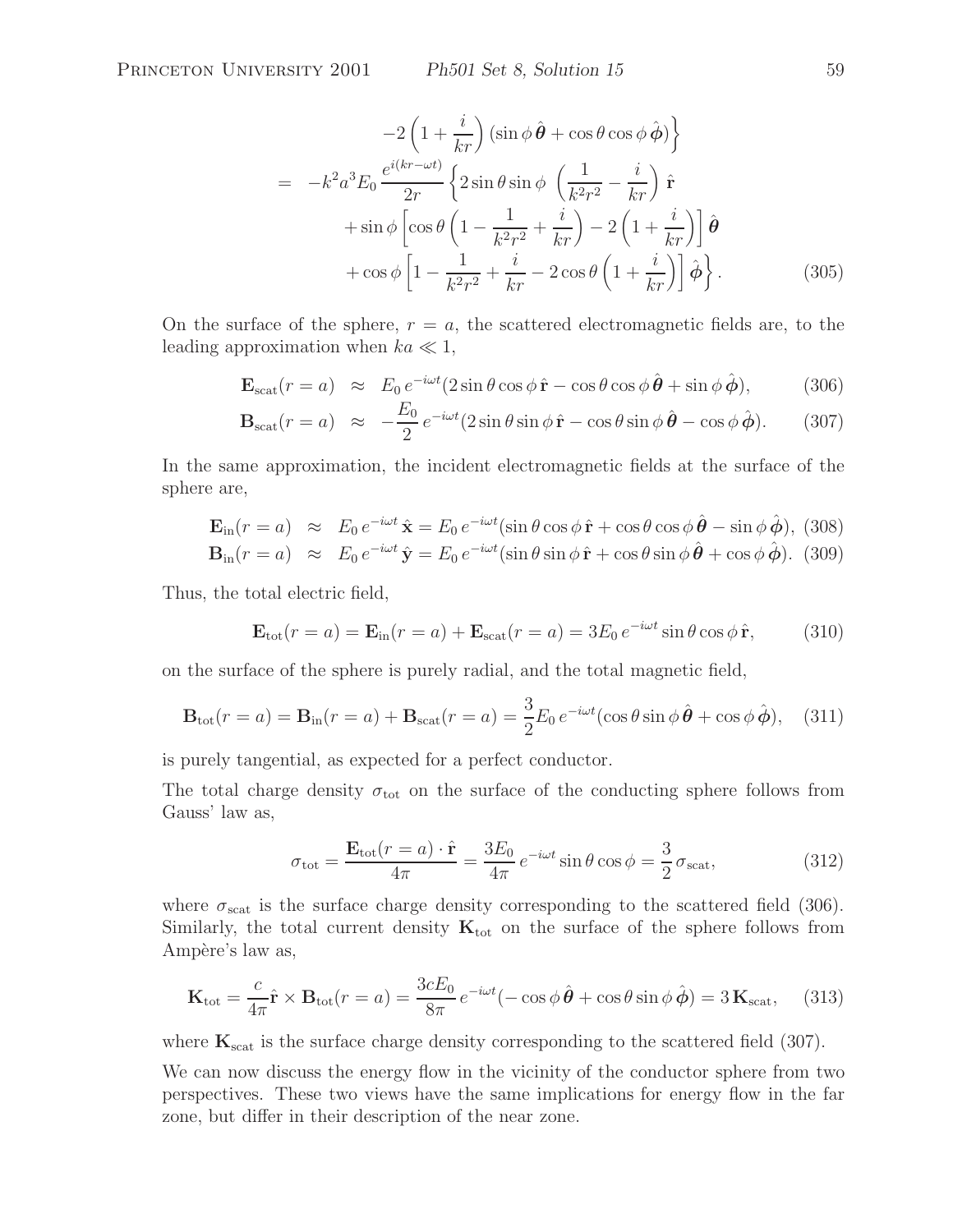$$
-2\left(1+\frac{i}{kr}\right)\left(\sin\phi\,\hat{\theta}+\cos\theta\cos\phi\,\hat{\phi}\right)
$$
  
= 
$$
-k^2a^3E_0\,\frac{e^{i(kr-\omega t)}}{2r}\left\{2\sin\theta\sin\phi\,\left(\frac{1}{k^2r^2}-\frac{i}{kr}\right)\hat{\mathbf{r}}\right.
$$

$$
+\sin\phi\left[\cos\theta\left(1-\frac{1}{k^2r^2}+\frac{i}{kr}\right)-2\left(1+\frac{i}{kr}\right)\right]\hat{\boldsymbol{\theta}}\right.
$$

$$
+\cos\phi\left[1-\frac{1}{k^2r^2}+\frac{i}{kr}-2\cos\theta\left(1+\frac{i}{kr}\right)\right]\hat{\boldsymbol{\phi}}\right\}.
$$
(305)

On the surface of the sphere,  $r = a$ , the scattered electromagnetic fields are, to the leading approximation when  $ka \ll 1$ ,

$$
\mathbf{E}_{\rm scat}(r=a) \approx E_0 e^{-i\omega t} (2\sin\theta\cos\phi \,\hat{\mathbf{r}} - \cos\theta\cos\phi \,\hat{\boldsymbol{\theta}} + \sin\phi \,\hat{\boldsymbol{\phi}}), \tag{306}
$$

$$
\mathbf{B}_{\rm scat}(r=a) \approx -\frac{E_0}{2} e^{-i\omega t} (2\sin\theta\sin\phi\,\hat{\mathbf{r}} - \cos\theta\sin\phi\,\hat{\boldsymbol{\theta}} - \cos\phi\,\hat{\boldsymbol{\phi}}). \tag{307}
$$

In the same approximation, the incident electromagnetic fields at the surface of the sphere are,

$$
\mathbf{E}_{\rm in}(r=a) \approx E_0 e^{-i\omega t} \hat{\mathbf{x}} = E_0 e^{-i\omega t} (\sin \theta \cos \phi \, \hat{\mathbf{r}} + \cos \theta \cos \phi \, \hat{\boldsymbol{\theta}} - \sin \phi \, \hat{\boldsymbol{\phi}}), \tag{308}
$$

$$
\mathbf{B}_{\rm in}(r=a) \approx E_0 e^{-i\omega t} \hat{\mathbf{y}} = E_0 e^{-i\omega t} (\sin \theta \sin \phi \, \hat{\mathbf{r}} + \cos \theta \sin \phi \, \hat{\boldsymbol{\theta}} + \cos \phi \, \hat{\boldsymbol{\phi}}). \tag{309}
$$

Thus, the total electric field,

$$
\mathbf{E}_{\text{tot}}(r=a) = \mathbf{E}_{\text{in}}(r=a) + \mathbf{E}_{\text{scat}}(r=a) = 3E_0 e^{-i\omega t} \sin \theta \cos \phi \, \hat{\mathbf{r}}, \tag{310}
$$

on the surface of the sphere is purely radial, and the total magnetic field,

$$
\mathbf{B}_{\text{tot}}(r=a) = \mathbf{B}_{\text{in}}(r=a) + \mathbf{B}_{\text{scat}}(r=a) = \frac{3}{2} E_0 e^{-i\omega t} (\cos \theta \sin \phi \,\hat{\boldsymbol{\theta}} + \cos \phi \,\hat{\boldsymbol{\phi}}), \quad (311)
$$

is purely tangential, as expected for a perfect conductor.

The total charge density  $\sigma_{\text{tot}}$  on the surface of the conducting sphere follows from Gauss' law as,

$$
\sigma_{\text{tot}} = \frac{\mathbf{E}_{\text{tot}}(r=a) \cdot \hat{\mathbf{r}}}{4\pi} = \frac{3E_0}{4\pi} e^{-i\omega t} \sin \theta \cos \phi = \frac{3}{2} \sigma_{\text{scat}},\tag{312}
$$

where  $\sigma_{scat}$  is the surface charge density corresponding to the scattered field (306). Similarly, the total current density  $K_{\text{tot}}$  on the surface of the sphere follows from Ampère's law as,

$$
\mathbf{K}_{\text{tot}} = \frac{c}{4\pi} \hat{\mathbf{r}} \times \mathbf{B}_{\text{tot}}(r = a) = \frac{3cE_0}{8\pi} e^{-i\omega t} (-\cos\phi \,\hat{\boldsymbol{\theta}} + \cos\theta \sin\phi \,\hat{\boldsymbol{\phi}}) = 3\,\mathbf{K}_{\text{scat}},\tag{313}
$$

where  $\mathbf{K}_{\text{scat}}$  is the surface charge density corresponding to the scattered field (307).

We can now discuss the energy flow in the vicinity of the conductor sphere from two perspectives. These two views have the same implications for energy flow in the far zone, but differ in their description of the near zone.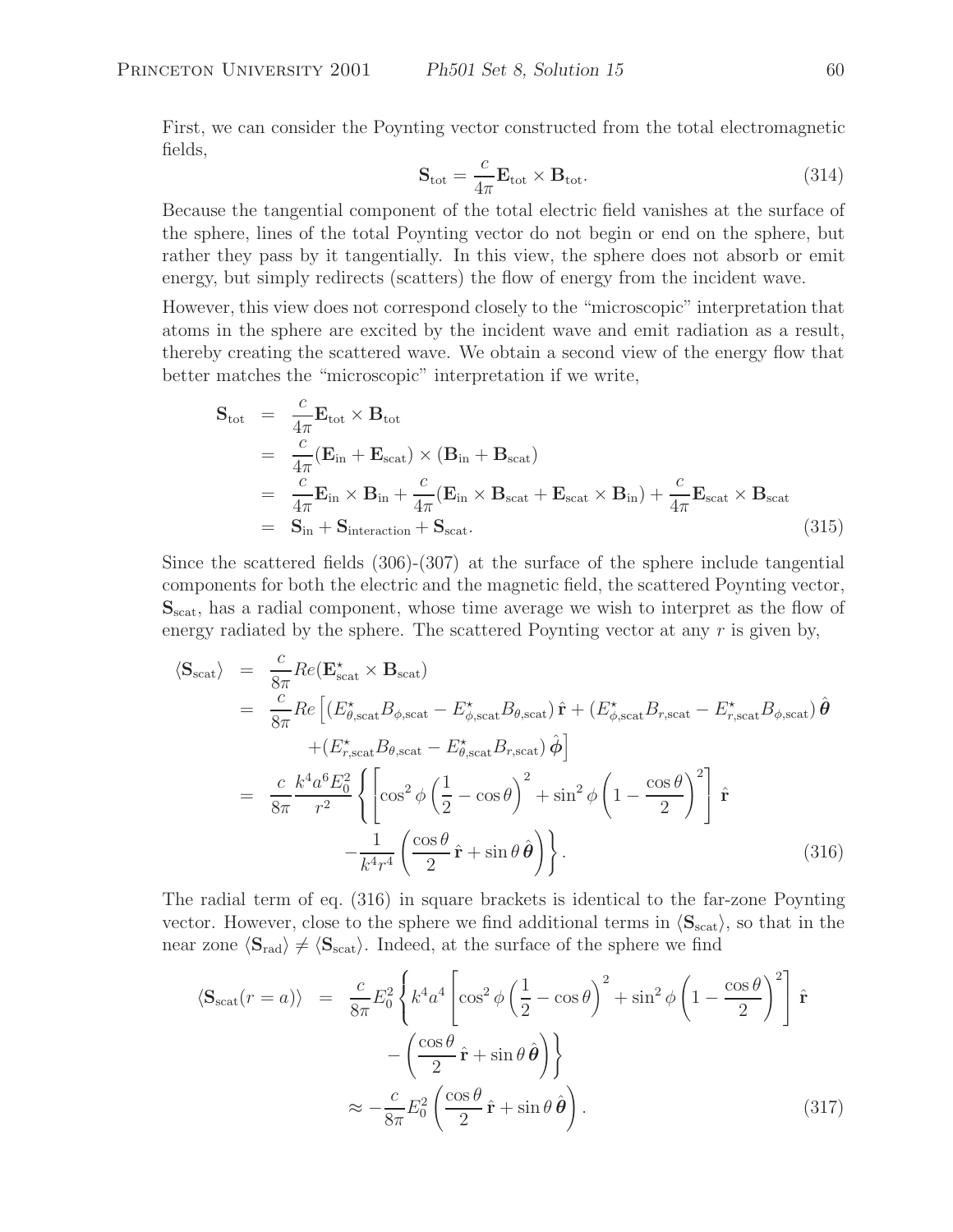First, we can consider the Poynting vector constructed from the total electromagnetic fields,

$$
\mathbf{S}_{\text{tot}} = \frac{c}{4\pi} \mathbf{E}_{\text{tot}} \times \mathbf{B}_{\text{tot}}.
$$
 (314)

Because the tangential component of the total electric field vanishes at the surface of the sphere, lines of the total Poynting vector do not begin or end on the sphere, but rather they pass by it tangentially. In this view, the sphere does not absorb or emit energy, but simply redirects (scatters) the flow of energy from the incident wave.

However, this view does not correspond closely to the "microscopic" interpretation that atoms in the sphere are excited by the incident wave and emit radiation as a result, thereby creating the scattered wave. We obtain a second view of the energy flow that better matches the "microscopic" interpretation if we write,

$$
\mathbf{S}_{\text{tot}} = \frac{c}{4\pi} \mathbf{E}_{\text{tot}} \times \mathbf{B}_{\text{tot}}
$$
  
= 
$$
\frac{c}{4\pi} (\mathbf{E}_{\text{in}} + \mathbf{E}_{\text{scat}}) \times (\mathbf{B}_{\text{in}} + \mathbf{B}_{\text{scat}})
$$
  
= 
$$
\frac{c}{4\pi} \mathbf{E}_{\text{in}} \times \mathbf{B}_{\text{in}} + \frac{c}{4\pi} (\mathbf{E}_{\text{in}} \times \mathbf{B}_{\text{scat}} + \mathbf{E}_{\text{scat}} \times \mathbf{B}_{\text{in}}) + \frac{c}{4\pi} \mathbf{E}_{\text{scat}} \times \mathbf{B}_{\text{scat}}
$$
  
= 
$$
\mathbf{S}_{\text{in}} + \mathbf{S}_{\text{interaction}} + \mathbf{S}_{\text{scat}}.
$$
(315)

Since the scattered fields (306)-(307) at the surface of the sphere include tangential components for both the electric and the magnetic field, the scattered Poynting vector,  $S_{\text{scat}}$ , has a radial component, whose time average we wish to interpret as the flow of energy radiated by the sphere. The scattered Poynting vector at any  $r$  is given by,

$$
\langle \mathbf{S}_{scat} \rangle = \frac{c}{8\pi} Re(\mathbf{E}_{scat}^{\star} \times \mathbf{B}_{scat})
$$
  
\n
$$
= \frac{c}{8\pi} Re\left[ (E_{\theta, scat}^{\star} B_{\phi, scat} - E_{\phi, scat}^{\star} B_{\theta, scat}) \hat{\mathbf{r}} + (E_{\phi, scat}^{\star} B_{r, scat} - E_{r, scat}^{\star} B_{\phi, scat}) \hat{\boldsymbol{\theta}} + (E_{r, scat}^{\star} B_{\theta, scat} - E_{\theta, scat}^{\star} B_{r, scat}) \hat{\boldsymbol{\phi}} \right]
$$
  
\n
$$
= \frac{c}{8\pi} \frac{k^4 a^6 E_0^2}{r^2} \left\{ \left[ cos^2 \phi \left( \frac{1}{2} - cos \theta \right)^2 + sin^2 \phi \left( 1 - \frac{cos \theta}{2} \right)^2 \right] \hat{\mathbf{r}} - \frac{1}{k^4 r^4} \left( \frac{cos \theta}{2} \hat{\mathbf{r}} + sin \theta \hat{\boldsymbol{\theta}} \right) \right\}.
$$
 (316)

The radial term of eq. (316) in square brackets is identical to the far-zone Poynting vector. However, close to the sphere we find additional terms in  $\langle S_{\text{scat}} \rangle$ , so that in the near zone  $\langle S_{rad} \rangle \neq \langle S_{scat} \rangle$ . Indeed, at the surface of the sphere we find

$$
\langle \mathbf{S}_{\text{scat}}(r=a) \rangle = \frac{c}{8\pi} E_0^2 \left\{ k^4 a^4 \left[ \cos^2 \phi \left( \frac{1}{2} - \cos \theta \right)^2 + \sin^2 \phi \left( 1 - \frac{\cos \theta}{2} \right)^2 \right] \hat{\mathbf{r}} - \left( \frac{\cos \theta}{2} \hat{\mathbf{r}} + \sin \theta \hat{\boldsymbol{\theta}} \right) \right\} \approx - \frac{c}{8\pi} E_0^2 \left( \frac{\cos \theta}{2} \hat{\mathbf{r}} + \sin \theta \hat{\boldsymbol{\theta}} \right).
$$
\n(317)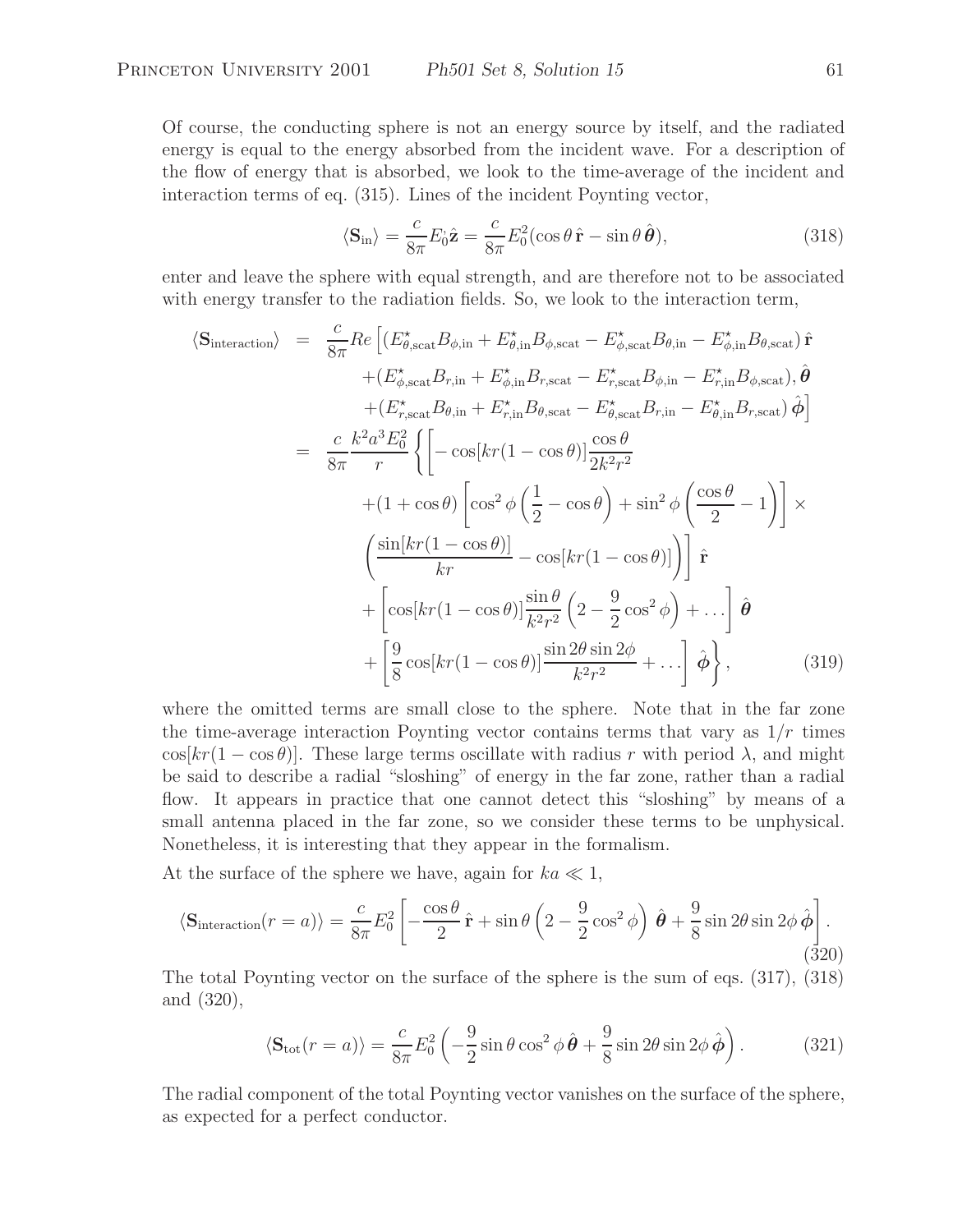Of course, the conducting sphere is not an energy source by itself, and the radiated energy is equal to the energy absorbed from the incident wave. For a description of the flow of energy that is absorbed, we look to the time-average of the incident and interaction terms of eq. (315). Lines of the incident Poynting vector,

$$
\langle \mathbf{S}_{\rm in} \rangle = \frac{c}{8\pi} E_0^2 \hat{\mathbf{z}} = \frac{c}{8\pi} E_0^2 (\cos \theta \, \hat{\mathbf{r}} - \sin \theta \, \hat{\boldsymbol{\theta}}), \tag{318}
$$

enter and leave the sphere with equal strength, and are therefore not to be associated with energy transfer to the radiation fields. So, we look to the interaction term,

$$
\langle \mathbf{S}_{\text{interaction}} \rangle = \frac{c}{8\pi} Re \left[ (E_{\theta,\text{scat}}^{\star} B_{\phi,\text{in}} + E_{\theta,\text{in}}^{\star} B_{\phi,\text{scat}} - E_{\phi,\text{scat}}^{\star} B_{\theta,\text{in}} - E_{\phi,\text{in}}^{\star} B_{\theta,\text{scat}}) \hat{\mathbf{r}} + (E_{\phi,\text{scat}}^{\star} B_{\theta,\text{in}} + E_{\phi,\text{in}}^{\star} B_{\phi,\text{scat}} - E_{r,\text{scat}}^{\star} B_{\phi,\text{in}} - E_{r,\text{in}}^{\star} B_{\phi,\text{scat}}), \hat{\boldsymbol{\theta}} + (E_{r,\text{scat}}^{\star} B_{\theta,\text{in}} + E_{r,\text{in}}^{\star} B_{\theta,\text{scat}} - E_{\theta,\text{scat}}^{\star} B_{r,\text{in}} - E_{\theta,\text{in}}^{\star} B_{r,\text{scat}}), \hat{\boldsymbol{\phi}} \right]
$$
  
\n
$$
= \frac{c}{8\pi} \frac{k^2 a^3 E_0^2}{r} \left\{ \left[ -\cos[kr(1-\cos\theta)] \frac{\cos\theta}{2k^2 r^2} + (1+\cos\theta) \left[ \cos^2\phi \left( \frac{1}{2} - \cos\theta \right) + \sin^2\phi \left( \frac{\cos\theta}{2} - 1 \right) \right] \times \left( \frac{\sin[kr(1-\cos\theta)]}{kr} - \cos[kr(1-\cos\theta)] \right) \right] \hat{\mathbf{r}} + \left[ \cos[kr(1-\cos\theta)] \frac{\sin\theta}{k^2 r^2} \left( 2 - \frac{9}{2} \cos^2\phi \right) + \dots \right] \hat{\boldsymbol{\theta}} + \left[ \frac{9}{8} \cos[kr(1-\cos\theta)] \frac{\sin 2\theta \sin 2\phi}{k^2 r^2} + \dots \right] \hat{\boldsymbol{\phi}} \right\}, \qquad (319)
$$

where the omitted terms are small close to the sphere. Note that in the far zone the time-average interaction Poynting vector contains terms that vary as  $1/r$  times  $\cos[kr(1-\cos\theta)]$ . These large terms oscillate with radius r with period  $\lambda$ , and might be said to describe a radial "sloshing" of energy in the far zone, rather than a radial flow. It appears in practice that one cannot detect this "sloshing" by means of a small antenna placed in the far zone, so we consider these terms to be unphysical. Nonetheless, it is interesting that they appear in the formalism.

At the surface of the sphere we have, again for  $ka \ll 1$ ,

$$
\langle \mathbf{S}_{\text{interaction}}(r=a) \rangle = \frac{c}{8\pi} E_0^2 \left[ -\frac{\cos \theta}{2} \hat{\mathbf{r}} + \sin \theta \left( 2 - \frac{9}{2} \cos^2 \phi \right) \hat{\boldsymbol{\theta}} + \frac{9}{8} \sin 2\theta \sin 2\phi \hat{\boldsymbol{\phi}} \right].
$$
\n(320)

The total Poynting vector on the surface of the sphere is the sum of eqs. (317), (318) and (320),

$$
\langle \mathbf{S}_{\text{tot}}(r=a) \rangle = \frac{c}{8\pi} E_0^2 \left( -\frac{9}{2} \sin \theta \cos^2 \phi \, \hat{\boldsymbol{\theta}} + \frac{9}{8} \sin 2\theta \sin 2\phi \, \hat{\boldsymbol{\phi}} \right). \tag{321}
$$

The radial component of the total Poynting vector vanishes on the surface of the sphere, as expected for a perfect conductor.